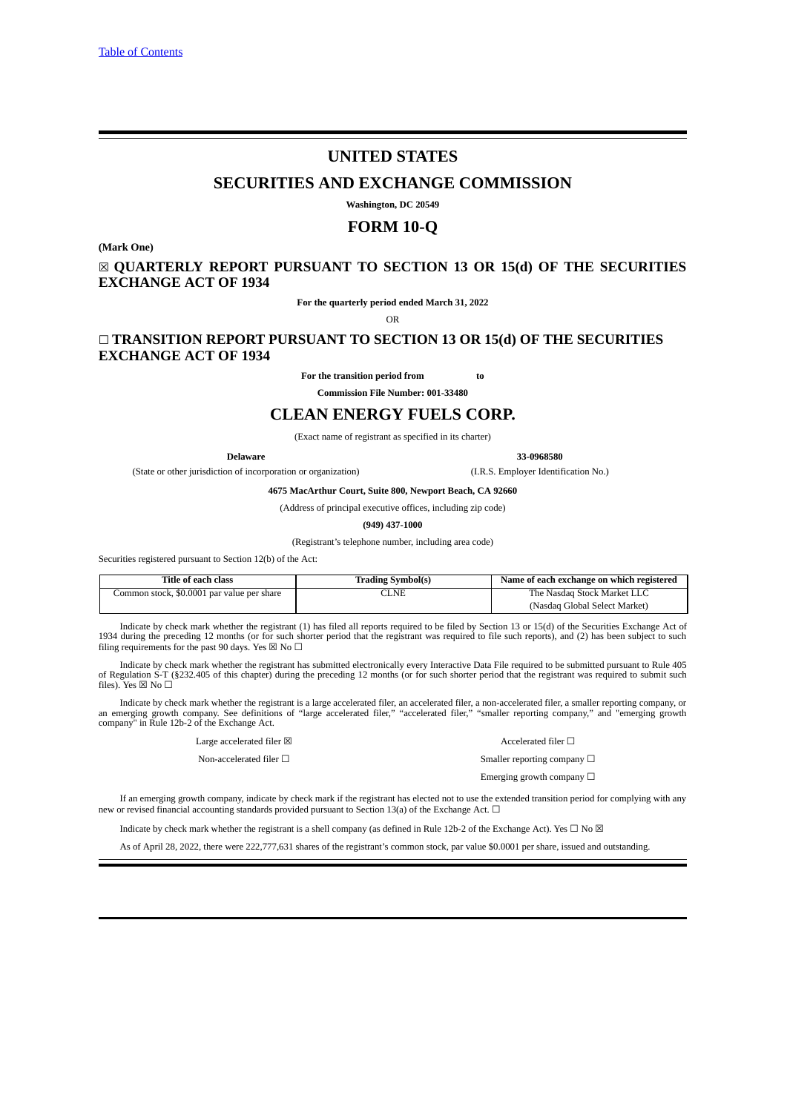# **UNITED STATES**

# **SECURITIES AND EXCHANGE COMMISSION**

### **Washington, DC 20549**

# **FORM 10-Q**

**(Mark One)**

☒ **QUARTERLY REPORT PURSUANT TO SECTION 13 OR 15(d) OF THE SECURITIES EXCHANGE ACT OF 1934**

**For the quarterly period ended March 31, 2022**

OR

# ☐ **TRANSITION REPORT PURSUANT TO SECTION 13 OR 15(d) OF THE SECURITIES EXCHANGE ACT OF 1934**

**For the transition period from to**

**Commission File Number: 001-33480**

### **CLEAN ENERGY FUELS CORP.**

(Exact name of registrant as specified in its charter)

**Delaware 33-0968580**

(State or other jurisdiction of incorporation or organization) (I.R.S. Employer Identification No.)

**4675 MacArthur Court, Suite 800, Newport Beach, CA 92660**

(Address of principal executive offices, including zip code)

**(949) 437-1000**

(Registrant's telephone number, including area code)

Securities registered pursuant to Section 12(b) of the Act:

| Title of each class                        | <b>Trading Symbol(s)</b> | Name of each exchange on which registered |
|--------------------------------------------|--------------------------|-------------------------------------------|
| Common stock, \$0.0001 par value per share | CLNE                     | The Nasdag Stock Market LLC               |
|                                            |                          | (Nasdaq Global Select Market)             |

Indicate by check mark whether the registrant (1) has filed all reports required to be filed by Section 13 or 15(d) of the Securities Exchange Act of 1934 during the preceding 12 months (or for such shorter period that the registrant was required to file such reports), and (2) has been subject to such filing requirements for the past 90 days. Yes  $\boxtimes$  No  $\Box$ 

Indicate by check mark whether the registrant has submitted electronically every Interactive Data File required to be submitted pursuant to Rule 405<br>of Regulation S-T (§232.405 of this chapter) during the preceding 12 mont files). Yes  $\boxtimes$  No  $\square$ 

Indicate by check mark whether the registrant is a large accelerated filer, an accelerated filer, a non-accelerated filer, a smaller reporting company, or<br>an emerging growth company. See definitions of "large accelerated f

Large accelerated filer  $\boxtimes$ 

Non-accelerated filer  $\Box$   $\hfill$   $\hfill$   $\hfill$   $\hfill$   $\hfill$   $\hfill$   $\hfill$   $\hfill$   $\hfill$   $\hfill$   $\hfill$   $\hfill$   $\hfill$   $\hfill$   $\hfill$   $\hfill$   $\hfill$   $\hfill$   $\hfill$   $\hfill$   $\hfill$   $\hfill$   $\hfill$   $\hfill$   $\hfill$   $\hfill$   $\hfill$   $\hfill$   $\hfill$   $\hfill$   $\hfill$   $\hfill$   $\$ 

Emerging growth company ☐

If an emerging growth company, indicate by check mark if the registrant has elected not to use the extended transition period for complying with any new or revised financial accounting standards provided pursuant to Section 13(a) of the Exchange Act.  $\Box$ 

Indicate by check mark whether the registrant is a shell company (as defined in Rule 12b-2 of the Exchange Act). Yes  $\Box$  No  $\boxtimes$ 

As of April 28, 2022, there were 222,777,631 shares of the registrant's common stock, par value \$0.0001 per share, issued and outstanding.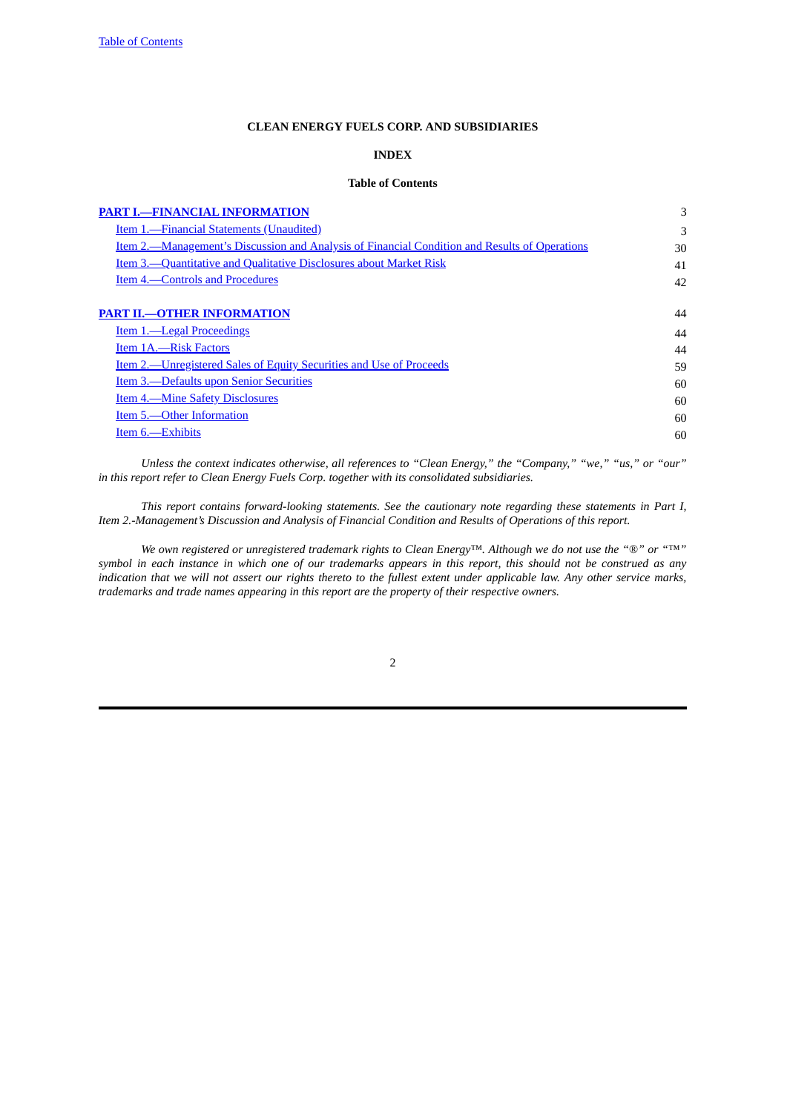# **CLEAN ENERGY FUELS CORP. AND SUBSIDIARIES**

### **INDEX**

# **Table of Contents**

<span id="page-1-0"></span>

| PART I.—FINANCIAL INFORMATION                                                                        | 3  |
|------------------------------------------------------------------------------------------------------|----|
| Item 1.-Financial Statements (Unaudited)                                                             | 3  |
| <u>Item 2.—Management's Discussion and Analysis of Financial Condition and Results of Operations</u> | 30 |
| Item 3.—Quantitative and Qualitative Disclosures about Market Risk                                   | 41 |
| Item 4.—Controls and Procedures                                                                      | 42 |
|                                                                                                      |    |
| <b>PART II.—OTHER INFORMATION</b>                                                                    | 44 |
| Item 1.—Legal Proceedings                                                                            | 44 |
| Item 1A,—Risk Factors                                                                                | 44 |
| Item 2.—Unregistered Sales of Equity Securities and Use of Proceeds                                  | 59 |
| Item 3.—Defaults upon Senior Securities                                                              | 60 |
| Item 4.—Mine Safety Disclosures                                                                      | 60 |
| Item 5.—Other Information                                                                            | 60 |
| Item 6.-Exhibits                                                                                     | 60 |
|                                                                                                      |    |

*Unless the context indicates otherwise, all references to "Clean Energy," the "Company," "we," "us," or "our" in this report refer to Clean Energy Fuels Corp. together with its consolidated subsidiaries.*

*This report contains forward-looking statements. See the cautionary note regarding these statements in Part I, Item 2.-Management's Discussion and Analysis of Financial Condition and Results of Operations of this report.*

We own registered or unregistered trademark rights to Clean Energy<sup>TM</sup>. Although we do not use the " $@$ " or "TM" symbol in each instance in which one of our trademarks appears in this report, this should not be construed as any indication that we will not assert our rights thereto to the fullest extent under applicable law. Any other service marks, *trademarks and trade names appearing in this report are the property of their respective owners.*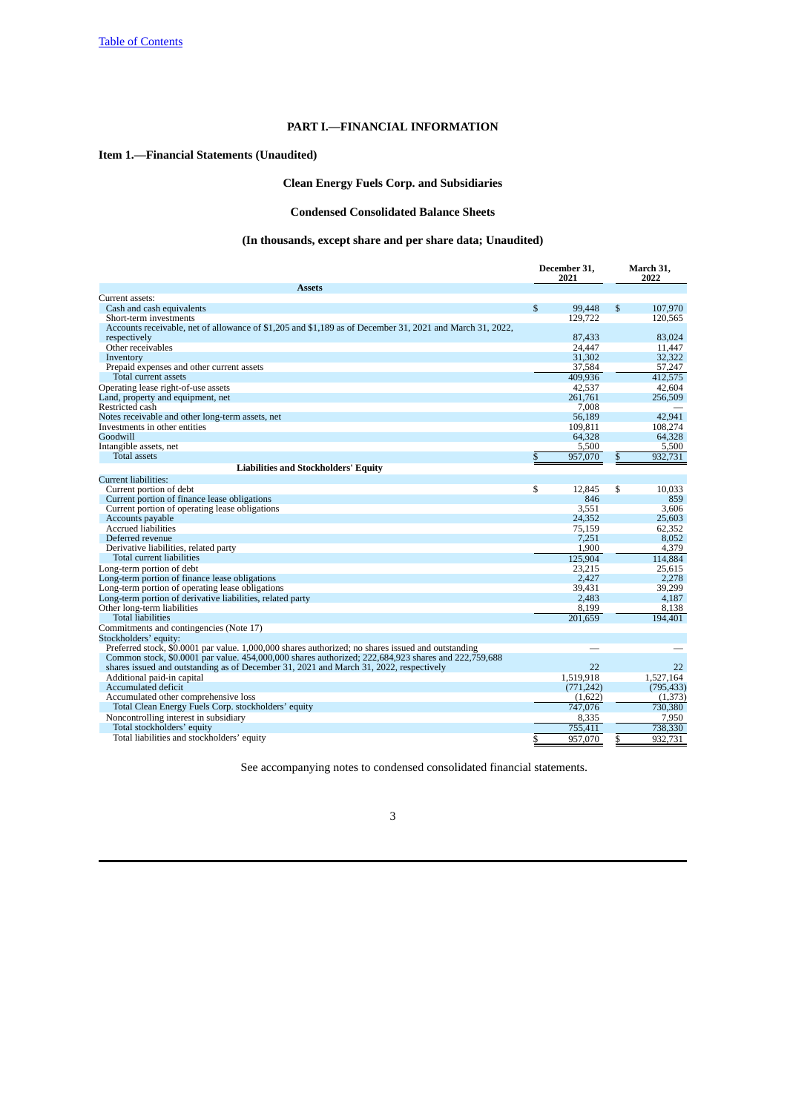# **PART I.—FINANCIAL INFORMATION**

### <span id="page-2-1"></span><span id="page-2-0"></span>**Item 1.—Financial Statements (Unaudited)**

# **Clean Energy Fuels Corp. and Subsidiaries**

# **Condensed Consolidated Balance Sheets**

# **(In thousands, except share and per share data; Unaudited)**

|                                                                                                                      | December 31,<br>2021 |    | March 31,<br>2022       |  |
|----------------------------------------------------------------------------------------------------------------------|----------------------|----|-------------------------|--|
| <b>Assets</b>                                                                                                        |                      |    |                         |  |
| Current assets:                                                                                                      |                      |    |                         |  |
| Cash and cash equivalents                                                                                            | \$<br>99,448         | \$ | 107,970                 |  |
| Short-term investments                                                                                               | 129.722              |    | 120,565                 |  |
| Accounts receivable, net of allowance of \$1,205 and \$1,189 as of December 31, 2021 and March 31, 2022,             |                      |    |                         |  |
| respectively                                                                                                         | 87,433               |    | 83.024                  |  |
| Other receivables                                                                                                    | 24,447               |    | 11,447                  |  |
| Inventory                                                                                                            | 31,302               |    | 32,322                  |  |
| Prepaid expenses and other current assets                                                                            | 37,584               |    | 57,247                  |  |
| Total current assets                                                                                                 | 409.936              |    | 412.575                 |  |
| Operating lease right-of-use assets                                                                                  | 42,537               |    | 42,604                  |  |
| Land, property and equipment, net                                                                                    | 261,761              |    | 256,509                 |  |
| Restricted cash                                                                                                      | 7.008                |    |                         |  |
| Notes receivable and other long-term assets, net                                                                     | 56,189               |    | 42,941                  |  |
| Investments in other entities                                                                                        | 109,811              |    | 108,274                 |  |
| Goodwill                                                                                                             | 64,328               |    | 64,328                  |  |
| Intangible assets, net                                                                                               | 5,500                |    | 5,500                   |  |
| <b>Total assets</b>                                                                                                  | \$<br>957,070        | \$ | 932,731                 |  |
| <b>Liabilities and Stockholders' Equity</b>                                                                          |                      |    |                         |  |
| Current liabilities:                                                                                                 |                      |    |                         |  |
| Current portion of debt                                                                                              | \$<br>12.845         | \$ | 10,033                  |  |
| Current portion of finance lease obligations                                                                         | 846                  |    | 859                     |  |
| Current portion of operating lease obligations                                                                       | 3,551                |    | 3,606                   |  |
| Accounts payable                                                                                                     | 24,352               |    | 25,603                  |  |
| <b>Accrued liabilities</b>                                                                                           | 75,159               |    | 62,352                  |  |
| Deferred revenue                                                                                                     | 7,251                |    | 8,052                   |  |
| Derivative liabilities, related party                                                                                | 1,900                |    | 4,379                   |  |
| Total current liabilities                                                                                            | 125,904              |    | 114,884                 |  |
| Long-term portion of debt                                                                                            | 23,215               |    | 25,615                  |  |
| Long-term portion of finance lease obligations                                                                       | 2,427                |    | 2,278                   |  |
| Long-term portion of operating lease obligations                                                                     | 39,431               |    | 39,299                  |  |
| Long-term portion of derivative liabilities, related party                                                           | 2,483                |    | 4,187                   |  |
| Other long-term liabilities                                                                                          | 8,199                |    | 8,138                   |  |
| <b>Total liabilities</b>                                                                                             | 201,659              |    | 194,401                 |  |
| Commitments and contingencies (Note 17)                                                                              |                      |    |                         |  |
| Stockholders' equity:                                                                                                |                      |    |                         |  |
| Preferred stock, \$0.0001 par value. 1,000,000 shares authorized; no shares issued and outstanding                   |                      |    |                         |  |
| Common stock, \$0.0001 par value. 454,000,000 shares authorized; 222,684,923 shares and 222,759,688                  | 22                   |    |                         |  |
| shares issued and outstanding as of December 31, 2021 and March 31, 2022, respectively<br>Additional paid-in capital | 1,519,918            |    | 22                      |  |
| Accumulated deficit                                                                                                  | (771, 242)           |    | 1,527,164<br>(795, 433) |  |
| Accumulated other comprehensive loss                                                                                 | (1,622)              |    | (1,373)                 |  |
| Total Clean Energy Fuels Corp. stockholders' equity                                                                  | 747,076              |    | 730,380                 |  |
| Noncontrolling interest in subsidiary                                                                                | 8,335                |    | 7,950                   |  |
| Total stockholders' equity                                                                                           | 755,411              |    | 738,330                 |  |
| Total liabilities and stockholders' equity                                                                           |                      |    |                         |  |
|                                                                                                                      | \$<br>957,070        | \$ | 932,731                 |  |

See accompanying notes to condensed consolidated financial statements.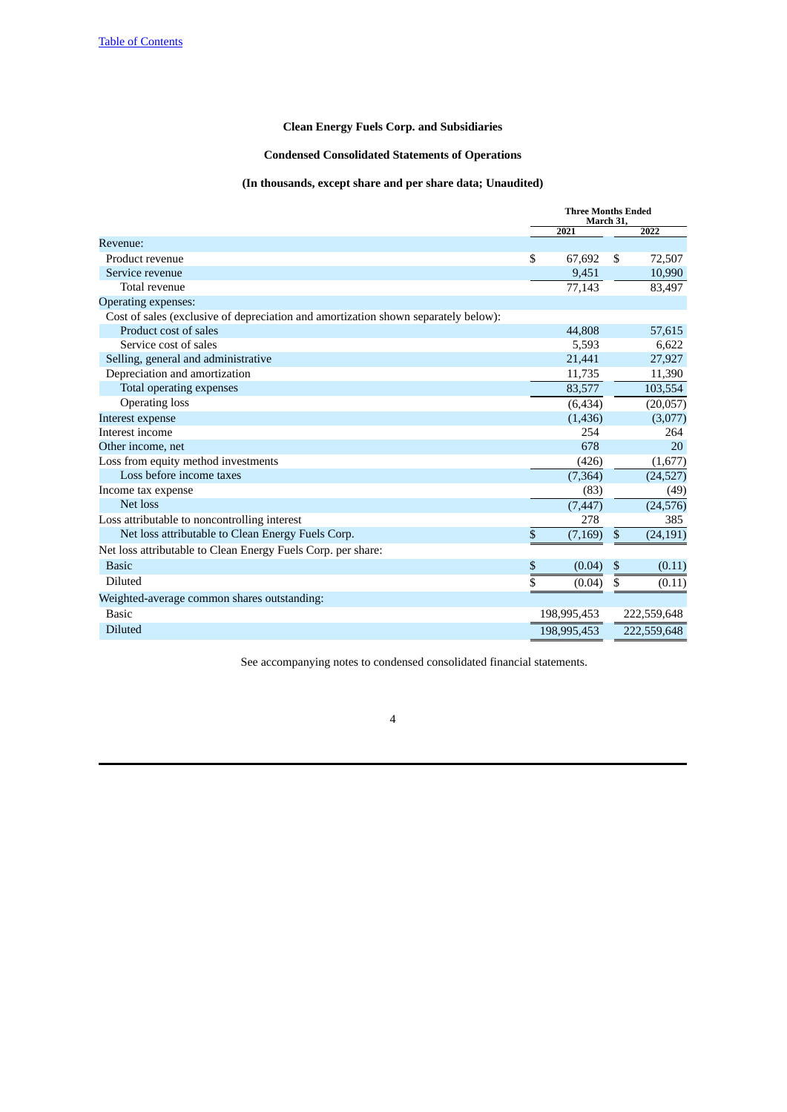# **Condensed Consolidated Statements of Operations**

# **(In thousands, except share and per share data; Unaudited)**

|                                                                                    | <b>Three Months Ended</b><br>March 31, |                |             |
|------------------------------------------------------------------------------------|----------------------------------------|----------------|-------------|
|                                                                                    | 2021                                   |                | 2022        |
| Revenue:                                                                           |                                        |                |             |
| Product revenue                                                                    | \$<br>67,692                           | S.             | 72,507      |
| Service revenue                                                                    | 9,451                                  |                | 10,990      |
| Total revenue                                                                      | 77,143                                 |                | 83,497      |
| <b>Operating expenses:</b>                                                         |                                        |                |             |
| Cost of sales (exclusive of depreciation and amortization shown separately below): |                                        |                |             |
| Product cost of sales                                                              | 44,808                                 |                | 57,615      |
| Service cost of sales                                                              | 5.593                                  |                | 6.622       |
| Selling, general and administrative                                                | 21,441                                 |                | 27,927      |
| Depreciation and amortization                                                      | 11,735                                 |                | 11,390      |
| Total operating expenses                                                           | 83,577                                 |                | 103,554     |
| Operating loss                                                                     | (6, 434)                               |                | (20,057)    |
| Interest expense                                                                   | (1,436)                                |                | (3,077)     |
| Interest income                                                                    | 254                                    |                | 264         |
| Other income, net                                                                  | 678                                    |                | 20          |
| Loss from equity method investments                                                | (426)                                  |                | (1,677)     |
| Loss before income taxes                                                           | (7, 364)                               |                | (24, 527)   |
| Income tax expense                                                                 | (83)                                   |                | (49)        |
| Net loss                                                                           | (7, 447)                               |                | (24, 576)   |
| Loss attributable to noncontrolling interest                                       | 278                                    |                | 385         |
| Net loss attributable to Clean Energy Fuels Corp.                                  | \$<br>(7, 169)                         | $\mathfrak{S}$ | (24, 191)   |
| Net loss attributable to Clean Energy Fuels Corp. per share:                       |                                        |                |             |
| <b>Basic</b>                                                                       | \$<br>(0.04)                           | \$             | (0.11)      |
| <b>Diluted</b>                                                                     | \$<br>(0.04)                           | \$             | (0.11)      |
| Weighted-average common shares outstanding:                                        |                                        |                |             |
| <b>Basic</b>                                                                       | 198,995,453                            |                | 222,559,648 |
| <b>Diluted</b>                                                                     | 198,995,453                            |                | 222,559,648 |

See accompanying notes to condensed consolidated financial statements.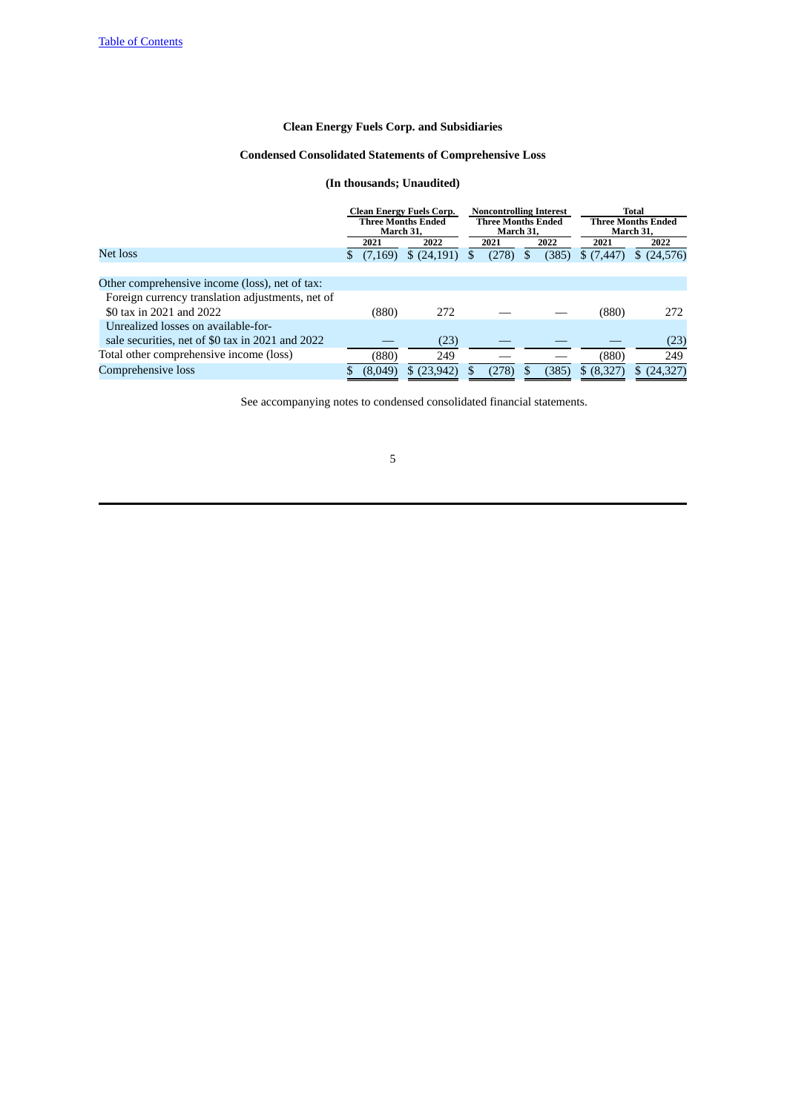# **Condensed Consolidated Statements of Comprehensive Loss**

# **(In thousands; Unaudited)**

|                                                  | <b>Noncontrolling Interest</b><br><b>Clean Energy Fuels Corp.</b><br><b>Three Months Ended</b><br><b>Three Months Ended</b><br>March 31.<br>March 31. |          |            |  |       | Total<br><b>Three Months Ended</b><br>March 31. |               |           |
|--------------------------------------------------|-------------------------------------------------------------------------------------------------------------------------------------------------------|----------|------------|--|-------|-------------------------------------------------|---------------|-----------|
|                                                  |                                                                                                                                                       | 2021     | 2022       |  | 2021  | 2022                                            | 2021          | 2022      |
| Net loss                                         |                                                                                                                                                       | (7, 169) | \$(24,191) |  | (278) | (385)                                           | \$(7,447)     | (24, 576) |
|                                                  |                                                                                                                                                       |          |            |  |       |                                                 |               |           |
| Other comprehensive income (loss), net of tax:   |                                                                                                                                                       |          |            |  |       |                                                 |               |           |
| Foreign currency translation adjustments, net of |                                                                                                                                                       |          |            |  |       |                                                 |               |           |
| \$0 tax in 2021 and 2022                         |                                                                                                                                                       | (880)    | 272        |  |       |                                                 | (880)         | 272       |
| Unrealized losses on available-for-              |                                                                                                                                                       |          |            |  |       |                                                 |               |           |
| sale securities, net of \$0 tax in 2021 and 2022 |                                                                                                                                                       |          | (23)       |  |       |                                                 |               | (23)      |
| Total other comprehensive income (loss)          |                                                                                                                                                       | (880)    | 249        |  |       |                                                 | (880)         | 249       |
| Comprehensive loss                               |                                                                                                                                                       | (8,049)  | (23.942)   |  | (278) | (385)                                           | (8,327)<br>S. | (24, 327) |

See accompanying notes to condensed consolidated financial statements.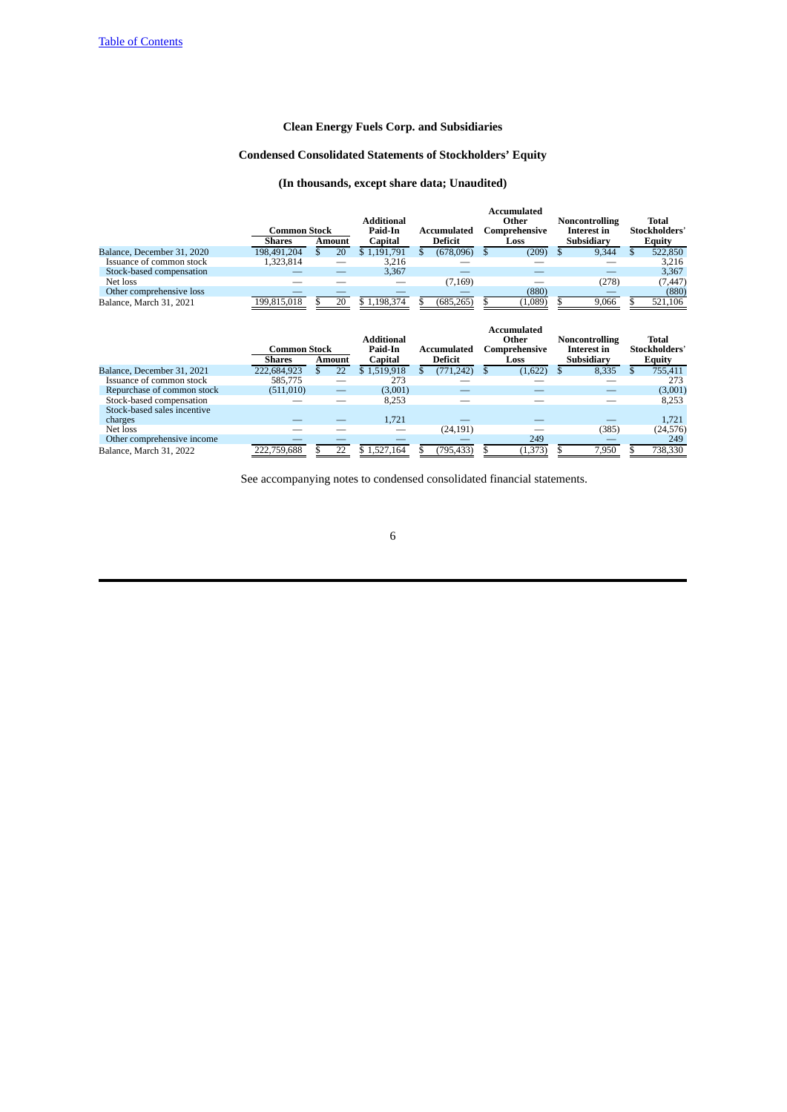# **Condensed Consolidated Statements of Stockholders' Equity**

# **(In thousands, except share data; Unaudited)**

|                            |                     |        |                   |                | Accumulated   |                   |               |
|----------------------------|---------------------|--------|-------------------|----------------|---------------|-------------------|---------------|
|                            |                     |        | <b>Additional</b> |                | Other         | Noncontrolling    | <b>Total</b>  |
|                            | <b>Common Stock</b> |        | Paid-In           | Accumulated    | Comprehensive | Interest in       | Stockholders' |
|                            | <b>Shares</b>       | Amount | Capital           | <b>Deficit</b> | Loss          | <b>Subsidiarv</b> | Equity        |
| Balance, December 31, 2020 | 198.491.204         | 20     | \$1.191.791       | (678,096)      | (209)         | 9,344             | 522,850       |
| Issuance of common stock   | 1,323,814           |        | 3,216             |                |               |                   | 3,216         |
| Stock-based compensation   |                     |        | 3,367             |                |               |                   | 3,367         |
| Net loss                   |                     |        |                   | (7, 169)       |               | (278)             | (7, 447)      |
| Other comprehensive loss   |                     |        |                   |                | (880)         |                   | (880)         |
| Balance, March 31, 2021    | 199,815,018         | 20     | .,198,374         | (685, 265)     | (1,089)       | 9,066             | 521,106       |

|                             |                     |        | <b>Additional</b> |             | Accumulated<br>Other | <b>Noncontrolling</b> | <b>Total</b>  |
|-----------------------------|---------------------|--------|-------------------|-------------|----------------------|-----------------------|---------------|
|                             | <b>Common Stock</b> |        | Paid-In           | Accumulated | Comprehensive        | Interest in           | Stockholders' |
|                             | <b>Shares</b>       | Amount | Capital           | Deficit     | Loss                 | <b>Subsidiarv</b>     | Equity        |
| Balance, December 31, 2021  | 222,684,923         | 22     | \$1,519,918       | (771, 242)  | (1,622)              | 8,335                 | 755,411       |
| Issuance of common stock    | 585,775             |        | 273               |             |                      |                       | 273           |
| Repurchase of common stock  | (511, 010)          |        | (3,001)           |             |                      |                       | (3,001)       |
| Stock-based compensation    |                     |        | 8,253             |             |                      |                       | 8,253         |
| Stock-based sales incentive |                     |        |                   |             |                      |                       |               |
| charges                     |                     |        | 1.721             |             |                      |                       | 1.721         |
| Net loss                    |                     |        |                   | (24, 191)   |                      | (385)                 | (24, 576)     |
| Other comprehensive income  |                     |        |                   |             | 249                  |                       | 249           |
| Balance, March 31, 2022     | 222.759.688         | 22     | \$1,527,164       | (795, 433)  | (1, 373)             | 7,950                 | 738,330       |

See accompanying notes to condensed consolidated financial statements.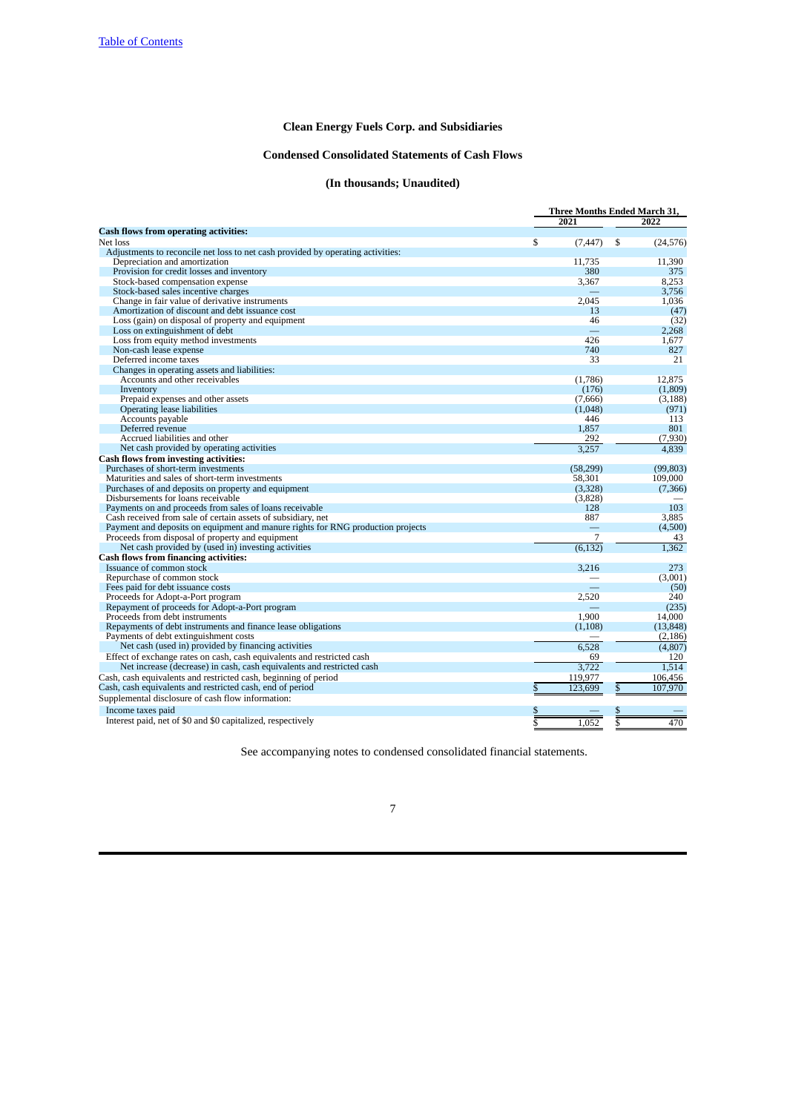# **Condensed Consolidated Statements of Cash Flows**

# **(In thousands; Unaudited)**

|                                                                                 | Three Months Ended March 31, |                |           |
|---------------------------------------------------------------------------------|------------------------------|----------------|-----------|
|                                                                                 | 2021                         |                | 2022      |
| <b>Cash flows from operating activities:</b>                                    |                              |                |           |
| Net loss                                                                        | \$<br>(7, 447)               | \$             | (24, 576) |
| Adjustments to reconcile net loss to net cash provided by operating activities: |                              |                |           |
| Depreciation and amortization                                                   | 11,735                       |                | 11,390    |
| Provision for credit losses and inventory                                       | 380                          |                | 375       |
| Stock-based compensation expense                                                | 3,367                        |                | 8,253     |
| Stock-based sales incentive charges                                             |                              |                | 3.756     |
| Change in fair value of derivative instruments                                  | 2,045                        |                | 1,036     |
| Amortization of discount and debt issuance cost                                 | 13                           |                | (47)      |
| Loss (gain) on disposal of property and equipment                               | 46                           |                | (32)      |
| Loss on extinguishment of debt                                                  |                              |                | 2,268     |
| Loss from equity method investments                                             | 426                          |                | 1,677     |
| Non-cash lease expense                                                          | 740                          |                | 827       |
| Deferred income taxes                                                           | 33                           |                | 21        |
| Changes in operating assets and liabilities:                                    |                              |                |           |
| Accounts and other receivables                                                  | (1,786)                      |                | 12.875    |
| Inventory                                                                       | (176)                        |                | (1,809)   |
| Prepaid expenses and other assets                                               | (7,666)                      |                | (3, 188)  |
| Operating lease liabilities                                                     | (1,048)                      |                | (971)     |
| Accounts payable                                                                | 446                          |                | 113       |
| Deferred revenue                                                                | 1,857                        |                | 801       |
| Accrued liabilities and other                                                   | 292                          |                | (7,930)   |
| Net cash provided by operating activities                                       | 3,257                        |                | 4,839     |
| <b>Cash flows from investing activities:</b>                                    |                              |                |           |
| Purchases of short-term investments                                             | (58, 299)                    |                | (99,803)  |
| Maturities and sales of short-term investments                                  | 58,301                       |                | 109,000   |
| Purchases of and deposits on property and equipment                             | (3,328)                      |                | (7, 366)  |
| Disbursements for loans receivable                                              | (3,828)                      |                |           |
| Payments on and proceeds from sales of loans receivable                         | 128                          |                | 103       |
| Cash received from sale of certain assets of subsidiary, net                    | 887                          |                | 3,885     |
| Payment and deposits on equipment and manure rights for RNG production projects |                              |                | (4,500)   |
|                                                                                 | $\overline{7}$               |                |           |
| Proceeds from disposal of property and equipment                                |                              |                | 43        |
| Net cash provided by (used in) investing activities                             | (6, 132)                     |                | 1,362     |
| <b>Cash flows from financing activities:</b>                                    |                              |                |           |
| Issuance of common stock                                                        | 3.216                        |                | 273       |
| Repurchase of common stock                                                      |                              |                | (3,001)   |
| Fees paid for debt issuance costs                                               |                              |                | (50)      |
| Proceeds for Adopt-a-Port program                                               | 2,520                        |                | 240       |
| Repayment of proceeds for Adopt-a-Port program                                  |                              |                | (235)     |
| Proceeds from debt instruments                                                  | 1.900                        |                | 14,000    |
| Repayments of debt instruments and finance lease obligations                    | (1,108)                      |                | (13, 848) |
| Payments of debt extinguishment costs                                           |                              |                | (2, 186)  |
| Net cash (used in) provided by financing activities                             | 6,528                        |                | (4,807)   |
| Effect of exchange rates on cash, cash equivalents and restricted cash          | 69                           |                | 120       |
| Net increase (decrease) in cash, cash equivalents and restricted cash           | 3.722                        |                | 1,514     |
| Cash, cash equivalents and restricted cash, beginning of period                 | 119,977                      |                | 106,456   |
| Cash, cash equivalents and restricted cash, end of period                       | \$<br>123.699                | \$             | 107.970   |
| Supplemental disclosure of cash flow information:                               |                              |                |           |
| Income taxes paid                                                               | \$                           | \$             |           |
|                                                                                 |                              |                |           |
| Interest paid, net of \$0 and \$0 capitalized, respectively                     | 1.052                        | $\overline{s}$ | 470       |

See accompanying notes to condensed consolidated financial statements.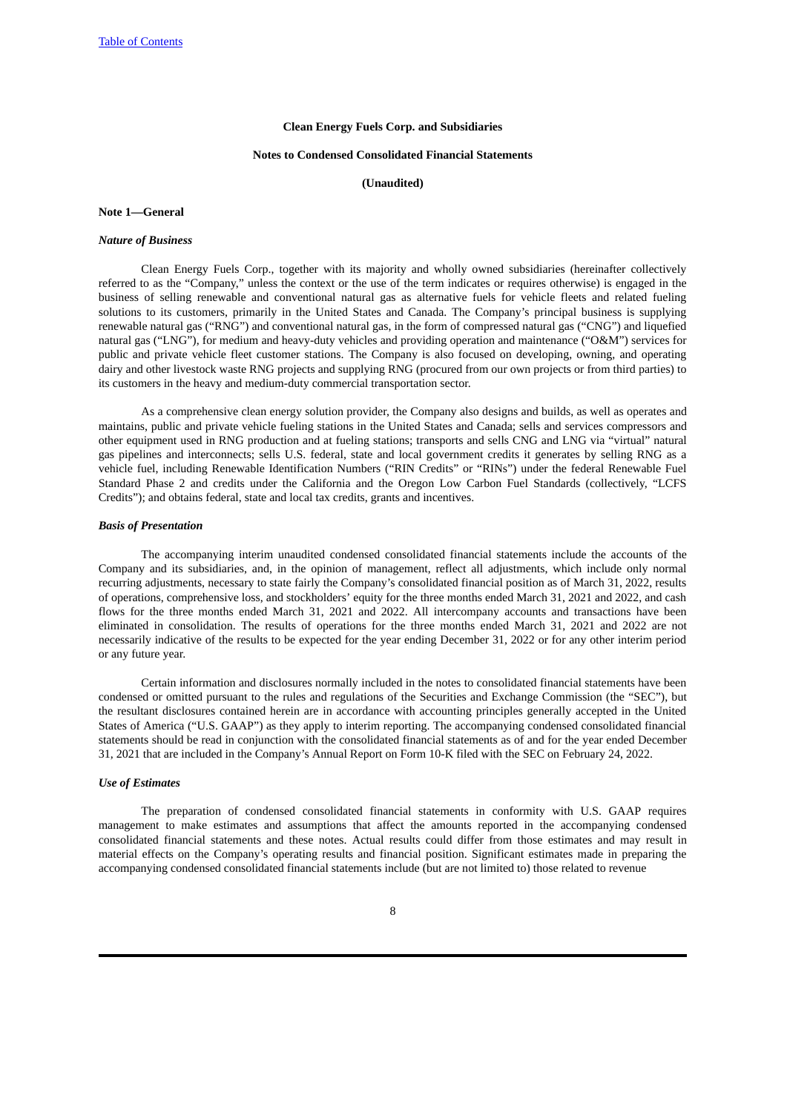#### **Notes to Condensed Consolidated Financial Statements**

### **(Unaudited)**

#### **Note 1—General**

### *Nature of Business*

Clean Energy Fuels Corp., together with its majority and wholly owned subsidiaries (hereinafter collectively referred to as the "Company," unless the context or the use of the term indicates or requires otherwise) is engaged in the business of selling renewable and conventional natural gas as alternative fuels for vehicle fleets and related fueling solutions to its customers, primarily in the United States and Canada. The Company's principal business is supplying renewable natural gas ("RNG") and conventional natural gas, in the form of compressed natural gas ("CNG") and liquefied natural gas ("LNG"), for medium and heavy-duty vehicles and providing operation and maintenance ("O&M") services for public and private vehicle fleet customer stations. The Company is also focused on developing, owning, and operating dairy and other livestock waste RNG projects and supplying RNG (procured from our own projects or from third parties) to its customers in the heavy and medium-duty commercial transportation sector.

As a comprehensive clean energy solution provider, the Company also designs and builds, as well as operates and maintains, public and private vehicle fueling stations in the United States and Canada; sells and services compressors and other equipment used in RNG production and at fueling stations; transports and sells CNG and LNG via "virtual" natural gas pipelines and interconnects; sells U.S. federal, state and local government credits it generates by selling RNG as a vehicle fuel, including Renewable Identification Numbers ("RIN Credits" or "RINs") under the federal Renewable Fuel Standard Phase 2 and credits under the California and the Oregon Low Carbon Fuel Standards (collectively, "LCFS Credits"); and obtains federal, state and local tax credits, grants and incentives.

#### *Basis of Presentation*

The accompanying interim unaudited condensed consolidated financial statements include the accounts of the Company and its subsidiaries, and, in the opinion of management, reflect all adjustments, which include only normal recurring adjustments, necessary to state fairly the Company's consolidated financial position as of March 31, 2022, results of operations, comprehensive loss, and stockholders' equity for the three months ended March 31, 2021 and 2022, and cash flows for the three months ended March 31, 2021 and 2022. All intercompany accounts and transactions have been eliminated in consolidation. The results of operations for the three months ended March 31, 2021 and 2022 are not necessarily indicative of the results to be expected for the year ending December 31, 2022 or for any other interim period or any future year.

Certain information and disclosures normally included in the notes to consolidated financial statements have been condensed or omitted pursuant to the rules and regulations of the Securities and Exchange Commission (the "SEC"), but the resultant disclosures contained herein are in accordance with accounting principles generally accepted in the United States of America ("U.S. GAAP") as they apply to interim reporting. The accompanying condensed consolidated financial statements should be read in conjunction with the consolidated financial statements as of and for the year ended December 31, 2021 that are included in the Company's Annual Report on Form 10-K filed with the SEC on February 24, 2022.

#### *Use of Estimates*

The preparation of condensed consolidated financial statements in conformity with U.S. GAAP requires management to make estimates and assumptions that affect the amounts reported in the accompanying condensed consolidated financial statements and these notes. Actual results could differ from those estimates and may result in material effects on the Company's operating results and financial position. Significant estimates made in preparing the accompanying condensed consolidated financial statements include (but are not limited to) those related to revenue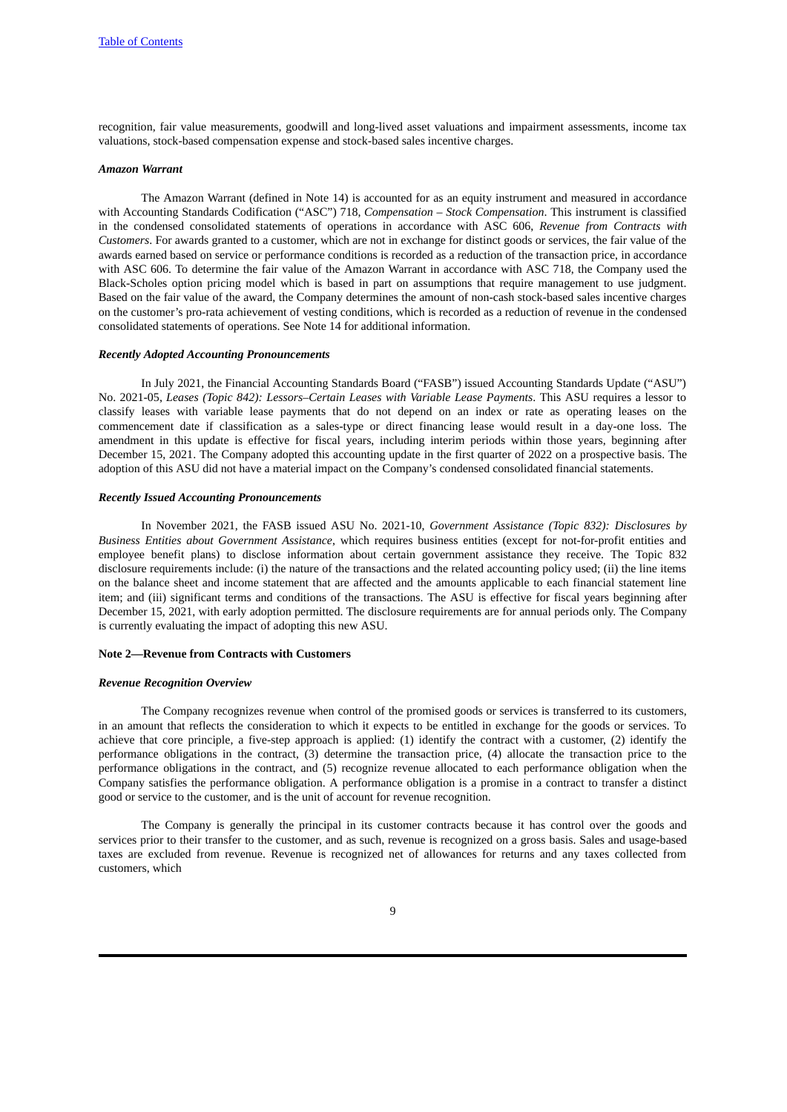recognition, fair value measurements, goodwill and long-lived asset valuations and impairment assessments, income tax valuations, stock-based compensation expense and stock-based sales incentive charges.

#### *Amazon Warrant*

The Amazon Warrant (defined in Note 14) is accounted for as an equity instrument and measured in accordance with Accounting Standards Codification ("ASC") 718, *Compensation – Stock Compensation*. This instrument is classified in the condensed consolidated statements of operations in accordance with ASC 606, *Revenue from Contracts with Customers*. For awards granted to a customer, which are not in exchange for distinct goods or services, the fair value of the awards earned based on service or performance conditions is recorded as a reduction of the transaction price, in accordance with ASC 606. To determine the fair value of the Amazon Warrant in accordance with ASC 718, the Company used the Black-Scholes option pricing model which is based in part on assumptions that require management to use judgment. Based on the fair value of the award, the Company determines the amount of non-cash stock-based sales incentive charges on the customer's pro-rata achievement of vesting conditions, which is recorded as a reduction of revenue in the condensed consolidated statements of operations. See Note 14 for additional information.

#### *Recently Adopted Accounting Pronouncements*

In July 2021, the Financial Accounting Standards Board ("FASB") issued Accounting Standards Update ("ASU") No. 2021-05, *Leases (Topic 842): Lessors–Certain Leases with Variable Lease Payments*. This ASU requires a lessor to classify leases with variable lease payments that do not depend on an index or rate as operating leases on the commencement date if classification as a sales-type or direct financing lease would result in a day-one loss. The amendment in this update is effective for fiscal years, including interim periods within those years, beginning after December 15, 2021. The Company adopted this accounting update in the first quarter of 2022 on a prospective basis. The adoption of this ASU did not have a material impact on the Company's condensed consolidated financial statements.

#### *Recently Issued Accounting Pronouncements*

In November 2021, the FASB issued ASU No. 2021-10, *Government Assistance (Topic 832): Disclosures by Business Entities about Government Assistance*, which requires business entities (except for not-for-profit entities and employee benefit plans) to disclose information about certain government assistance they receive. The Topic 832 disclosure requirements include: (i) the nature of the transactions and the related accounting policy used; (ii) the line items on the balance sheet and income statement that are affected and the amounts applicable to each financial statement line item; and (iii) significant terms and conditions of the transactions. The ASU is effective for fiscal years beginning after December 15, 2021, with early adoption permitted. The disclosure requirements are for annual periods only. The Company is currently evaluating the impact of adopting this new ASU.

#### **Note 2—Revenue from Contracts with Customers**

#### *Revenue Recognition Overview*

The Company recognizes revenue when control of the promised goods or services is transferred to its customers, in an amount that reflects the consideration to which it expects to be entitled in exchange for the goods or services. To achieve that core principle, a five-step approach is applied: (1) identify the contract with a customer, (2) identify the performance obligations in the contract, (3) determine the transaction price, (4) allocate the transaction price to the performance obligations in the contract, and (5) recognize revenue allocated to each performance obligation when the Company satisfies the performance obligation. A performance obligation is a promise in a contract to transfer a distinct good or service to the customer, and is the unit of account for revenue recognition.

The Company is generally the principal in its customer contracts because it has control over the goods and services prior to their transfer to the customer, and as such, revenue is recognized on a gross basis. Sales and usage-based taxes are excluded from revenue. Revenue is recognized net of allowances for returns and any taxes collected from customers, which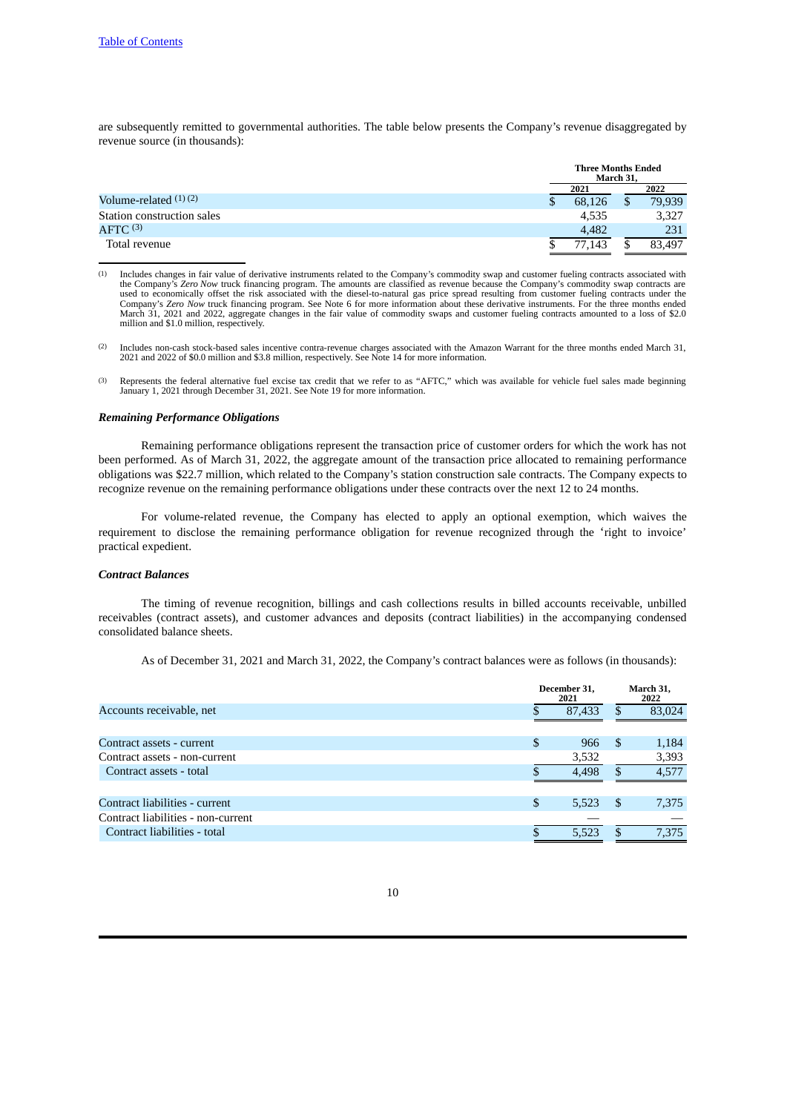are subsequently remitted to governmental authorities. The table below presents the Company's revenue disaggregated by revenue source (in thousands):

|                            | <b>Three Months Ended</b> | March 31, |        |
|----------------------------|---------------------------|-----------|--------|
|                            | 2021                      |           | 2022   |
| Volume-related $(1)(2)$    | 68,126                    |           | 79,939 |
| Station construction sales | 4,535                     |           | 3,327  |
| AFTC $(3)$                 | 4,482                     |           | 231    |
| Total revenue              | 77.143                    |           | 83.497 |
|                            |                           |           |        |

(1) Includes changes in fair value of derivative instruments related to the Company's commodity swap and customer fueling contracts associated with the Company's Zero Now truck financing program. The amounts are classified as revenue because the Company's commodity swap contracts are<br>used to economically offset the risk associated with the diesel-to-natural gas price March 31, 2021 and 2022, aggregate changes in the fair value of commodity swaps and customer fueling contracts amounted to a loss of \$2.0 million and \$1.0 million, respectively.

(2) Includes non-cash stock-based sales incentive contra-revenue charges associated with the Amazon Warrant for the three months ended March 31, 2021 and 2022 of \$0.0 million and \$3.8 million, respectively. See Note 14 fo

(3) Represents the federal alternative fuel excise tax credit that we refer to as "AFTC," which was available for vehicle fuel sales made beginning January 1, 2021 through December 31, 2021. See Note 19 for more information.

#### *Remaining Performance Obligations*

Remaining performance obligations represent the transaction price of customer orders for which the work has not been performed. As of March 31, 2022, the aggregate amount of the transaction price allocated to remaining performance obligations was \$22.7 million, which related to the Company's station construction sale contracts. The Company expects to recognize revenue on the remaining performance obligations under these contracts over the next 12 to 24 months.

For volume-related revenue, the Company has elected to apply an optional exemption, which waives the requirement to disclose the remaining performance obligation for revenue recognized through the 'right to invoice' practical expedient.

### *Contract Balances*

The timing of revenue recognition, billings and cash collections results in billed accounts receivable, unbilled receivables (contract assets), and customer advances and deposits (contract liabilities) in the accompanying condensed consolidated balance sheets.

As of December 31, 2021 and March 31, 2022, the Company's contract balances were as follows (in thousands):

|                                    | December 31.<br>2021 |      | March 31,<br>2022 |  |
|------------------------------------|----------------------|------|-------------------|--|
| Accounts receivable, net           | 87,433               | \$.  | 83,024            |  |
|                                    |                      |      |                   |  |
| Contract assets - current          | \$<br>966            | -S   | 1,184             |  |
| Contract assets - non-current      | 3,532                |      | 3,393             |  |
| Contract assets - total            | 4.498                | ה.   | 4,577             |  |
|                                    |                      |      |                   |  |
| Contract liabilities - current     | \$<br>5,523          | - \$ | 7,375             |  |
| Contract liabilities - non-current |                      |      |                   |  |
| Contract liabilities - total       | 5.523                | £.   | 7,375             |  |
|                                    |                      |      |                   |  |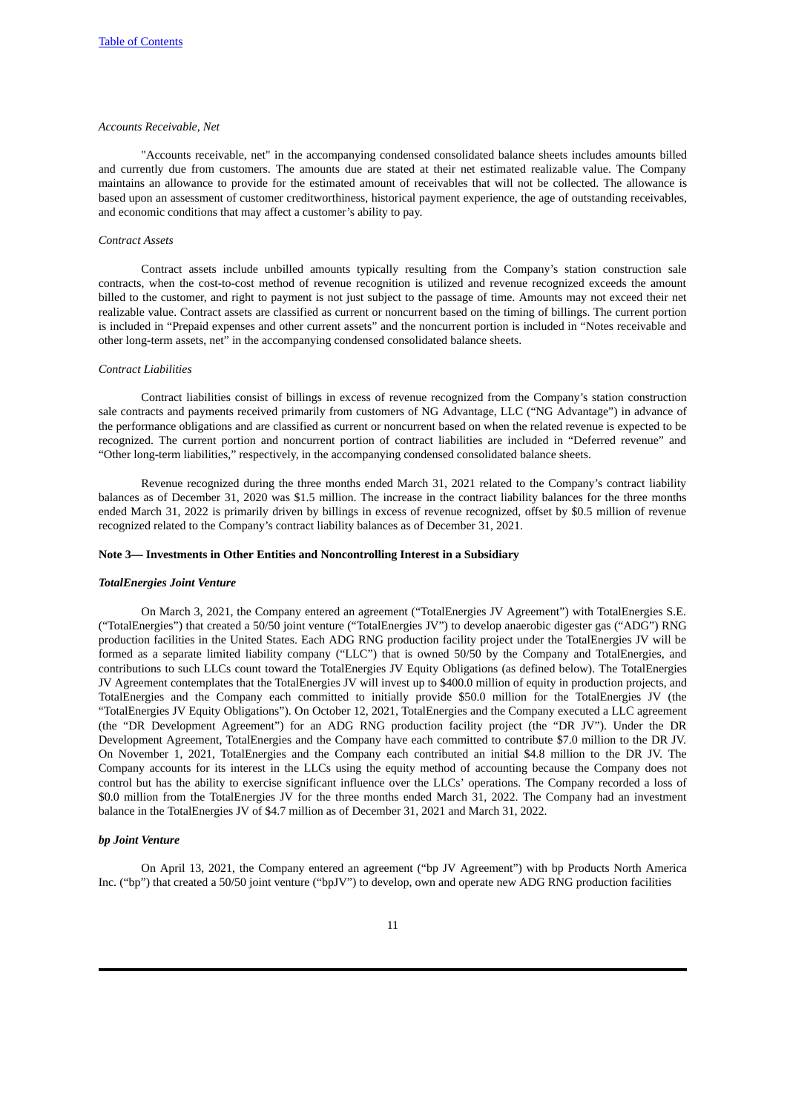### *Accounts Receivable, Net*

"Accounts receivable, net" in the accompanying condensed consolidated balance sheets includes amounts billed and currently due from customers. The amounts due are stated at their net estimated realizable value. The Company maintains an allowance to provide for the estimated amount of receivables that will not be collected. The allowance is based upon an assessment of customer creditworthiness, historical payment experience, the age of outstanding receivables, and economic conditions that may affect a customer's ability to pay.

### *Contract Assets*

Contract assets include unbilled amounts typically resulting from the Company's station construction sale contracts, when the cost-to-cost method of revenue recognition is utilized and revenue recognized exceeds the amount billed to the customer, and right to payment is not just subject to the passage of time. Amounts may not exceed their net realizable value. Contract assets are classified as current or noncurrent based on the timing of billings. The current portion is included in "Prepaid expenses and other current assets" and the noncurrent portion is included in "Notes receivable and other long-term assets, net" in the accompanying condensed consolidated balance sheets.

#### *Contract Liabilities*

Contract liabilities consist of billings in excess of revenue recognized from the Company's station construction sale contracts and payments received primarily from customers of NG Advantage, LLC ("NG Advantage") in advance of the performance obligations and are classified as current or noncurrent based on when the related revenue is expected to be recognized. The current portion and noncurrent portion of contract liabilities are included in "Deferred revenue" and "Other long-term liabilities," respectively, in the accompanying condensed consolidated balance sheets.

Revenue recognized during the three months ended March 31, 2021 related to the Company's contract liability balances as of December 31, 2020 was \$1.5 million. The increase in the contract liability balances for the three months ended March 31, 2022 is primarily driven by billings in excess of revenue recognized, offset by \$0.5 million of revenue recognized related to the Company's contract liability balances as of December 31, 2021.

#### **Note 3— Investments in Other Entities and Noncontrolling Interest in a Subsidiary**

### *TotalEnergies Joint Venture*

On March 3, 2021, the Company entered an agreement ("TotalEnergies JV Agreement") with TotalEnergies S.E. ("TotalEnergies") that created a 50/50 joint venture ("TotalEnergies JV") to develop anaerobic digester gas ("ADG") RNG production facilities in the United States. Each ADG RNG production facility project under the TotalEnergies JV will be formed as a separate limited liability company ("LLC") that is owned 50/50 by the Company and TotalEnergies, and contributions to such LLCs count toward the TotalEnergies JV Equity Obligations (as defined below). The TotalEnergies JV Agreement contemplates that the TotalEnergies JV will invest up to \$400.0 million of equity in production projects, and TotalEnergies and the Company each committed to initially provide \$50.0 million for the TotalEnergies JV (the "TotalEnergies JV Equity Obligations"). On October 12, 2021, TotalEnergies and the Company executed a LLC agreement (the "DR Development Agreement") for an ADG RNG production facility project (the "DR JV"). Under the DR Development Agreement, TotalEnergies and the Company have each committed to contribute \$7.0 million to the DR JV. On November 1, 2021, TotalEnergies and the Company each contributed an initial \$4.8 million to the DR JV. The Company accounts for its interest in the LLCs using the equity method of accounting because the Company does not control but has the ability to exercise significant influence over the LLCs' operations. The Company recorded a loss of \$0.0 million from the TotalEnergies JV for the three months ended March 31, 2022. The Company had an investment balance in the TotalEnergies JV of \$4.7 million as of December 31, 2021 and March 31, 2022.

#### *bp Joint Venture*

On April 13, 2021, the Company entered an agreement ("bp JV Agreement") with bp Products North America Inc. ("bp") that created a 50/50 joint venture ("bpJV") to develop, own and operate new ADG RNG production facilities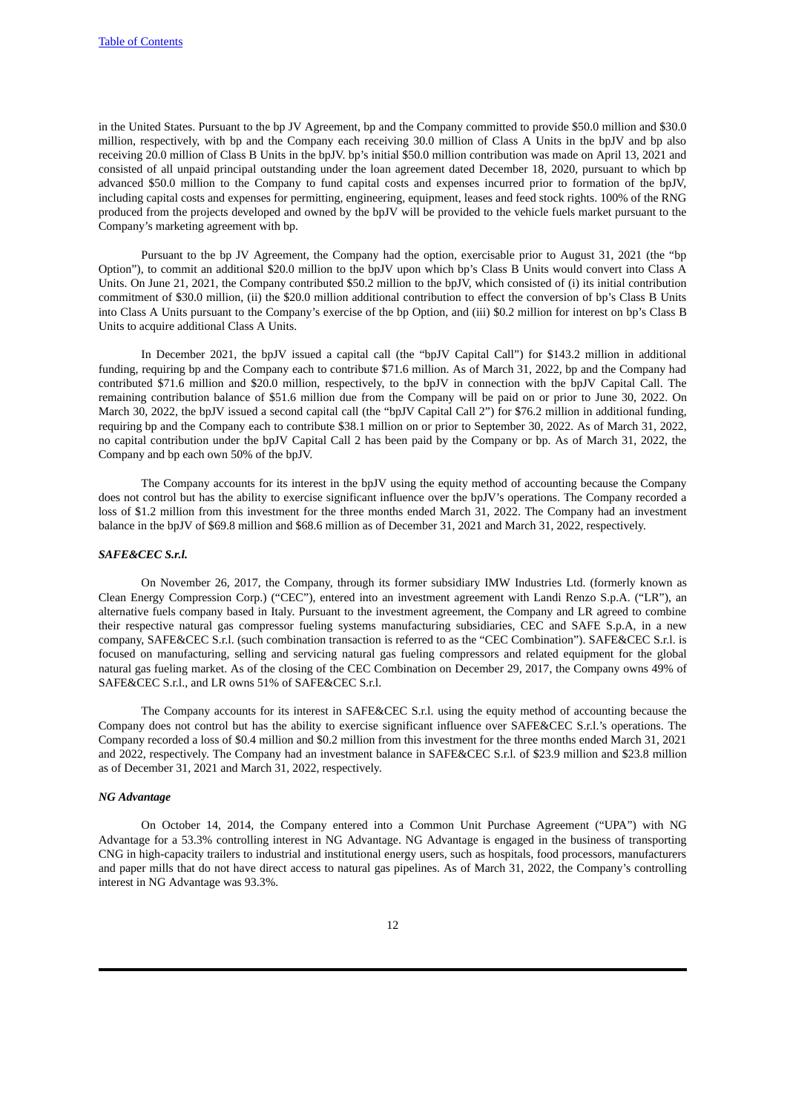in the United States. Pursuant to the bp JV Agreement, bp and the Company committed to provide \$50.0 million and \$30.0 million, respectively, with bp and the Company each receiving 30.0 million of Class A Units in the bpJV and bp also receiving 20.0 million of Class B Units in the bpJV. bp's initial \$50.0 million contribution was made on April 13, 2021 and consisted of all unpaid principal outstanding under the loan agreement dated December 18, 2020, pursuant to which bp advanced \$50.0 million to the Company to fund capital costs and expenses incurred prior to formation of the bpJV, including capital costs and expenses for permitting, engineering, equipment, leases and feed stock rights. 100% of the RNG produced from the projects developed and owned by the bpJV will be provided to the vehicle fuels market pursuant to the Company's marketing agreement with bp.

Pursuant to the bp JV Agreement, the Company had the option, exercisable prior to August 31, 2021 (the "bp Option"), to commit an additional \$20.0 million to the bpJV upon which bp's Class B Units would convert into Class A Units. On June 21, 2021, the Company contributed \$50.2 million to the bpJV, which consisted of (i) its initial contribution commitment of \$30.0 million, (ii) the \$20.0 million additional contribution to effect the conversion of bp's Class B Units into Class A Units pursuant to the Company's exercise of the bp Option, and (iii) \$0.2 million for interest on bp's Class B Units to acquire additional Class A Units.

In December 2021, the bpJV issued a capital call (the "bpJV Capital Call") for \$143.2 million in additional funding, requiring bp and the Company each to contribute \$71.6 million. As of March 31, 2022, bp and the Company had contributed \$71.6 million and \$20.0 million, respectively, to the bpJV in connection with the bpJV Capital Call. The remaining contribution balance of \$51.6 million due from the Company will be paid on or prior to June 30, 2022. On March 30, 2022, the bpJV issued a second capital call (the "bpJV Capital Call 2") for \$76.2 million in additional funding, requiring bp and the Company each to contribute \$38.1 million on or prior to September 30, 2022. As of March 31, 2022, no capital contribution under the bpJV Capital Call 2 has been paid by the Company or bp. As of March 31, 2022, the Company and bp each own 50% of the bpJV.

The Company accounts for its interest in the bpJV using the equity method of accounting because the Company does not control but has the ability to exercise significant influence over the bpJV's operations. The Company recorded a loss of \$1.2 million from this investment for the three months ended March 31, 2022. The Company had an investment balance in the bpJV of \$69.8 million and \$68.6 million as of December 31, 2021 and March 31, 2022, respectively.

### *SAFE&CEC S.r.l.*

On November 26, 2017, the Company, through its former subsidiary IMW Industries Ltd. (formerly known as Clean Energy Compression Corp.) ("CEC"), entered into an investment agreement with Landi Renzo S.p.A. ("LR"), an alternative fuels company based in Italy. Pursuant to the investment agreement, the Company and LR agreed to combine their respective natural gas compressor fueling systems manufacturing subsidiaries, CEC and SAFE S.p.A, in a new company, SAFE&CEC S.r.l. (such combination transaction is referred to as the "CEC Combination"). SAFE&CEC S.r.l. is focused on manufacturing, selling and servicing natural gas fueling compressors and related equipment for the global natural gas fueling market. As of the closing of the CEC Combination on December 29, 2017, the Company owns 49% of SAFE&CEC S.r.l., and LR owns 51% of SAFE&CEC S.r.l.

The Company accounts for its interest in SAFE&CEC S.r.l. using the equity method of accounting because the Company does not control but has the ability to exercise significant influence over SAFE&CEC S.r.l.'s operations. The Company recorded a loss of \$0.4 million and \$0.2 million from this investment for the three months ended March 31, 2021 and 2022, respectively. The Company had an investment balance in SAFE&CEC S.r.l. of \$23.9 million and \$23.8 million as of December 31, 2021 and March 31, 2022, respectively.

#### *NG Advantage*

On October 14, 2014, the Company entered into a Common Unit Purchase Agreement ("UPA") with NG Advantage for a 53.3% controlling interest in NG Advantage. NG Advantage is engaged in the business of transporting CNG in high-capacity trailers to industrial and institutional energy users, such as hospitals, food processors, manufacturers and paper mills that do not have direct access to natural gas pipelines. As of March 31, 2022, the Company's controlling interest in NG Advantage was 93.3%.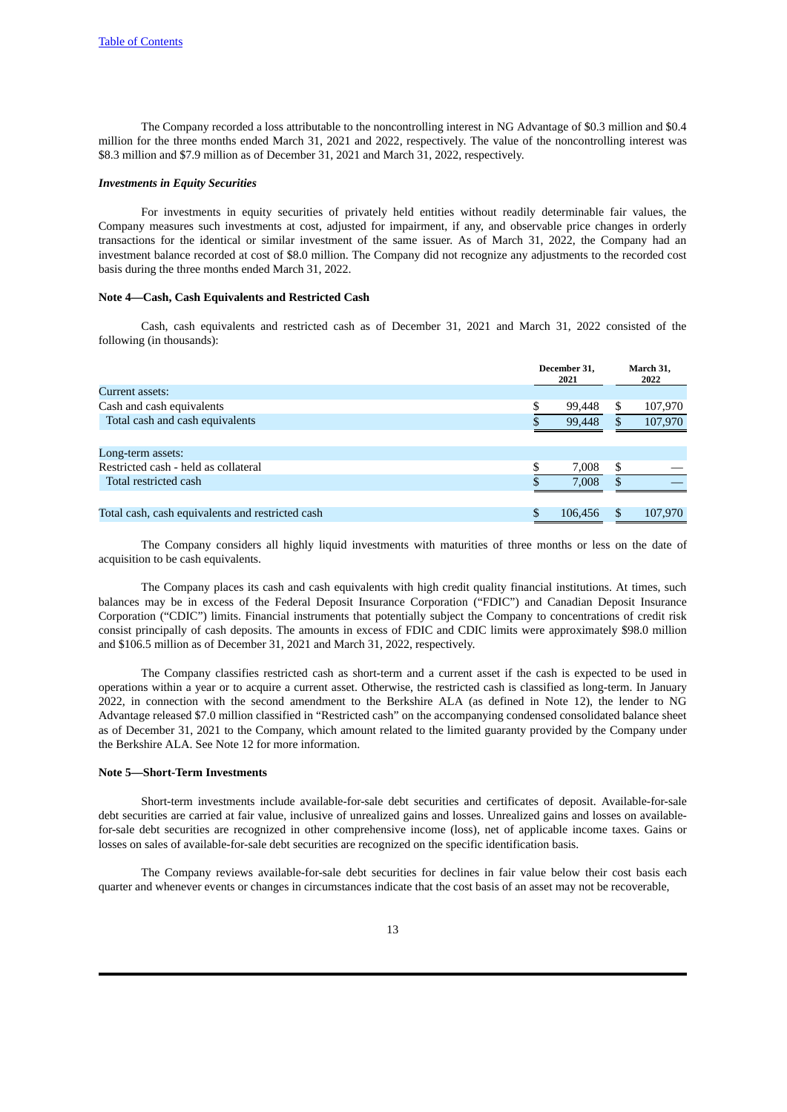The Company recorded a loss attributable to the noncontrolling interest in NG Advantage of \$0.3 million and \$0.4 million for the three months ended March 31, 2021 and 2022, respectively. The value of the noncontrolling interest was \$8.3 million and \$7.9 million as of December 31, 2021 and March 31, 2022, respectively.

#### *Investments in Equity Securities*

For investments in equity securities of privately held entities without readily determinable fair values, the Company measures such investments at cost, adjusted for impairment, if any, and observable price changes in orderly transactions for the identical or similar investment of the same issuer. As of March 31, 2022, the Company had an investment balance recorded at cost of \$8.0 million. The Company did not recognize any adjustments to the recorded cost basis during the three months ended March 31, 2022.

### **Note 4—Cash, Cash Equivalents and Restricted Cash**

Cash, cash equivalents and restricted cash as of December 31, 2021 and March 31, 2022 consisted of the following (in thousands):

|                                                  | December 31.<br>2021 |     | March 31,<br>2022 |
|--------------------------------------------------|----------------------|-----|-------------------|
| Current assets:                                  |                      |     |                   |
| Cash and cash equivalents                        | 99,448               | S   | 107,970           |
| Total cash and cash equivalents                  | 99,448               | \$  | 107,970           |
|                                                  |                      |     |                   |
| Long-term assets:                                |                      |     |                   |
| Restricted cash - held as collateral             | 7.008                | \$. |                   |
| Total restricted cash                            | 7.008                | £.  |                   |
|                                                  |                      |     |                   |
| Total cash, cash equivalents and restricted cash | 106,456              | \$. | 107,970           |

The Company considers all highly liquid investments with maturities of three months or less on the date of acquisition to be cash equivalents.

The Company places its cash and cash equivalents with high credit quality financial institutions. At times, such balances may be in excess of the Federal Deposit Insurance Corporation ("FDIC") and Canadian Deposit Insurance Corporation ("CDIC") limits. Financial instruments that potentially subject the Company to concentrations of credit risk consist principally of cash deposits. The amounts in excess of FDIC and CDIC limits were approximately \$98.0 million and \$106.5 million as of December 31, 2021 and March 31, 2022, respectively.

The Company classifies restricted cash as short-term and a current asset if the cash is expected to be used in operations within a year or to acquire a current asset. Otherwise, the restricted cash is classified as long-term. In January 2022, in connection with the second amendment to the Berkshire ALA (as defined in Note 12), the lender to NG Advantage released \$7.0 million classified in "Restricted cash" on the accompanying condensed consolidated balance sheet as of December 31, 2021 to the Company, which amount related to the limited guaranty provided by the Company under the Berkshire ALA. See Note 12 for more information.

#### **Note 5—Short-Term Investments**

Short-term investments include available-for-sale debt securities and certificates of deposit. Available-for-sale debt securities are carried at fair value, inclusive of unrealized gains and losses. Unrealized gains and losses on availablefor-sale debt securities are recognized in other comprehensive income (loss), net of applicable income taxes. Gains or losses on sales of available-for-sale debt securities are recognized on the specific identification basis.

The Company reviews available-for-sale debt securities for declines in fair value below their cost basis each quarter and whenever events or changes in circumstances indicate that the cost basis of an asset may not be recoverable,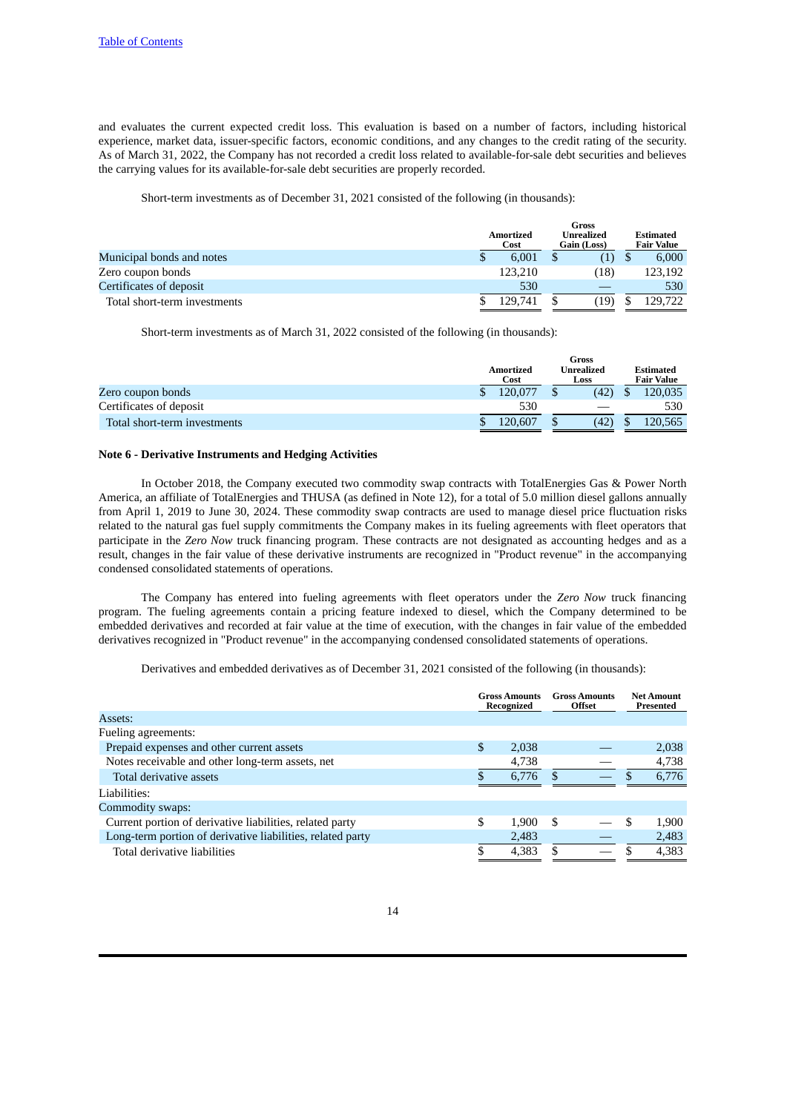and evaluates the current expected credit loss. This evaluation is based on a number of factors, including historical experience, market data, issuer-specific factors, economic conditions, and any changes to the credit rating of the security. As of March 31, 2022, the Company has not recorded a credit loss related to available-for-sale debt securities and believes the carrying values for its available-for-sale debt securities are properly recorded.

Short-term investments as of December 31, 2021 consisted of the following (in thousands):

|                              | Amortized<br>Cost | Gross<br><b>Unrealized</b><br>Gain (Loss) | <b>Estimated</b><br><b>Fair Value</b> |
|------------------------------|-------------------|-------------------------------------------|---------------------------------------|
| Municipal bonds and notes    | 6.001             |                                           | 6,000                                 |
| Zero coupon bonds            | 123.210           | (18)                                      | 123,192                               |
| Certificates of deposit      | 530               |                                           | 530                                   |
| Total short-term investments | 129.741           | (19)                                      | 129,722                               |

Short-term investments as of March 31, 2022 consisted of the following (in thousands):

|                              | Amortized<br>Cost | Gross<br><b>Unrealized</b><br>Loss | <b>Estimated</b><br><b>Fair Value</b> |
|------------------------------|-------------------|------------------------------------|---------------------------------------|
| Zero coupon bonds            | 120,077           | (42)                               | 120,035                               |
| Certificates of deposit      | 530               |                                    | 530                                   |
| Total short-term investments | 120,607           | (42)                               | 120,565                               |

### **Note 6 - Derivative Instruments and Hedging Activities**

In October 2018, the Company executed two commodity swap contracts with TotalEnergies Gas & Power North America, an affiliate of TotalEnergies and THUSA (as defined in Note 12), for a total of 5.0 million diesel gallons annually from April 1, 2019 to June 30, 2024. These commodity swap contracts are used to manage diesel price fluctuation risks related to the natural gas fuel supply commitments the Company makes in its fueling agreements with fleet operators that participate in the *Zero Now* truck financing program. These contracts are not designated as accounting hedges and as a result, changes in the fair value of these derivative instruments are recognized in "Product revenue" in the accompanying condensed consolidated statements of operations.

The Company has entered into fueling agreements with fleet operators under the *Zero Now* truck financing program. The fueling agreements contain a pricing feature indexed to diesel, which the Company determined to be embedded derivatives and recorded at fair value at the time of execution, with the changes in fair value of the embedded derivatives recognized in "Product revenue" in the accompanying condensed consolidated statements of operations.

Derivatives and embedded derivatives as of December 31, 2021 consisted of the following (in thousands):

|                                                            | <b>Gross Amounts</b><br>Recognized |       | <b>Gross Amounts</b><br><b>Offset</b> |  |   | <b>Net Amount</b><br>Presented |
|------------------------------------------------------------|------------------------------------|-------|---------------------------------------|--|---|--------------------------------|
| Assets:                                                    |                                    |       |                                       |  |   |                                |
| Fueling agreements:                                        |                                    |       |                                       |  |   |                                |
| Prepaid expenses and other current assets                  | \$                                 | 2,038 |                                       |  |   | 2,038                          |
| Notes receivable and other long-term assets, net           |                                    | 4,738 |                                       |  |   | 4,738                          |
| Total derivative assets                                    |                                    | 6.776 | \$                                    |  |   | 6,776                          |
| Liabilities:                                               |                                    |       |                                       |  |   |                                |
| Commodity swaps:                                           |                                    |       |                                       |  |   |                                |
| Current portion of derivative liabilities, related party   | \$                                 | 1.900 | \$                                    |  | S | 1,900                          |
| Long-term portion of derivative liabilities, related party |                                    | 2,483 |                                       |  |   | 2,483                          |
| Total derivative liabilities                               |                                    | 4,383 | S                                     |  |   | 4,383                          |
|                                                            |                                    |       |                                       |  |   |                                |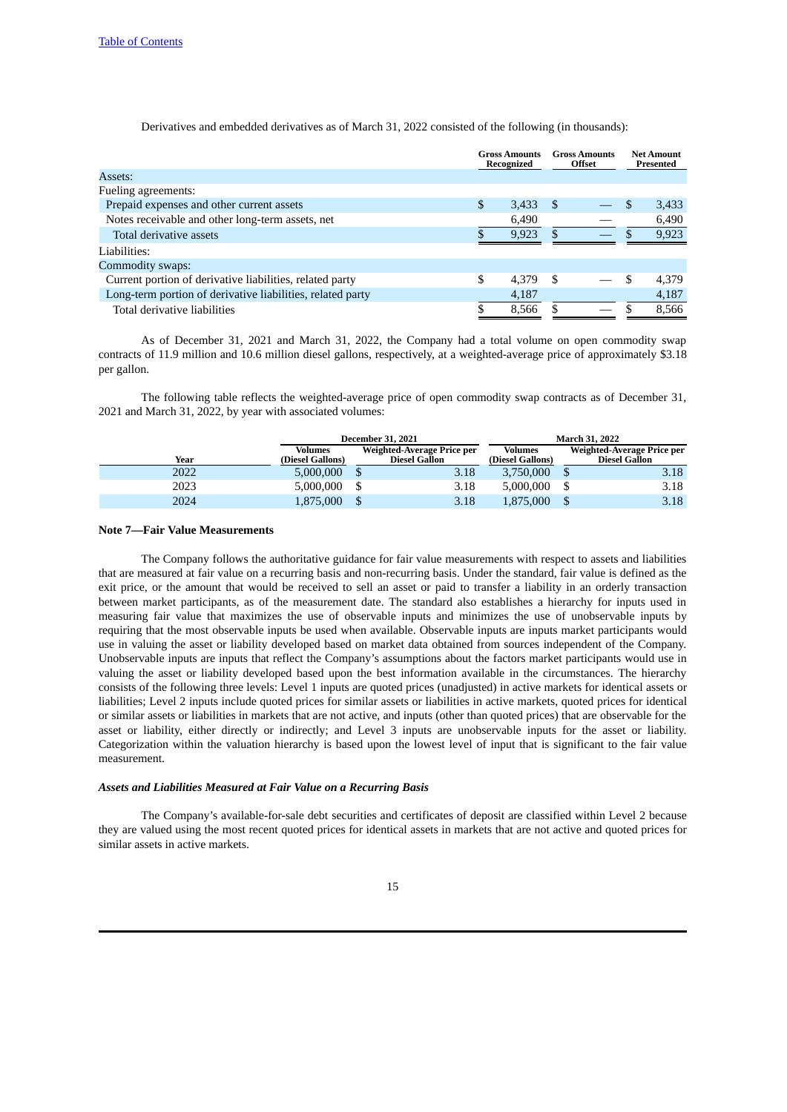**Gross Amounts Gross Amounts Net Amount Recognized Offset Presented** Assets: Fueling agreements: Prepaid expenses and other current assets  $\begin{array}{cccc} \text{8} & 3,433 & \text{8} & \text{9} \\ \end{array}$   $\begin{array}{cccc} \text{9} & 3,433 & \text{10} \\ \text{10} & 3,433 & \text{11} \\ \end{array}$ Notes receivable and other long-term assets, net 6,490 6,490 6,490 6,490 6,490 6,490 Total derivative assets  $\frac{1}{3}$   $\frac{9,923}{9}$   $\frac{1}{3}$   $\frac{1}{2}$   $\frac{1}{3}$   $\frac{9,923}{9,923}$ Liabilities: Commodity swaps: Current portion of derivative liabilities, related party  $$ 4,379$   $$ 4,379$   $$ 4,379$ Long-term portion of derivative liabilities, related party 4,187 4,187 4,187 4,187 Total derivative liabilities  $\frac{1}{3}$   $\frac{8}{566}$   $\frac{1}{3}$   $\frac{8}{566}$   $\frac{1}{3}$   $\frac{1}{2}$   $\frac{1}{3}$   $\frac{8}{566}$ 

Derivatives and embedded derivatives as of March 31, 2022 consisted of the following (in thousands):

As of December 31, 2021 and March 31, 2022, the Company had a total volume on open commodity swap contracts of 11.9 million and 10.6 million diesel gallons, respectively, at a weighted-average price of approximately \$3.18 per gallon.

The following table reflects the weighted-average price of open commodity swap contracts as of December 31, 2021 and March 31, 2022, by year with associated volumes:

|      |                             | <b>December 31, 2021</b>                           |      | <b>March 31, 2022</b>              |  |                                                    |  |
|------|-----------------------------|----------------------------------------------------|------|------------------------------------|--|----------------------------------------------------|--|
| Year | Volumes<br>(Diesel Gallons) | Weighted-Average Price per<br><b>Diesel Gallon</b> |      | <b>Volumes</b><br>(Diesel Gallons) |  | Weighted-Average Price per<br><b>Diesel Gallon</b> |  |
| 2022 | 5,000,000                   |                                                    | 3.18 | 3,750,000                          |  | 3.18                                               |  |
| 2023 | 5,000,000                   |                                                    | 3.18 | 5,000,000                          |  | 3.18                                               |  |
| 2024 | 1,875,000                   |                                                    | 3.18 | 1,875,000                          |  | 3.18                                               |  |

#### **Note 7—Fair Value Measurements**

The Company follows the authoritative guidance for fair value measurements with respect to assets and liabilities that are measured at fair value on a recurring basis and non-recurring basis. Under the standard, fair value is defined as the exit price, or the amount that would be received to sell an asset or paid to transfer a liability in an orderly transaction between market participants, as of the measurement date. The standard also establishes a hierarchy for inputs used in measuring fair value that maximizes the use of observable inputs and minimizes the use of unobservable inputs by requiring that the most observable inputs be used when available. Observable inputs are inputs market participants would use in valuing the asset or liability developed based on market data obtained from sources independent of the Company. Unobservable inputs are inputs that reflect the Company's assumptions about the factors market participants would use in valuing the asset or liability developed based upon the best information available in the circumstances. The hierarchy consists of the following three levels: Level 1 inputs are quoted prices (unadjusted) in active markets for identical assets or liabilities; Level 2 inputs include quoted prices for similar assets or liabilities in active markets, quoted prices for identical or similar assets or liabilities in markets that are not active, and inputs (other than quoted prices) that are observable for the asset or liability, either directly or indirectly; and Level 3 inputs are unobservable inputs for the asset or liability. Categorization within the valuation hierarchy is based upon the lowest level of input that is significant to the fair value measurement.

#### *Assets and Liabilities Measured at Fair Value on a Recurring Basis*

The Company's available-for-sale debt securities and certificates of deposit are classified within Level 2 because they are valued using the most recent quoted prices for identical assets in markets that are not active and quoted prices for similar assets in active markets.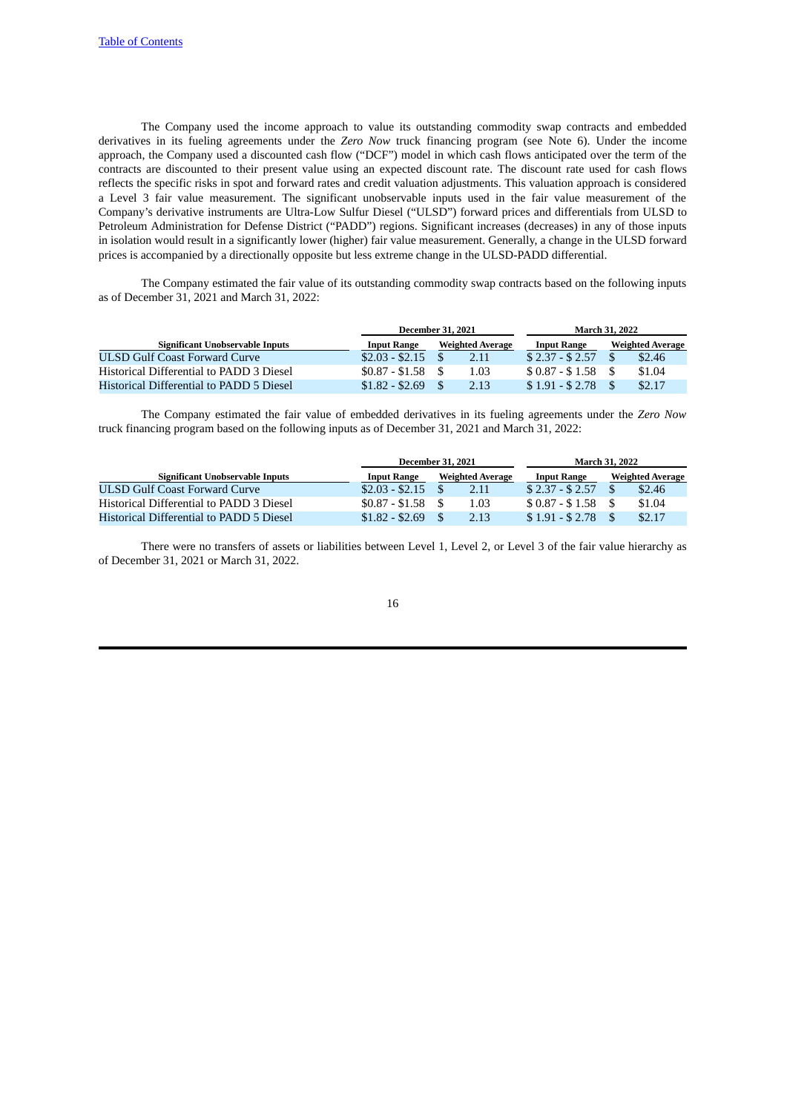The Company used the income approach to value its outstanding commodity swap contracts and embedded derivatives in its fueling agreements under the *Zero Now* truck financing program (see Note 6). Under the income approach, the Company used a discounted cash flow ("DCF") model in which cash flows anticipated over the term of the contracts are discounted to their present value using an expected discount rate. The discount rate used for cash flows reflects the specific risks in spot and forward rates and credit valuation adjustments. This valuation approach is considered a Level 3 fair value measurement. The significant unobservable inputs used in the fair value measurement of the Company's derivative instruments are Ultra-Low Sulfur Diesel ("ULSD") forward prices and differentials from ULSD to Petroleum Administration for Defense District ("PADD") regions. Significant increases (decreases) in any of those inputs in isolation would result in a significantly lower (higher) fair value measurement. Generally, a change in the ULSD forward prices is accompanied by a directionally opposite but less extreme change in the ULSD-PADD differential.

The Company estimated the fair value of its outstanding commodity swap contracts based on the following inputs as of December 31, 2021 and March 31, 2022:

|                                          | <b>December 31, 2021</b> |                         |      |                    | <b>March 31, 2022</b> |                         |  |
|------------------------------------------|--------------------------|-------------------------|------|--------------------|-----------------------|-------------------------|--|
| <b>Significant Unobservable Inputs</b>   | <b>Input Range</b>       | <b>Weighted Average</b> |      | <b>Input Range</b> |                       | <b>Weighted Average</b> |  |
| ULSD Gulf Coast Forward Curve            | $$2.03 - $2.15$          |                         | 2.11 | $$2.37 - $2.57$    |                       | \$2.46                  |  |
| Historical Differential to PADD 3 Diesel | $$0.87 - $1.58$          |                         | 1.03 | $$0.87 - $1.58$    |                       | \$1.04                  |  |
| Historical Differential to PADD 5 Diesel | $$1.82 - $2.69$          |                         | 2.13 | $$1.91 - $2.78$    |                       | \$2.17                  |  |

The Company estimated the fair value of embedded derivatives in its fueling agreements under the *Zero Now* truck financing program based on the following inputs as of December 31, 2021 and March 31, 2022:

|                                          | <b>December 31, 2021</b> |                         |                    | <b>March 31, 2022</b> |                         |  |
|------------------------------------------|--------------------------|-------------------------|--------------------|-----------------------|-------------------------|--|
| <b>Significant Unobservable Inputs</b>   | <b>Input Range</b>       | <b>Weighted Average</b> | <b>Input Range</b> |                       | <b>Weighted Average</b> |  |
| <b>ULSD Gulf Coast Forward Curve</b>     | $$2.03 - $2.15$          | 2.11                    | $$2.37 - $2.57$    |                       | \$2.46                  |  |
| Historical Differential to PADD 3 Diesel | $$0.87 - $1.58$          | 1.03                    | $$0.87 - $1.58$    |                       | \$1.04                  |  |
| Historical Differential to PADD 5 Diesel | $$1.82 - $2.69$          | 2.13                    | $$1.91 - $2.78$    |                       | \$2.17                  |  |

There were no transfers of assets or liabilities between Level 1, Level 2, or Level 3 of the fair value hierarchy as of December 31, 2021 or March 31, 2022.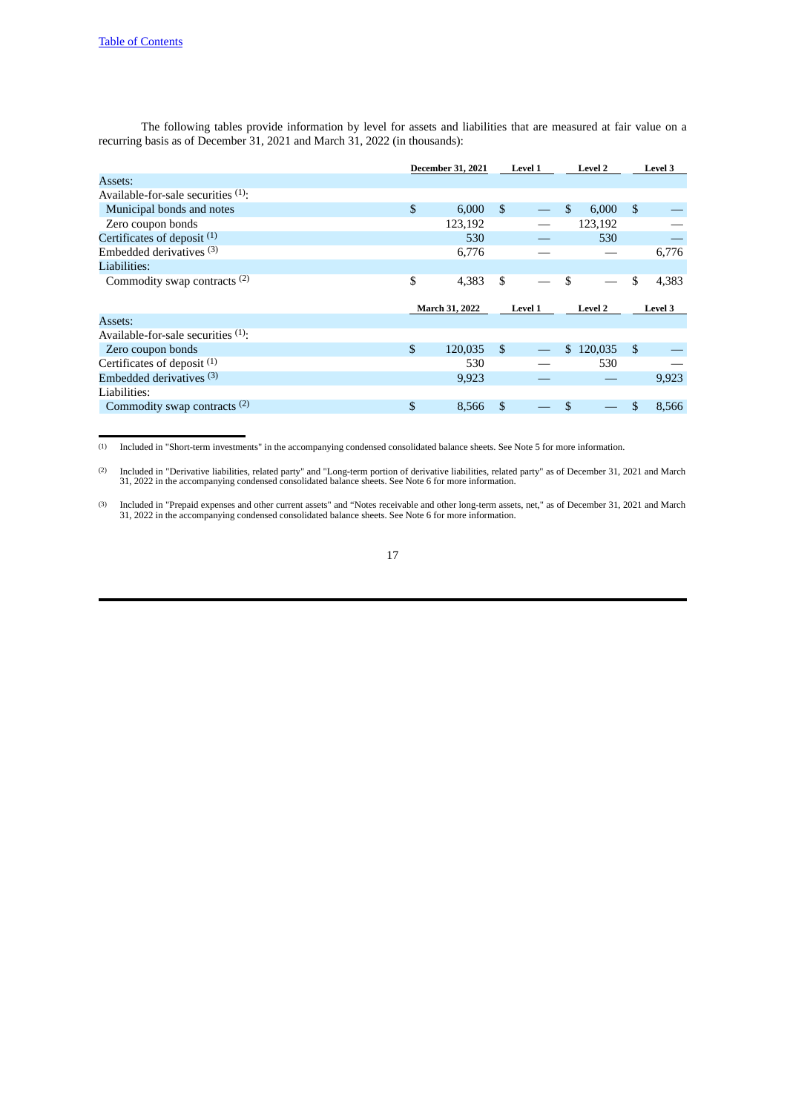The following tables provide information by level for assets and liabilities that are measured at fair value on a recurring basis as of December 31, 2021 and March 31, 2022 (in thousands):

|                                        | <b>December 31, 2021</b> | <b>Level 1</b> | <b>Level 2</b> |              | Level 3 |
|----------------------------------------|--------------------------|----------------|----------------|--------------|---------|
| Assets:                                |                          |                |                |              |         |
| Available-for-sale securities $(1)$ :  |                          |                |                |              |         |
| Municipal bonds and notes              | \$<br>6,000              | \$             | \$<br>6.000    | $\mathbb{S}$ |         |
| Zero coupon bonds                      | 123,192                  |                | 123,192        |              |         |
| Certificates of deposit <sup>(1)</sup> | 530                      |                | 530            |              |         |
| Embedded derivatives (3)               | 6,776                    |                |                |              | 6,776   |
| Liabilities:                           |                          |                |                |              |         |
| Commodity swap contracts (2)           | \$<br>4,383              | \$             | \$             | \$           | 4,383   |
|                                        |                          |                |                |              |         |
|                                        |                          |                |                |              |         |
| Assets:                                | March 31, 2022           | Level 1        | <b>Level 2</b> |              | Level 3 |
| Available-for-sale securities $(1)$ :  |                          |                |                |              |         |
| Zero coupon bonds                      | \$<br>120,035            | \$             | \$120,035      | \$           |         |
| Certificates of deposit <sup>(1)</sup> | 530                      |                | 530            |              |         |
| Embedded derivatives $(3)$             | 9,923                    |                |                |              | 9,923   |
| Liabilities:                           |                          |                |                |              |         |

(1) Included in "Short-term investments" in the accompanying condensed consolidated balance sheets. See Note 5 for more information.

(2) Included in "Derivative liabilities, related party" and "Long-term portion of derivative liabilities, related party" as of December 31, 2021 and March 31, 2022 in the accompanying condensed consolidated balance sheets

(3) Included in "Prepaid expenses and other current assets" and "Notes receivable and other long-term assets, net," as of December 31, 2021 and March 31, 2022 in the accompanying condensed consolidated balance sheets. See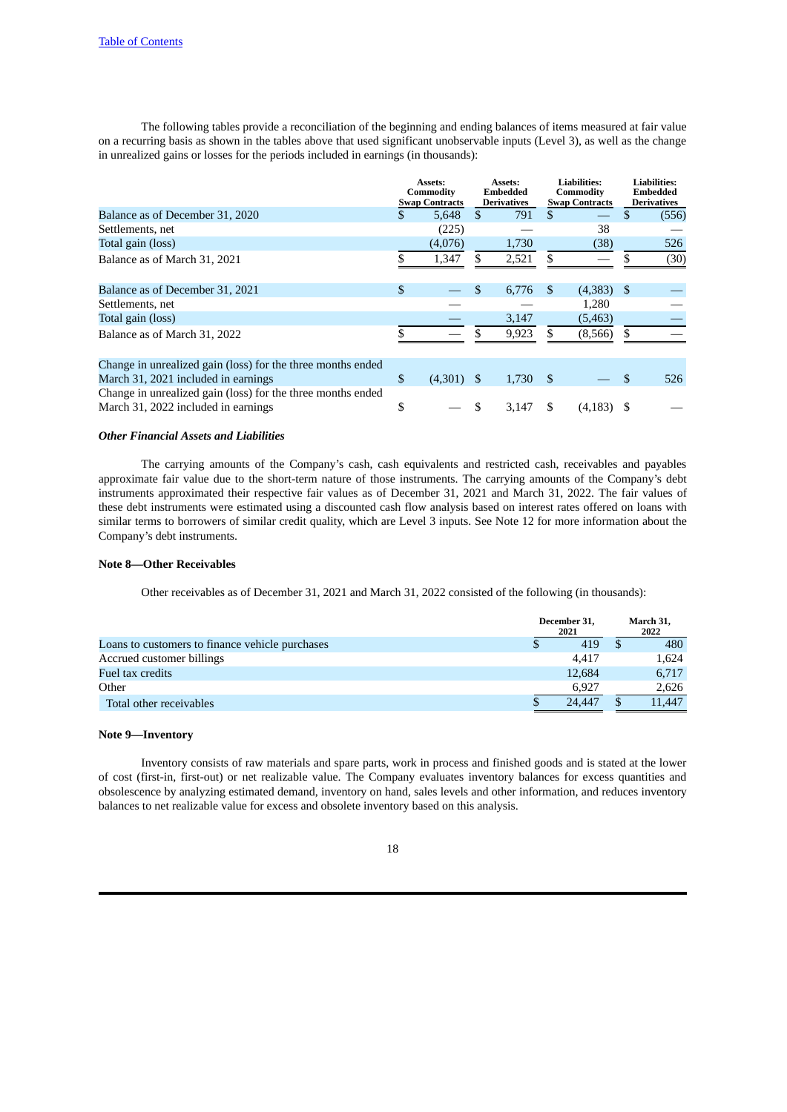The following tables provide a reconciliation of the beginning and ending balances of items measured at fair value on a recurring basis as shown in the tables above that used significant unobservable inputs (Level 3), as well as the change in unrealized gains or losses for the periods included in earnings (in thousands):

|                                                                                                    | Assets:<br>Commodity<br><b>Swap Contracts</b> |     | Assets:<br>Embedded<br><b>Derivatives</b> |     | Liabilities:<br>Commodity<br><b>Swap Contracts</b> | Liabilities:<br>Embedded<br><b>Derivatives</b> |
|----------------------------------------------------------------------------------------------------|-----------------------------------------------|-----|-------------------------------------------|-----|----------------------------------------------------|------------------------------------------------|
| Balance as of December 31, 2020                                                                    | \$<br>5.648                                   | \$. | 791                                       |     |                                                    | (556)                                          |
| Settlements, net                                                                                   | (225)                                         |     |                                           |     | 38                                                 |                                                |
| Total gain (loss)                                                                                  | (4,076)                                       |     | 1,730                                     |     | (38)                                               | 526                                            |
| Balance as of March 31, 2021                                                                       | \$<br>1,347                                   | \$. | 2,521                                     | \$  |                                                    | (30)                                           |
| Balance as of December 31, 2021                                                                    | \$                                            | \$  | 6,776                                     | \$. | $(4,383)$ \$                                       |                                                |
| Settlements, net                                                                                   |                                               |     |                                           |     | 1,280                                              |                                                |
| Total gain (loss)                                                                                  |                                               |     | 3,147                                     |     | (5,463)                                            |                                                |
| Balance as of March 31, 2022                                                                       |                                               |     | 9,923                                     |     | (8,566)                                            | \$                                             |
| Change in unrealized gain (loss) for the three months ended                                        |                                               |     |                                           |     |                                                    |                                                |
| March 31, 2021 included in earnings                                                                | \$<br>$(4,301)$ \$                            |     | 1,730                                     | \$  |                                                    | 526                                            |
| Change in unrealized gain (loss) for the three months ended<br>March 31, 2022 included in earnings | \$                                            | S   | 3,147                                     | S   | (4, 183)                                           |                                                |

#### *Other Financial Assets and Liabilities*

The carrying amounts of the Company's cash, cash equivalents and restricted cash, receivables and payables approximate fair value due to the short-term nature of those instruments. The carrying amounts of the Company's debt instruments approximated their respective fair values as of December 31, 2021 and March 31, 2022. The fair values of these debt instruments were estimated using a discounted cash flow analysis based on interest rates offered on loans with similar terms to borrowers of similar credit quality, which are Level 3 inputs. See Note 12 for more information about the Company's debt instruments.

### **Note 8—Other Receivables**

Other receivables as of December 31, 2021 and March 31, 2022 consisted of the following (in thousands):

|                                                 |  | December 31.<br>2021 | March 31,<br>2022 |
|-------------------------------------------------|--|----------------------|-------------------|
| Loans to customers to finance vehicle purchases |  | 419                  | 480               |
| Accrued customer billings                       |  | 4.417                | 1.624             |
| Fuel tax credits                                |  | 12,684               | 6.717             |
| Other                                           |  | 6.927                | 2.626             |
| Total other receivables                         |  | 24,447               | 11.447            |

#### **Note 9—Inventory**

Inventory consists of raw materials and spare parts, work in process and finished goods and is stated at the lower of cost (first-in, first-out) or net realizable value. The Company evaluates inventory balances for excess quantities and obsolescence by analyzing estimated demand, inventory on hand, sales levels and other information, and reduces inventory balances to net realizable value for excess and obsolete inventory based on this analysis.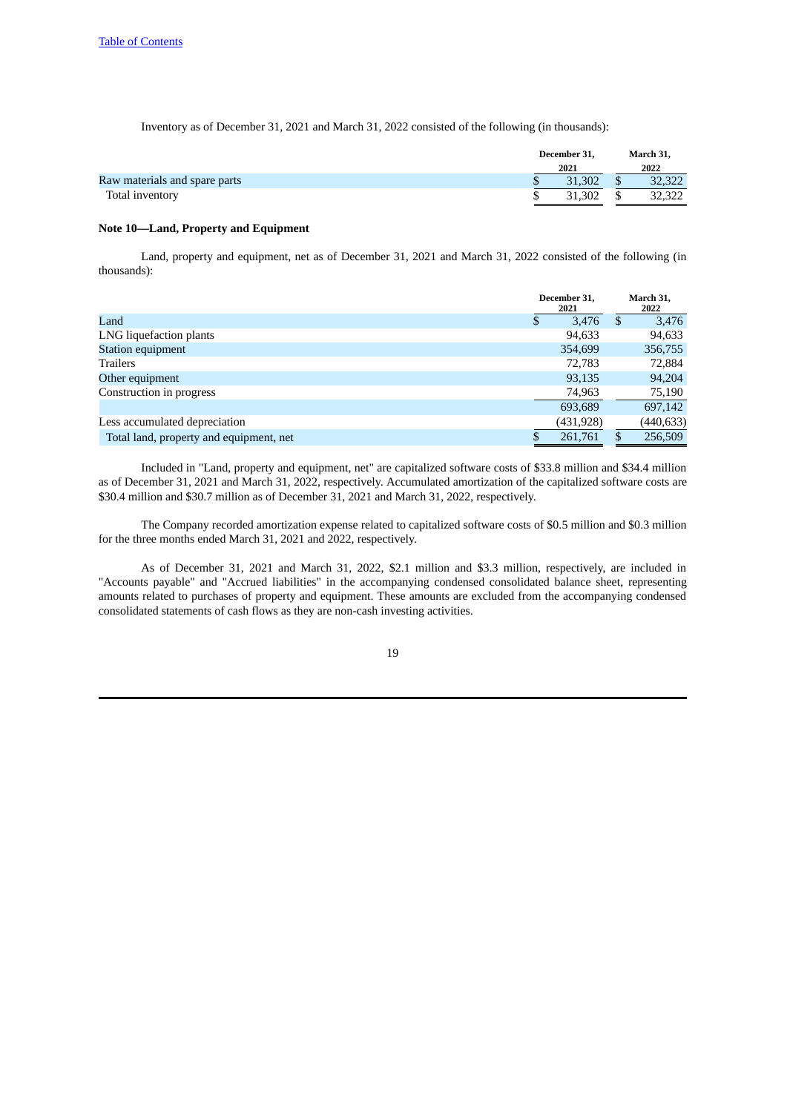Inventory as of December 31, 2021 and March 31, 2022 consisted of the following (in thousands):

|                               | December 31, | March 31. |        |  |  |
|-------------------------------|--------------|-----------|--------|--|--|
|                               | 2021         | 2022      |        |  |  |
| Raw materials and spare parts | 31,302       |           | 32,322 |  |  |
| Total inventory               | 31,302       |           | 32.322 |  |  |

### **Note 10—Land, Property and Equipment**

Land, property and equipment, net as of December 31, 2021 and March 31, 2022 consisted of the following (in thousands):

|                                         |   | December 31.<br>2021 |    | March 31,<br>2022 |
|-----------------------------------------|---|----------------------|----|-------------------|
| Land                                    | Φ | 3,476                | -S | 3,476             |
| LNG liquefaction plants                 |   | 94,633               |    | 94,633            |
| <b>Station equipment</b>                |   | 354,699              |    | 356,755           |
| <b>Trailers</b>                         |   | 72.783               |    | 72,884            |
| Other equipment                         |   | 93,135               |    | 94,204            |
| Construction in progress                |   | 74,963               |    | 75,190            |
|                                         |   | 693.689              |    | 697,142           |
| Less accumulated depreciation           |   | (431, 928)           |    | (440, 633)        |
| Total land, property and equipment, net |   | 261,761              | \$ | 256,509           |

Included in "Land, property and equipment, net" are capitalized software costs of \$33.8 million and \$34.4 million as of December 31, 2021 and March 31, 2022, respectively. Accumulated amortization of the capitalized software costs are \$30.4 million and \$30.7 million as of December 31, 2021 and March 31, 2022, respectively.

The Company recorded amortization expense related to capitalized software costs of \$0.5 million and \$0.3 million for the three months ended March 31, 2021 and 2022, respectively.

As of December 31, 2021 and March 31, 2022, \$2.1 million and \$3.3 million, respectively, are included in "Accounts payable" and "Accrued liabilities" in the accompanying condensed consolidated balance sheet, representing amounts related to purchases of property and equipment. These amounts are excluded from the accompanying condensed consolidated statements of cash flows as they are non-cash investing activities.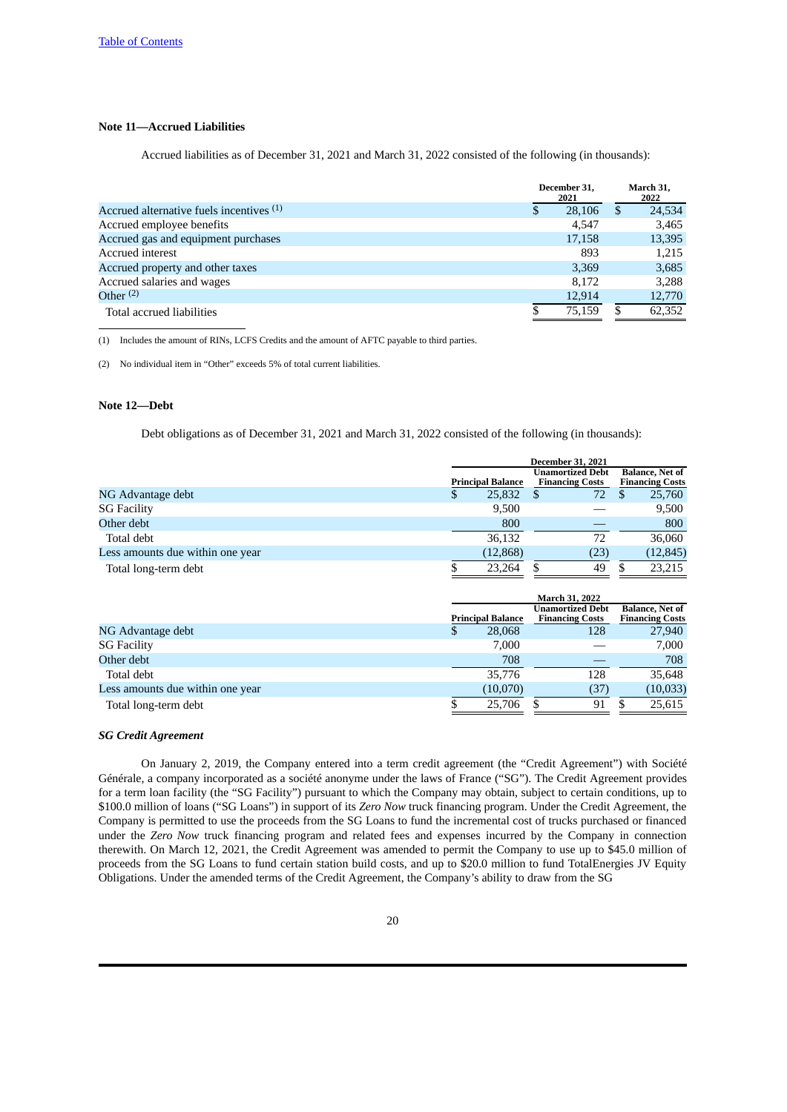# **Note 11—Accrued Liabilities**

Accrued liabilities as of December 31, 2021 and March 31, 2022 consisted of the following (in thousands):

|                                          |   | December 31.<br>2021 |    | March 31,<br>2022 |
|------------------------------------------|---|----------------------|----|-------------------|
| Accrued alternative fuels incentives (1) | S | 28,106               | \$ | 24,534            |
| Accrued employee benefits                |   | 4.547                |    | 3,465             |
| Accrued gas and equipment purchases      |   | 17,158               |    | 13,395            |
| Accrued interest                         |   | 893                  |    | 1,215             |
| Accrued property and other taxes         |   | 3,369                |    | 3,685             |
| Accrued salaries and wages               |   | 8.172                |    | 3,288             |
| Other $(2)$                              |   | 12.914               |    | 12,770            |
| Total accrued liabilities                |   | 75,159               |    | 62,352            |

(1) Includes the amount of RINs, LCFS Credits and the amount of AFTC payable to third parties.

(2) No individual item in "Other" exceeds 5% of total current liabilities.

#### **Note 12—Debt**

Debt obligations as of December 31, 2021 and March 31, 2022 consisted of the following (in thousands):

|                                  | <b>Principal Balance</b> |           |  | <b>Unamortized Debt</b><br><b>Financing Costs</b> |  | <b>Balance, Net of</b><br><b>Financing Costs</b> |
|----------------------------------|--------------------------|-----------|--|---------------------------------------------------|--|--------------------------------------------------|
| NG Advantage debt                |                          | 25,832    |  | 72                                                |  | 25,760                                           |
| <b>SG Facility</b>               |                          | 9.500     |  |                                                   |  | 9,500                                            |
| Other debt                       |                          | 800       |  |                                                   |  | 800                                              |
| Total debt                       |                          | 36.132    |  | 72                                                |  | 36,060                                           |
| Less amounts due within one year |                          | (12, 868) |  | (23)                                              |  | (12, 845)                                        |
| Total long-term debt             |                          | 23.264    |  | 49                                                |  | 23,215                                           |

|                                  |  |                          | March 31, 2022                                    |                                                  |
|----------------------------------|--|--------------------------|---------------------------------------------------|--------------------------------------------------|
|                                  |  | <b>Principal Balance</b> | <b>Unamortized Debt</b><br><b>Financing Costs</b> | <b>Balance. Net of</b><br><b>Financing Costs</b> |
| NG Advantage debt                |  | 28,068                   | 128                                               | 27,940                                           |
| <b>SG Facility</b>               |  | 7.000                    |                                                   | 7,000                                            |
| Other debt                       |  | 708                      |                                                   | 708                                              |
| Total debt                       |  | 35,776                   | 128                                               | 35,648                                           |
| Less amounts due within one year |  | (10,070)                 | (37)                                              | (10, 033)                                        |
| Total long-term debt             |  | 25,706                   | 91                                                | 25,615                                           |

#### *SG Credit Agreement*

On January 2, 2019, the Company entered into a term credit agreement (the "Credit Agreement") with Société Générale, a company incorporated as a société anonyme under the laws of France ("SG"). The Credit Agreement provides for a term loan facility (the "SG Facility") pursuant to which the Company may obtain, subject to certain conditions, up to \$100.0 million of loans ("SG Loans") in support of its *Zero Now* truck financing program. Under the Credit Agreement, the Company is permitted to use the proceeds from the SG Loans to fund the incremental cost of trucks purchased or financed under the *Zero Now* truck financing program and related fees and expenses incurred by the Company in connection therewith. On March 12, 2021, the Credit Agreement was amended to permit the Company to use up to \$45.0 million of proceeds from the SG Loans to fund certain station build costs, and up to \$20.0 million to fund TotalEnergies JV Equity Obligations. Under the amended terms of the Credit Agreement, the Company's ability to draw from the SG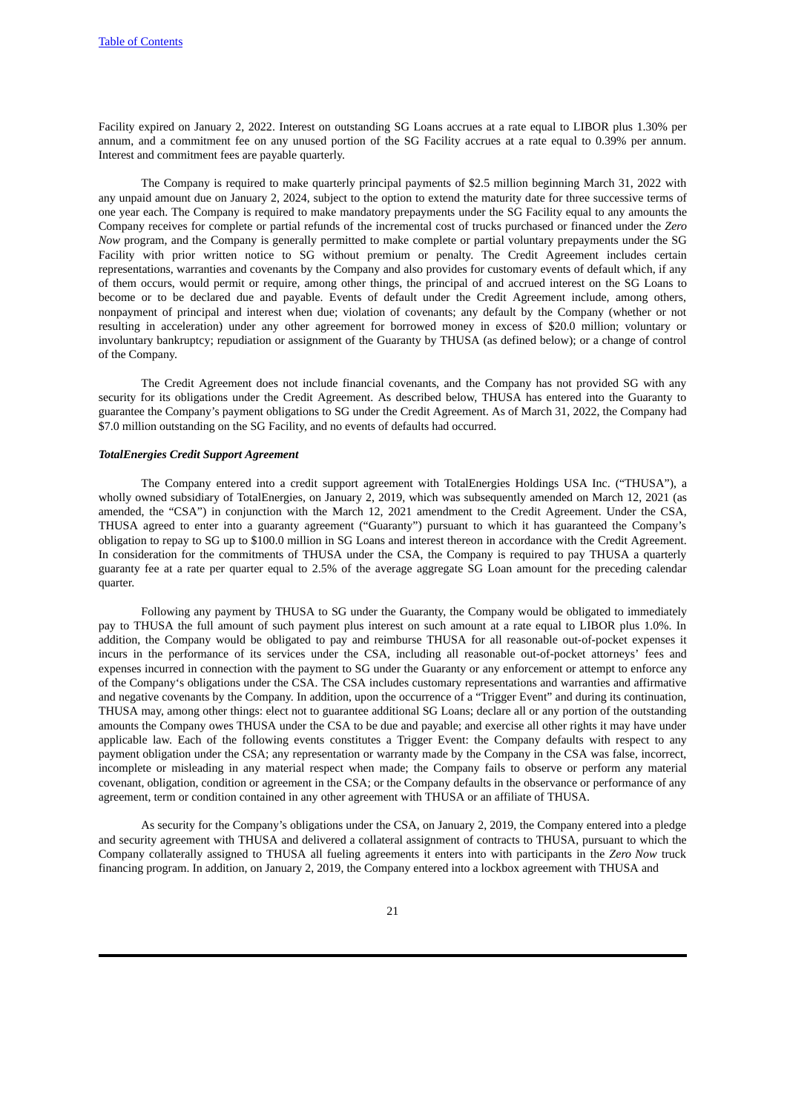Facility expired on January 2, 2022. Interest on outstanding SG Loans accrues at a rate equal to LIBOR plus 1.30% per annum, and a commitment fee on any unused portion of the SG Facility accrues at a rate equal to 0.39% per annum. Interest and commitment fees are payable quarterly.

The Company is required to make quarterly principal payments of \$2.5 million beginning March 31, 2022 with any unpaid amount due on January 2, 2024, subject to the option to extend the maturity date for three successive terms of one year each. The Company is required to make mandatory prepayments under the SG Facility equal to any amounts the Company receives for complete or partial refunds of the incremental cost of trucks purchased or financed under the *Zero Now* program, and the Company is generally permitted to make complete or partial voluntary prepayments under the SG Facility with prior written notice to SG without premium or penalty. The Credit Agreement includes certain representations, warranties and covenants by the Company and also provides for customary events of default which, if any of them occurs, would permit or require, among other things, the principal of and accrued interest on the SG Loans to become or to be declared due and payable. Events of default under the Credit Agreement include, among others, nonpayment of principal and interest when due; violation of covenants; any default by the Company (whether or not resulting in acceleration) under any other agreement for borrowed money in excess of \$20.0 million; voluntary or involuntary bankruptcy; repudiation or assignment of the Guaranty by THUSA (as defined below); or a change of control of the Company.

The Credit Agreement does not include financial covenants, and the Company has not provided SG with any security for its obligations under the Credit Agreement. As described below, THUSA has entered into the Guaranty to guarantee the Company's payment obligations to SG under the Credit Agreement. As of March 31, 2022, the Company had \$7.0 million outstanding on the SG Facility, and no events of defaults had occurred.

### *TotalEnergies Credit Support Agreement*

The Company entered into a credit support agreement with TotalEnergies Holdings USA Inc. ("THUSA"), a wholly owned subsidiary of TotalEnergies, on January 2, 2019, which was subsequently amended on March 12, 2021 (as amended, the "CSA") in conjunction with the March 12, 2021 amendment to the Credit Agreement. Under the CSA, THUSA agreed to enter into a guaranty agreement ("Guaranty") pursuant to which it has guaranteed the Company's obligation to repay to SG up to \$100.0 million in SG Loans and interest thereon in accordance with the Credit Agreement. In consideration for the commitments of THUSA under the CSA, the Company is required to pay THUSA a quarterly guaranty fee at a rate per quarter equal to 2.5% of the average aggregate SG Loan amount for the preceding calendar quarter.

Following any payment by THUSA to SG under the Guaranty, the Company would be obligated to immediately pay to THUSA the full amount of such payment plus interest on such amount at a rate equal to LIBOR plus 1.0%. In addition, the Company would be obligated to pay and reimburse THUSA for all reasonable out-of-pocket expenses it incurs in the performance of its services under the CSA, including all reasonable out-of-pocket attorneys' fees and expenses incurred in connection with the payment to SG under the Guaranty or any enforcement or attempt to enforce any of the Company's obligations under the CSA. The CSA includes customary representations and warranties and affirmative and negative covenants by the Company. In addition, upon the occurrence of a "Trigger Event" and during its continuation, THUSA may, among other things: elect not to guarantee additional SG Loans; declare all or any portion of the outstanding amounts the Company owes THUSA under the CSA to be due and payable; and exercise all other rights it may have under applicable law. Each of the following events constitutes a Trigger Event: the Company defaults with respect to any payment obligation under the CSA; any representation or warranty made by the Company in the CSA was false, incorrect, incomplete or misleading in any material respect when made; the Company fails to observe or perform any material covenant, obligation, condition or agreement in the CSA; or the Company defaults in the observance or performance of any agreement, term or condition contained in any other agreement with THUSA or an affiliate of THUSA.

As security for the Company's obligations under the CSA, on January 2, 2019, the Company entered into a pledge and security agreement with THUSA and delivered a collateral assignment of contracts to THUSA, pursuant to which the Company collaterally assigned to THUSA all fueling agreements it enters into with participants in the *Zero Now* truck financing program. In addition, on January 2, 2019, the Company entered into a lockbox agreement with THUSA and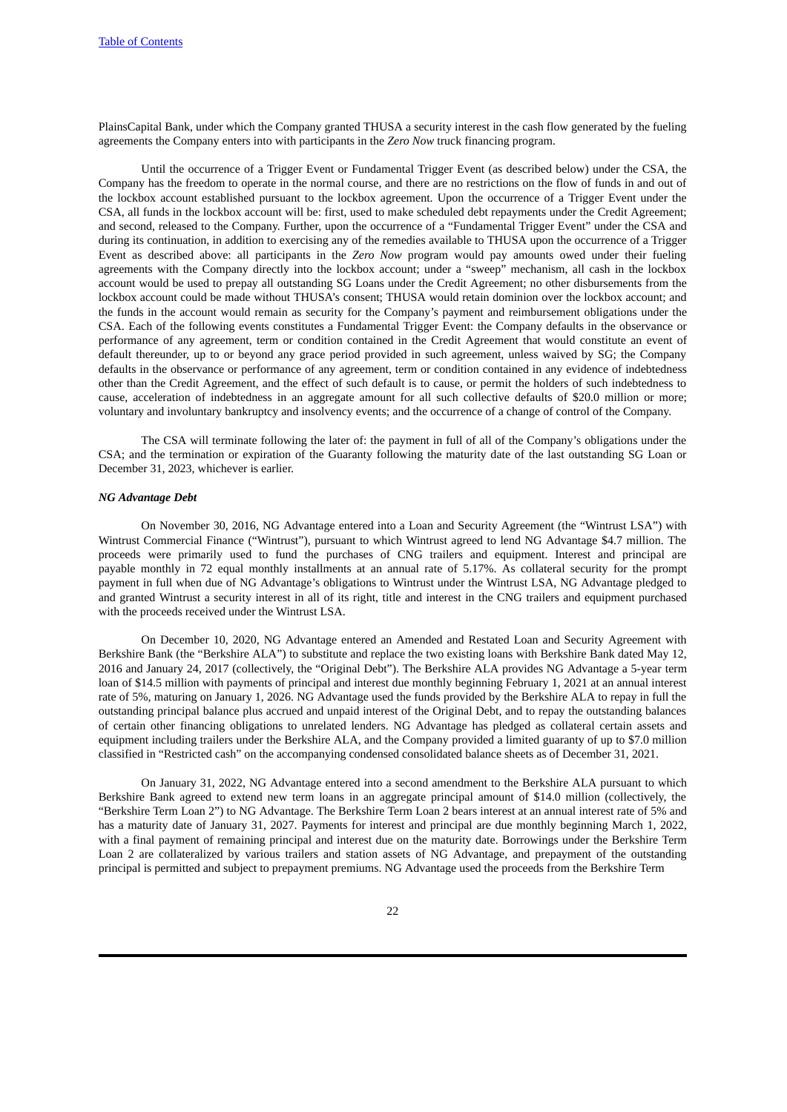PlainsCapital Bank, under which the Company granted THUSA a security interest in the cash flow generated by the fueling agreements the Company enters into with participants in the *Zero Now* truck financing program.

Until the occurrence of a Trigger Event or Fundamental Trigger Event (as described below) under the CSA, the Company has the freedom to operate in the normal course, and there are no restrictions on the flow of funds in and out of the lockbox account established pursuant to the lockbox agreement. Upon the occurrence of a Trigger Event under the CSA, all funds in the lockbox account will be: first, used to make scheduled debt repayments under the Credit Agreement; and second, released to the Company. Further, upon the occurrence of a "Fundamental Trigger Event" under the CSA and during its continuation, in addition to exercising any of the remedies available to THUSA upon the occurrence of a Trigger Event as described above: all participants in the *Zero Now* program would pay amounts owed under their fueling agreements with the Company directly into the lockbox account; under a "sweep" mechanism, all cash in the lockbox account would be used to prepay all outstanding SG Loans under the Credit Agreement; no other disbursements from the lockbox account could be made without THUSA's consent; THUSA would retain dominion over the lockbox account; and the funds in the account would remain as security for the Company's payment and reimbursement obligations under the CSA. Each of the following events constitutes a Fundamental Trigger Event: the Company defaults in the observance or performance of any agreement, term or condition contained in the Credit Agreement that would constitute an event of default thereunder, up to or beyond any grace period provided in such agreement, unless waived by SG; the Company defaults in the observance or performance of any agreement, term or condition contained in any evidence of indebtedness other than the Credit Agreement, and the effect of such default is to cause, or permit the holders of such indebtedness to cause, acceleration of indebtedness in an aggregate amount for all such collective defaults of \$20.0 million or more; voluntary and involuntary bankruptcy and insolvency events; and the occurrence of a change of control of the Company.

The CSA will terminate following the later of: the payment in full of all of the Company's obligations under the CSA; and the termination or expiration of the Guaranty following the maturity date of the last outstanding SG Loan or December 31, 2023, whichever is earlier.

#### *NG Advantage Debt*

On November 30, 2016, NG Advantage entered into a Loan and Security Agreement (the "Wintrust LSA") with Wintrust Commercial Finance ("Wintrust"), pursuant to which Wintrust agreed to lend NG Advantage \$4.7 million. The proceeds were primarily used to fund the purchases of CNG trailers and equipment. Interest and principal are payable monthly in 72 equal monthly installments at an annual rate of 5.17%. As collateral security for the prompt payment in full when due of NG Advantage's obligations to Wintrust under the Wintrust LSA, NG Advantage pledged to and granted Wintrust a security interest in all of its right, title and interest in the CNG trailers and equipment purchased with the proceeds received under the Wintrust LSA.

On December 10, 2020, NG Advantage entered an Amended and Restated Loan and Security Agreement with Berkshire Bank (the "Berkshire ALA") to substitute and replace the two existing loans with Berkshire Bank dated May 12, 2016 and January 24, 2017 (collectively, the "Original Debt"). The Berkshire ALA provides NG Advantage a 5-year term loan of \$14.5 million with payments of principal and interest due monthly beginning February 1, 2021 at an annual interest rate of 5%, maturing on January 1, 2026. NG Advantage used the funds provided by the Berkshire ALA to repay in full the outstanding principal balance plus accrued and unpaid interest of the Original Debt, and to repay the outstanding balances of certain other financing obligations to unrelated lenders. NG Advantage has pledged as collateral certain assets and equipment including trailers under the Berkshire ALA, and the Company provided a limited guaranty of up to \$7.0 million classified in "Restricted cash" on the accompanying condensed consolidated balance sheets as of December 31, 2021.

On January 31, 2022, NG Advantage entered into a second amendment to the Berkshire ALA pursuant to which Berkshire Bank agreed to extend new term loans in an aggregate principal amount of \$14.0 million (collectively, the "Berkshire Term Loan 2") to NG Advantage. The Berkshire Term Loan 2 bears interest at an annual interest rate of 5% and has a maturity date of January 31, 2027. Payments for interest and principal are due monthly beginning March 1, 2022, with a final payment of remaining principal and interest due on the maturity date. Borrowings under the Berkshire Term Loan 2 are collateralized by various trailers and station assets of NG Advantage, and prepayment of the outstanding principal is permitted and subject to prepayment premiums. NG Advantage used the proceeds from the Berkshire Term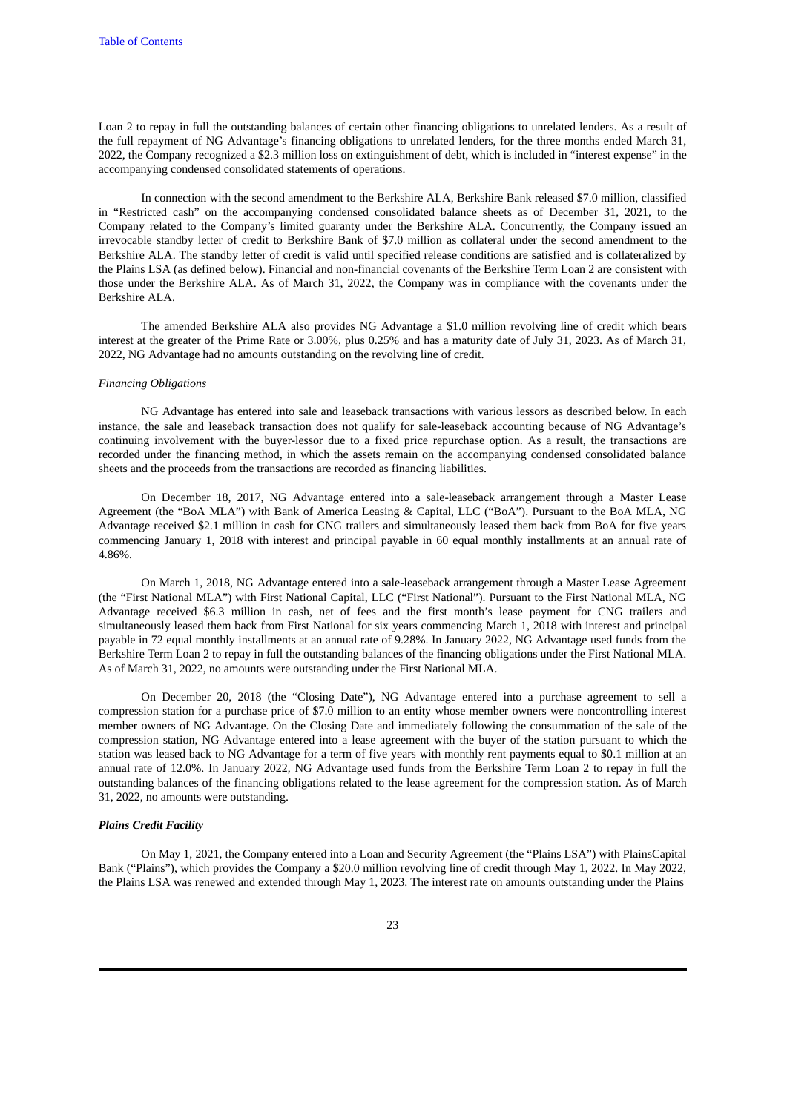Loan 2 to repay in full the outstanding balances of certain other financing obligations to unrelated lenders. As a result of the full repayment of NG Advantage's financing obligations to unrelated lenders, for the three months ended March 31, 2022, the Company recognized a \$2.3 million loss on extinguishment of debt, which is included in "interest expense" in the accompanying condensed consolidated statements of operations.

In connection with the second amendment to the Berkshire ALA, Berkshire Bank released \$7.0 million, classified in "Restricted cash" on the accompanying condensed consolidated balance sheets as of December 31, 2021, to the Company related to the Company's limited guaranty under the Berkshire ALA. Concurrently, the Company issued an irrevocable standby letter of credit to Berkshire Bank of \$7.0 million as collateral under the second amendment to the Berkshire ALA. The standby letter of credit is valid until specified release conditions are satisfied and is collateralized by the Plains LSA (as defined below). Financial and non-financial covenants of the Berkshire Term Loan 2 are consistent with those under the Berkshire ALA. As of March 31, 2022, the Company was in compliance with the covenants under the Berkshire ALA.

The amended Berkshire ALA also provides NG Advantage a \$1.0 million revolving line of credit which bears interest at the greater of the Prime Rate or 3.00%, plus 0.25% and has a maturity date of July 31, 2023. As of March 31, 2022, NG Advantage had no amounts outstanding on the revolving line of credit.

#### *Financing Obligations*

NG Advantage has entered into sale and leaseback transactions with various lessors as described below. In each instance, the sale and leaseback transaction does not qualify for sale-leaseback accounting because of NG Advantage's continuing involvement with the buyer-lessor due to a fixed price repurchase option. As a result, the transactions are recorded under the financing method, in which the assets remain on the accompanying condensed consolidated balance sheets and the proceeds from the transactions are recorded as financing liabilities.

On December 18, 2017, NG Advantage entered into a sale-leaseback arrangement through a Master Lease Agreement (the "BoA MLA") with Bank of America Leasing & Capital, LLC ("BoA"). Pursuant to the BoA MLA, NG Advantage received \$2.1 million in cash for CNG trailers and simultaneously leased them back from BoA for five years commencing January 1, 2018 with interest and principal payable in 60 equal monthly installments at an annual rate of 4.86%.

On March 1, 2018, NG Advantage entered into a sale-leaseback arrangement through a Master Lease Agreement (the "First National MLA") with First National Capital, LLC ("First National"). Pursuant to the First National MLA, NG Advantage received \$6.3 million in cash, net of fees and the first month's lease payment for CNG trailers and simultaneously leased them back from First National for six years commencing March 1, 2018 with interest and principal payable in 72 equal monthly installments at an annual rate of 9.28%. In January 2022, NG Advantage used funds from the Berkshire Term Loan 2 to repay in full the outstanding balances of the financing obligations under the First National MLA. As of March 31, 2022, no amounts were outstanding under the First National MLA.

On December 20, 2018 (the "Closing Date"), NG Advantage entered into a purchase agreement to sell a compression station for a purchase price of \$7.0 million to an entity whose member owners were noncontrolling interest member owners of NG Advantage. On the Closing Date and immediately following the consummation of the sale of the compression station, NG Advantage entered into a lease agreement with the buyer of the station pursuant to which the station was leased back to NG Advantage for a term of five years with monthly rent payments equal to \$0.1 million at an annual rate of 12.0%. In January 2022, NG Advantage used funds from the Berkshire Term Loan 2 to repay in full the outstanding balances of the financing obligations related to the lease agreement for the compression station. As of March 31, 2022, no amounts were outstanding.

#### *Plains Credit Facility*

On May 1, 2021, the Company entered into a Loan and Security Agreement (the "Plains LSA") with PlainsCapital Bank ("Plains"), which provides the Company a \$20.0 million revolving line of credit through May 1, 2022. In May 2022, the Plains LSA was renewed and extended through May 1, 2023. The interest rate on amounts outstanding under the Plains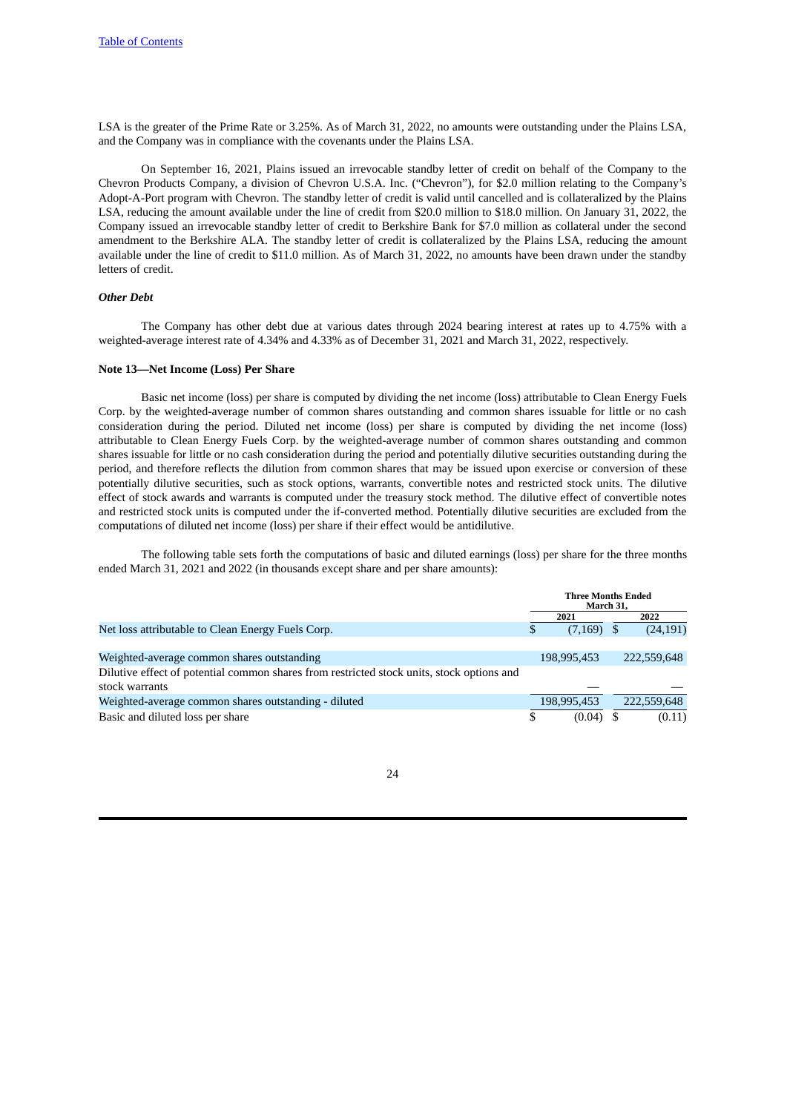LSA is the greater of the Prime Rate or 3.25%. As of March 31, 2022, no amounts were outstanding under the Plains LSA, and the Company was in compliance with the covenants under the Plains LSA.

On September 16, 2021, Plains issued an irrevocable standby letter of credit on behalf of the Company to the Chevron Products Company, a division of Chevron U.S.A. Inc. ("Chevron"), for \$2.0 million relating to the Company's Adopt-A-Port program with Chevron. The standby letter of credit is valid until cancelled and is collateralized by the Plains LSA, reducing the amount available under the line of credit from \$20.0 million to \$18.0 million. On January 31, 2022, the Company issued an irrevocable standby letter of credit to Berkshire Bank for \$7.0 million as collateral under the second amendment to the Berkshire ALA. The standby letter of credit is collateralized by the Plains LSA, reducing the amount available under the line of credit to \$11.0 million. As of March 31, 2022, no amounts have been drawn under the standby letters of credit.

# *Other Debt*

The Company has other debt due at various dates through 2024 bearing interest at rates up to 4.75% with a weighted-average interest rate of 4.34% and 4.33% as of December 31, 2021 and March 31, 2022, respectively.

### **Note 13—Net Income (Loss) Per Share**

Basic net income (loss) per share is computed by dividing the net income (loss) attributable to Clean Energy Fuels Corp. by the weighted-average number of common shares outstanding and common shares issuable for little or no cash consideration during the period. Diluted net income (loss) per share is computed by dividing the net income (loss) attributable to Clean Energy Fuels Corp. by the weighted-average number of common shares outstanding and common shares issuable for little or no cash consideration during the period and potentially dilutive securities outstanding during the period, and therefore reflects the dilution from common shares that may be issued upon exercise or conversion of these potentially dilutive securities, such as stock options, warrants, convertible notes and restricted stock units. The dilutive effect of stock awards and warrants is computed under the treasury stock method. The dilutive effect of convertible notes and restricted stock units is computed under the if-converted method. Potentially dilutive securities are excluded from the computations of diluted net income (loss) per share if their effect would be antidilutive.

The following table sets forth the computations of basic and diluted earnings (loss) per share for the three months ended March 31, 2021 and 2022 (in thousands except share and per share amounts):

|                                                                                           |             | <b>Three Months Ended</b><br>March 31, |  |             |  |
|-------------------------------------------------------------------------------------------|-------------|----------------------------------------|--|-------------|--|
|                                                                                           |             | 2021                                   |  | 2022        |  |
| Net loss attributable to Clean Energy Fuels Corp.                                         |             | (7, 169)                               |  | (24, 191)   |  |
|                                                                                           |             |                                        |  |             |  |
| Weighted-average common shares outstanding                                                | 198,995,453 |                                        |  | 222,559,648 |  |
| Dilutive effect of potential common shares from restricted stock units, stock options and |             |                                        |  |             |  |
| stock warrants                                                                            |             |                                        |  |             |  |
| Weighted-average common shares outstanding - diluted                                      |             | 198,995,453                            |  | 222,559,648 |  |
| Basic and diluted loss per share                                                          |             | (0.04)                                 |  | (0.11)      |  |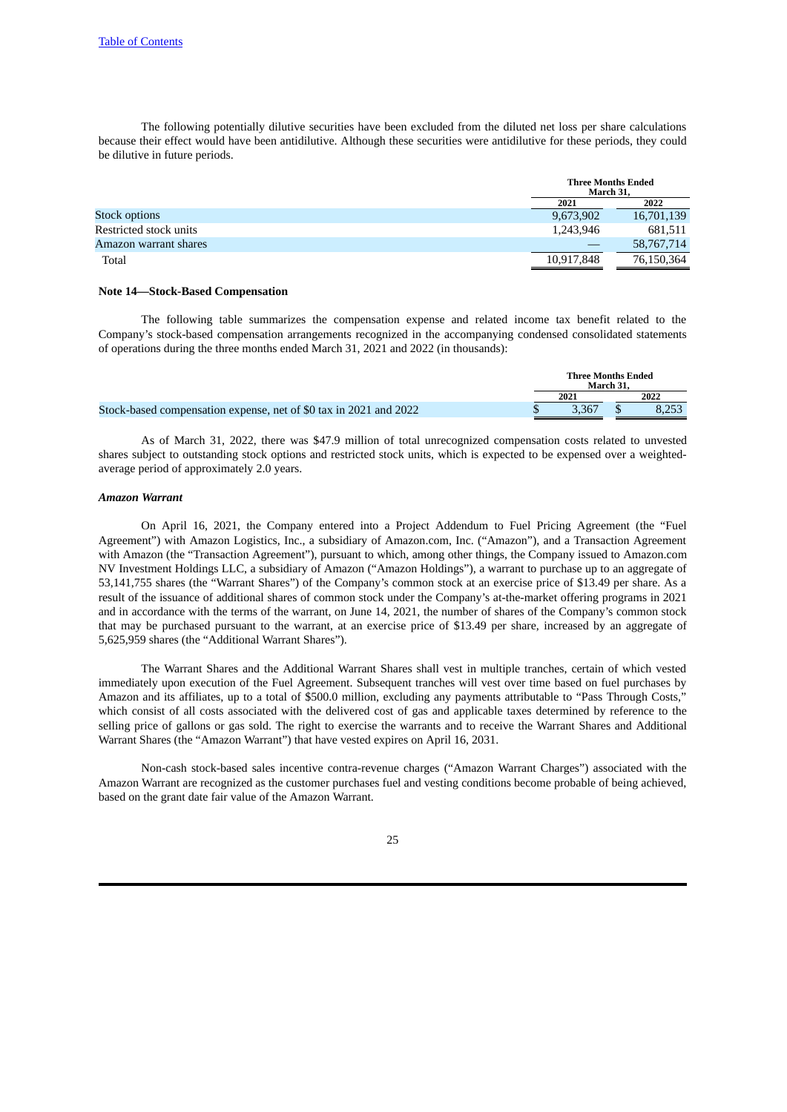The following potentially dilutive securities have been excluded from the diluted net loss per share calculations because their effect would have been antidilutive. Although these securities were antidilutive for these periods, they could be dilutive in future periods.

|                        | <b>Three Months Ended</b><br>March 31, |            |
|------------------------|----------------------------------------|------------|
|                        | 2021                                   | 2022       |
| Stock options          | 9,673,902                              | 16,701,139 |
| Restricted stock units | 1.243.946                              | 681.511    |
| Amazon warrant shares  |                                        | 58,767,714 |
| Total                  | 10,917,848                             | 76,150,364 |

#### **Note 14—Stock-Based Compensation**

The following table summarizes the compensation expense and related income tax benefit related to the Company's stock-based compensation arrangements recognized in the accompanying condensed consolidated statements of operations during the three months ended March 31, 2021 and 2022 (in thousands):

|                                                                   |  | Three Months Ended<br>March 31.<br>2021<br>2022 |  |       |
|-------------------------------------------------------------------|--|-------------------------------------------------|--|-------|
|                                                                   |  |                                                 |  |       |
| Stock-based compensation expense, net of \$0 tax in 2021 and 2022 |  | 3.367                                           |  | 8.253 |

As of March 31, 2022, there was \$47.9 million of total unrecognized compensation costs related to unvested shares subject to outstanding stock options and restricted stock units, which is expected to be expensed over a weightedaverage period of approximately 2.0 years.

### *Amazon Warrant*

On April 16, 2021, the Company entered into a Project Addendum to Fuel Pricing Agreement (the "Fuel Agreement") with Amazon Logistics, Inc., a subsidiary of Amazon.com, Inc. ("Amazon"), and a Transaction Agreement with Amazon (the "Transaction Agreement"), pursuant to which, among other things, the Company issued to Amazon.com NV Investment Holdings LLC, a subsidiary of Amazon ("Amazon Holdings"), a warrant to purchase up to an aggregate of 53,141,755 shares (the "Warrant Shares") of the Company's common stock at an exercise price of \$13.49 per share. As a result of the issuance of additional shares of common stock under the Company's at-the-market offering programs in 2021 and in accordance with the terms of the warrant, on June 14, 2021, the number of shares of the Company's common stock that may be purchased pursuant to the warrant, at an exercise price of \$13.49 per share, increased by an aggregate of 5,625,959 shares (the "Additional Warrant Shares").

The Warrant Shares and the Additional Warrant Shares shall vest in multiple tranches, certain of which vested immediately upon execution of the Fuel Agreement. Subsequent tranches will vest over time based on fuel purchases by Amazon and its affiliates, up to a total of \$500.0 million, excluding any payments attributable to "Pass Through Costs," which consist of all costs associated with the delivered cost of gas and applicable taxes determined by reference to the selling price of gallons or gas sold. The right to exercise the warrants and to receive the Warrant Shares and Additional Warrant Shares (the "Amazon Warrant") that have vested expires on April 16, 2031.

Non-cash stock-based sales incentive contra-revenue charges ("Amazon Warrant Charges") associated with the Amazon Warrant are recognized as the customer purchases fuel and vesting conditions become probable of being achieved, based on the grant date fair value of the Amazon Warrant.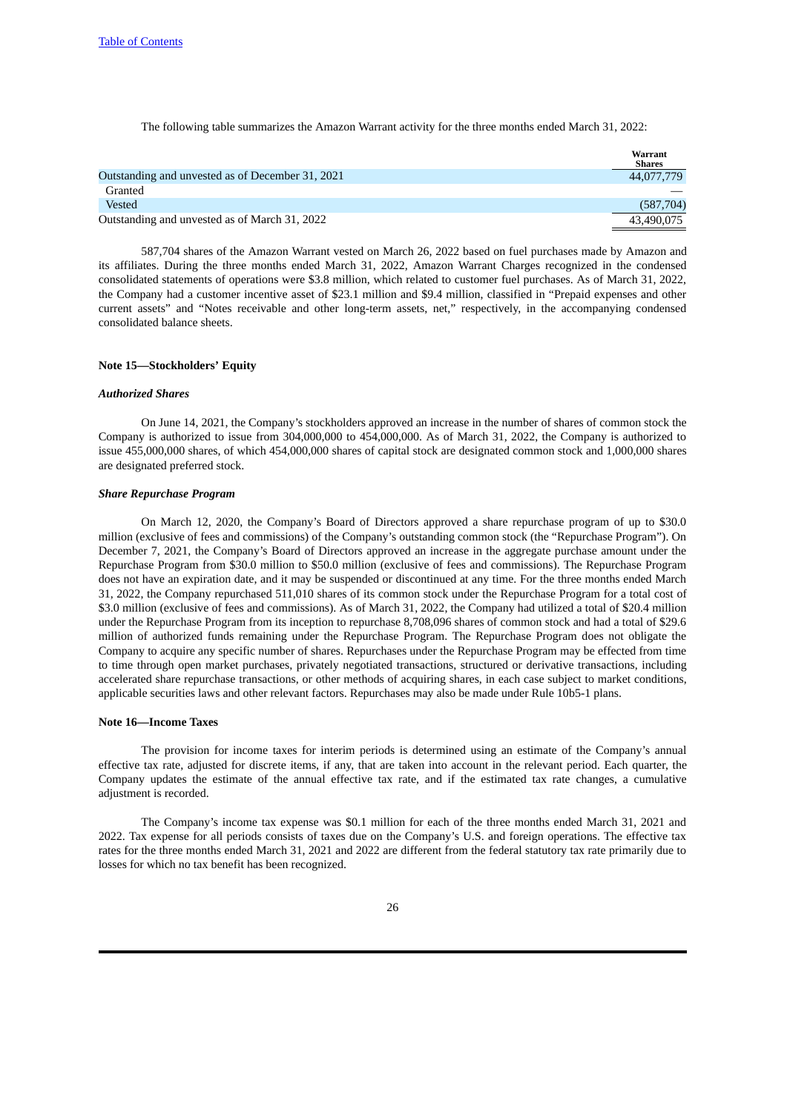The following table summarizes the Amazon Warrant activity for the three months ended March 31, 2022:

|                                                  | Warrant<br><b>Shares</b> |
|--------------------------------------------------|--------------------------|
| Outstanding and unvested as of December 31, 2021 | 44,077,779               |
| Granted                                          |                          |
| <b>Vested</b>                                    | (587,704)                |
| Outstanding and unvested as of March 31, 2022    | 43.490.075               |

587,704 shares of the Amazon Warrant vested on March 26, 2022 based on fuel purchases made by Amazon and its affiliates. During the three months ended March 31, 2022, Amazon Warrant Charges recognized in the condensed consolidated statements of operations were \$3.8 million, which related to customer fuel purchases. As of March 31, 2022, the Company had a customer incentive asset of \$23.1 million and \$9.4 million, classified in "Prepaid expenses and other current assets" and "Notes receivable and other long-term assets, net," respectively, in the accompanying condensed consolidated balance sheets.

#### **Note 15—Stockholders' Equity**

#### *Authorized Shares*

On June 14, 2021, the Company's stockholders approved an increase in the number of shares of common stock the Company is authorized to issue from 304,000,000 to 454,000,000. As of March 31, 2022, the Company is authorized to issue 455,000,000 shares, of which 454,000,000 shares of capital stock are designated common stock and 1,000,000 shares are designated preferred stock.

#### *Share Repurchase Program*

On March 12, 2020, the Company's Board of Directors approved a share repurchase program of up to \$30.0 million (exclusive of fees and commissions) of the Company's outstanding common stock (the "Repurchase Program"). On December 7, 2021, the Company's Board of Directors approved an increase in the aggregate purchase amount under the Repurchase Program from \$30.0 million to \$50.0 million (exclusive of fees and commissions). The Repurchase Program does not have an expiration date, and it may be suspended or discontinued at any time. For the three months ended March 31, 2022, the Company repurchased 511,010 shares of its common stock under the Repurchase Program for a total cost of \$3.0 million (exclusive of fees and commissions). As of March 31, 2022, the Company had utilized a total of \$20.4 million under the Repurchase Program from its inception to repurchase 8,708,096 shares of common stock and had a total of \$29.6 million of authorized funds remaining under the Repurchase Program. The Repurchase Program does not obligate the Company to acquire any specific number of shares. Repurchases under the Repurchase Program may be effected from time to time through open market purchases, privately negotiated transactions, structured or derivative transactions, including accelerated share repurchase transactions, or other methods of acquiring shares, in each case subject to market conditions, applicable securities laws and other relevant factors. Repurchases may also be made under Rule 10b5-1 plans.

#### **Note 16—Income Taxes**

The provision for income taxes for interim periods is determined using an estimate of the Company's annual effective tax rate, adjusted for discrete items, if any, that are taken into account in the relevant period. Each quarter, the Company updates the estimate of the annual effective tax rate, and if the estimated tax rate changes, a cumulative adjustment is recorded.

The Company's income tax expense was \$0.1 million for each of the three months ended March 31, 2021 and 2022. Tax expense for all periods consists of taxes due on the Company's U.S. and foreign operations. The effective tax rates for the three months ended March 31, 2021 and 2022 are different from the federal statutory tax rate primarily due to losses for which no tax benefit has been recognized.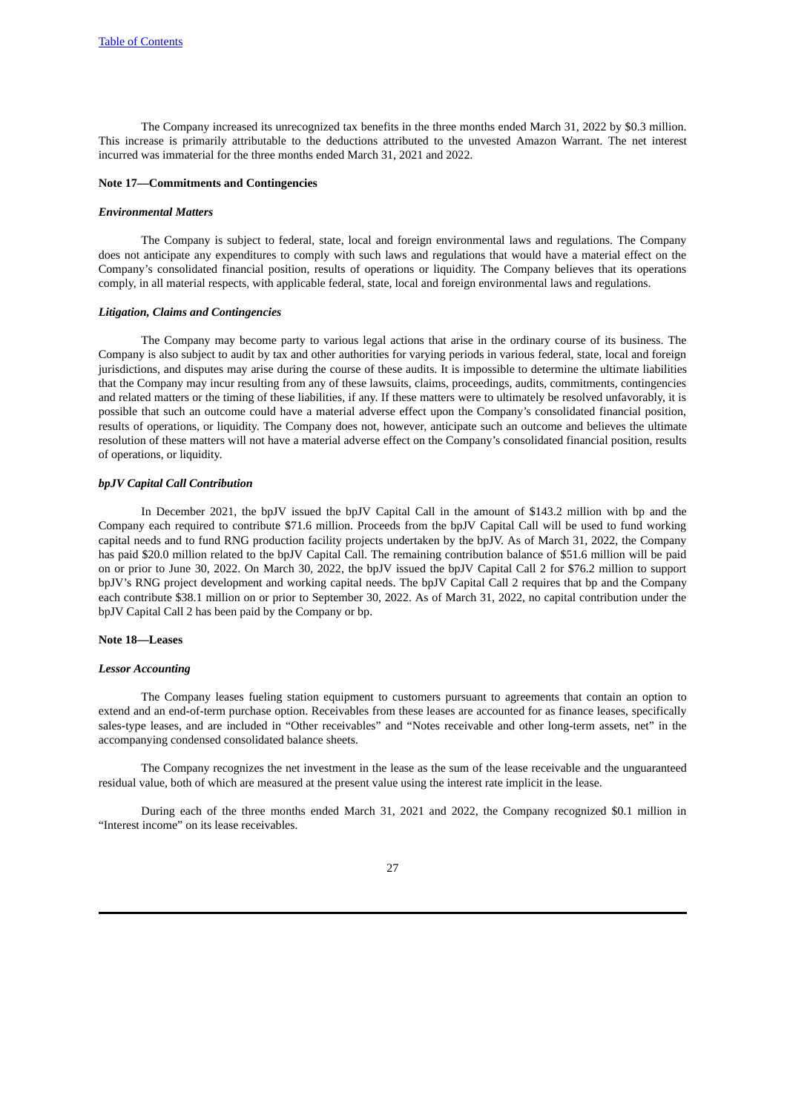The Company increased its unrecognized tax benefits in the three months ended March 31, 2022 by \$0.3 million. This increase is primarily attributable to the deductions attributed to the unvested Amazon Warrant. The net interest incurred was immaterial for the three months ended March 31, 2021 and 2022.

### **Note 17—Commitments and Contingencies**

#### *Environmental Matters*

The Company is subject to federal, state, local and foreign environmental laws and regulations. The Company does not anticipate any expenditures to comply with such laws and regulations that would have a material effect on the Company's consolidated financial position, results of operations or liquidity. The Company believes that its operations comply, in all material respects, with applicable federal, state, local and foreign environmental laws and regulations.

#### *Litigation, Claims and Contingencies*

The Company may become party to various legal actions that arise in the ordinary course of its business. The Company is also subject to audit by tax and other authorities for varying periods in various federal, state, local and foreign jurisdictions, and disputes may arise during the course of these audits. It is impossible to determine the ultimate liabilities that the Company may incur resulting from any of these lawsuits, claims, proceedings, audits, commitments, contingencies and related matters or the timing of these liabilities, if any. If these matters were to ultimately be resolved unfavorably, it is possible that such an outcome could have a material adverse effect upon the Company's consolidated financial position, results of operations, or liquidity. The Company does not, however, anticipate such an outcome and believes the ultimate resolution of these matters will not have a material adverse effect on the Company's consolidated financial position, results of operations, or liquidity.

### *bpJV Capital Call Contribution*

In December 2021, the bpJV issued the bpJV Capital Call in the amount of \$143.2 million with bp and the Company each required to contribute \$71.6 million. Proceeds from the bpJV Capital Call will be used to fund working capital needs and to fund RNG production facility projects undertaken by the bpJV. As of March 31, 2022, the Company has paid \$20.0 million related to the bpJV Capital Call. The remaining contribution balance of \$51.6 million will be paid on or prior to June 30, 2022. On March 30, 2022, the bpJV issued the bpJV Capital Call 2 for \$76.2 million to support bpJV's RNG project development and working capital needs. The bpJV Capital Call 2 requires that bp and the Company each contribute \$38.1 million on or prior to September 30, 2022. As of March 31, 2022, no capital contribution under the bpJV Capital Call 2 has been paid by the Company or bp.

#### **Note 18—Leases**

#### *Lessor Accounting*

The Company leases fueling station equipment to customers pursuant to agreements that contain an option to extend and an end-of-term purchase option. Receivables from these leases are accounted for as finance leases, specifically sales-type leases, and are included in "Other receivables" and "Notes receivable and other long-term assets, net" in the accompanying condensed consolidated balance sheets.

The Company recognizes the net investment in the lease as the sum of the lease receivable and the unguaranteed residual value, both of which are measured at the present value using the interest rate implicit in the lease.

During each of the three months ended March 31, 2021 and 2022, the Company recognized \$0.1 million in "Interest income" on its lease receivables.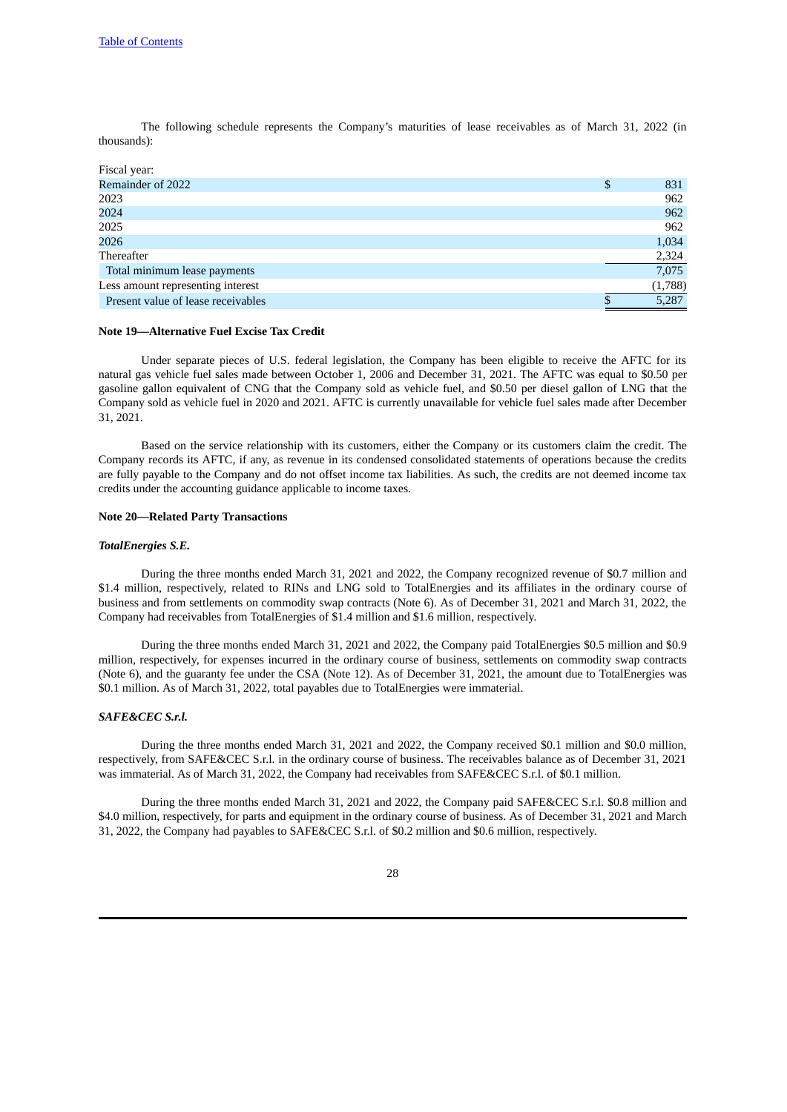The following schedule represents the Company's maturities of lease receivables as of March 31, 2022 (in thousands):

| Fiscal year:                       |           |
|------------------------------------|-----------|
| Remainder of 2022                  | \$<br>831 |
| 2023                               | 962       |
| 2024                               | 962       |
| 2025                               | 962       |
| 2026                               | 1,034     |
| Thereafter                         | 2,324     |
| Total minimum lease payments       | 7,075     |
| Less amount representing interest  | (1,788)   |
| Present value of lease receivables | 5,287     |

### **Note 19—Alternative Fuel Excise Tax Credit**

Under separate pieces of U.S. federal legislation, the Company has been eligible to receive the AFTC for its natural gas vehicle fuel sales made between October 1, 2006 and December 31, 2021. The AFTC was equal to \$0.50 per gasoline gallon equivalent of CNG that the Company sold as vehicle fuel, and \$0.50 per diesel gallon of LNG that the Company sold as vehicle fuel in 2020 and 2021. AFTC is currently unavailable for vehicle fuel sales made after December 31, 2021.

Based on the service relationship with its customers, either the Company or its customers claim the credit. The Company records its AFTC, if any, as revenue in its condensed consolidated statements of operations because the credits are fully payable to the Company and do not offset income tax liabilities. As such, the credits are not deemed income tax credits under the accounting guidance applicable to income taxes.

### **Note 20—Related Party Transactions**

#### *TotalEnergies S.E.*

During the three months ended March 31, 2021 and 2022, the Company recognized revenue of \$0.7 million and \$1.4 million, respectively, related to RINs and LNG sold to TotalEnergies and its affiliates in the ordinary course of business and from settlements on commodity swap contracts (Note 6). As of December 31, 2021 and March 31, 2022, the Company had receivables from TotalEnergies of \$1.4 million and \$1.6 million, respectively.

During the three months ended March 31, 2021 and 2022, the Company paid TotalEnergies \$0.5 million and \$0.9 million, respectively, for expenses incurred in the ordinary course of business, settlements on commodity swap contracts (Note 6), and the guaranty fee under the CSA (Note 12). As of December 31, 2021, the amount due to TotalEnergies was \$0.1 million. As of March 31, 2022, total payables due to TotalEnergies were immaterial.

## *SAFE&CEC S.r.l.*

During the three months ended March 31, 2021 and 2022, the Company received \$0.1 million and \$0.0 million, respectively, from SAFE&CEC S.r.l. in the ordinary course of business. The receivables balance as of December 31, 2021 was immaterial. As of March 31, 2022, the Company had receivables from SAFE&CEC S.r.l. of \$0.1 million.

During the three months ended March 31, 2021 and 2022, the Company paid SAFE&CEC S.r.l. \$0.8 million and \$4.0 million, respectively, for parts and equipment in the ordinary course of business. As of December 31, 2021 and March 31, 2022, the Company had payables to SAFE&CEC S.r.l. of \$0.2 million and \$0.6 million, respectively.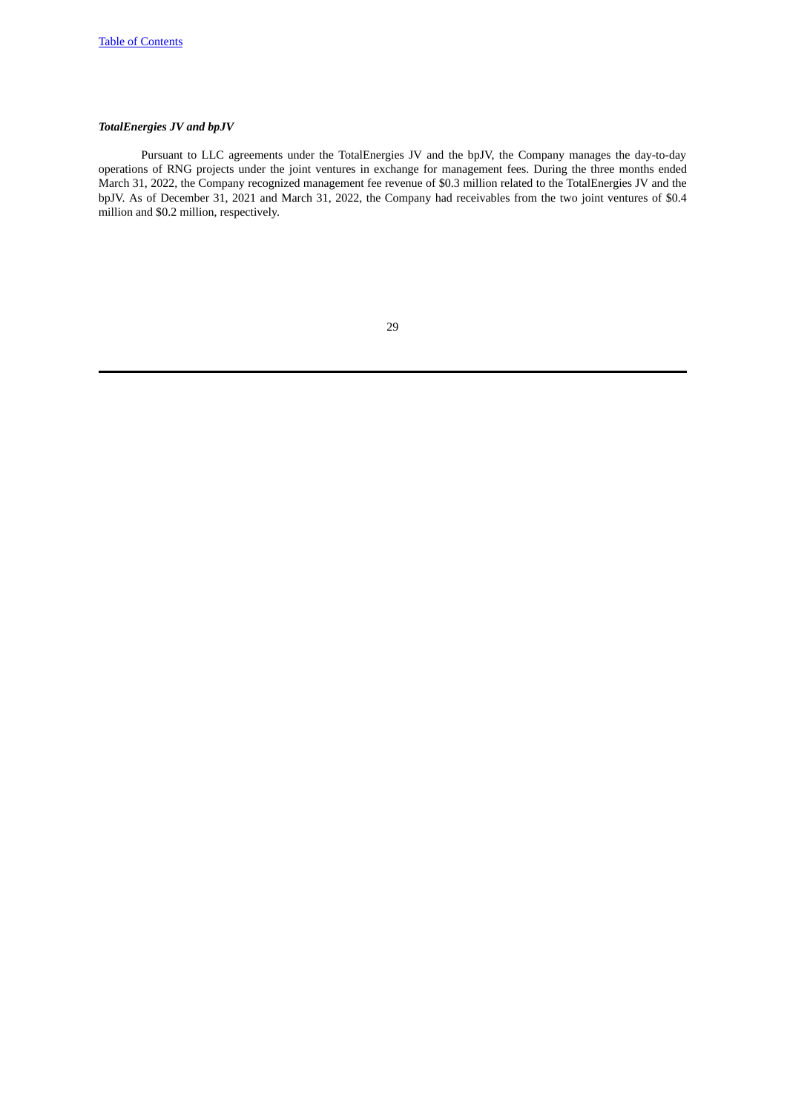# *TotalEnergies JV and bpJV*

Pursuant to LLC agreements under the TotalEnergies JV and the bpJV, the Company manages the day-to-day operations of RNG projects under the joint ventures in exchange for management fees. During the three months ended March 31, 2022, the Company recognized management fee revenue of \$0.3 million related to the TotalEnergies JV and the bpJV. As of December 31, 2021 and March 31, 2022, the Company had receivables from the two joint ventures of \$0.4 million and \$0.2 million, respectively.

| ٠<br>I<br>I<br>×<br>۹ |
|-----------------------|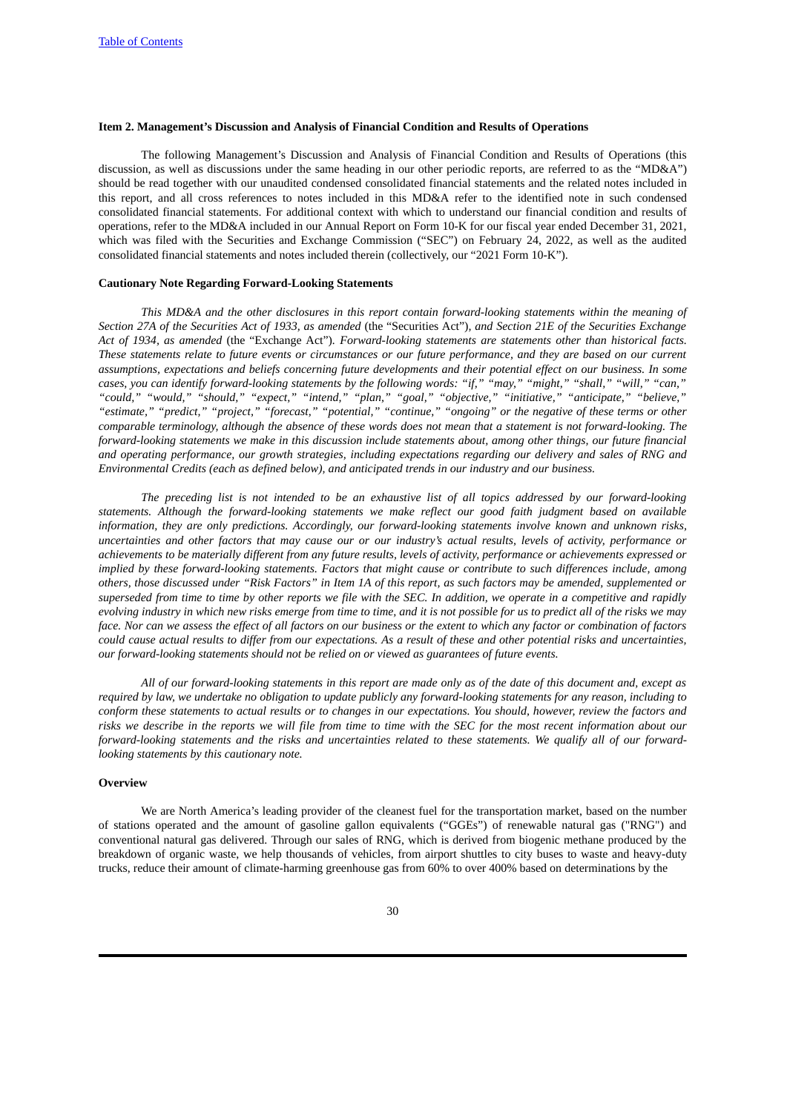### <span id="page-29-0"></span>**Item 2. Management's Discussion and Analysis of Financial Condition and Results of Operations**

The following Management's Discussion and Analysis of Financial Condition and Results of Operations (this discussion, as well as discussions under the same heading in our other periodic reports, are referred to as the "MD&A") should be read together with our unaudited condensed consolidated financial statements and the related notes included in this report, and all cross references to notes included in this MD&A refer to the identified note in such condensed consolidated financial statements. For additional context with which to understand our financial condition and results of operations, refer to the MD&A included in our Annual Report on Form 10-K for our fiscal year ended December 31, 2021, which was filed with the Securities and Exchange Commission ("SEC") on February 24, 2022, as well as the audited consolidated financial statements and notes included therein (collectively, our "2021 Form 10-K").

#### **Cautionary Note Regarding Forward-Looking Statements**

*This MD&A and the other disclosures in this report contain forward-looking statements within the meaning of* Section 27A of the Securities Act of 1933, as amended (the "Securities Act"), and Section 21E of the Securities Exchange *Act of 1934, as amended* (the "Exchange Act")*. Forward-looking statements are statements other than historical facts.* These statements relate to future events or circumstances or our future performance, and they are based on our current assumptions, expectations and beliefs concerning future developments and their potential effect on our business. In some cases, you can identify forward-looking statements by the following words: "if," "may," "might," "shall," "will," "can," *"could," "would," "should," "expect," "intend," "plan," "goal," "objective," "initiative," "anticipate," "believe,"* "estimate," "predict," "project," "forecast," "potential," "continue," "ongoing" or the negative of these terms or other comparable terminology, although the absence of these words does not mean that a statement is not forward-looking. The forward-looking statements we make in this discussion include statements about, among other things, our future financial and operating performance, our growth strategies, including expectations regarding our delivery and sales of RNG and *Environmental Credits (each as defined below), and anticipated trends in our industry and our business.*

The preceding list is not intended to be an exhaustive list of all topics addressed by our forward-looking *statements. Although the forward-looking statements we make reflect our good faith judgment based on available information, they are only predictions. Accordingly, our forward-looking statements involve known and unknown risks,* uncertainties and other factors that may cause our or our industry's actual results, levels of activity, performance or achievements to be materially different from any future results, levels of activity, performance or achievements expressed or implied by these forward-looking statements. Factors that might cause or contribute to such differences include, among others, those discussed under "Risk Factors" in Item 1A of this report, as such factors may be amended, supplemented or superseded from time to time by other reports we file with the SEC. In addition, we operate in a competitive and rapidly evolving industry in which new risks emerge from time to time, and it is not possible for us to predict all of the risks we may face. Nor can we assess the effect of all factors on our business or the extent to which any factor or combination of factors could cause actual results to differ from our expectations. As a result of these and other potential risks and uncertainties, *our forward-looking statements should not be relied on or viewed as guarantees of future events.*

All of our forward-looking statements in this report are made only as of the date of this document and, except as required by law, we undertake no obligation to update publicly any forward-looking statements for any reason, including to conform these statements to actual results or to changes in our expectations. You should, however, review the factors and risks we describe in the reports we will file from time to time with the SEC for the most recent information about our forward-looking statements and the risks and uncertainties related to these statements. We qualify all of our forward*looking statements by this cautionary note.*

#### **Overview**

We are North America's leading provider of the cleanest fuel for the transportation market, based on the number of stations operated and the amount of gasoline gallon equivalents ("GGEs") of renewable natural gas ("RNG") and conventional natural gas delivered. Through our sales of RNG, which is derived from biogenic methane produced by the breakdown of organic waste, we help thousands of vehicles, from airport shuttles to city buses to waste and heavy-duty trucks, reduce their amount of climate-harming greenhouse gas from 60% to over 400% based on determinations by the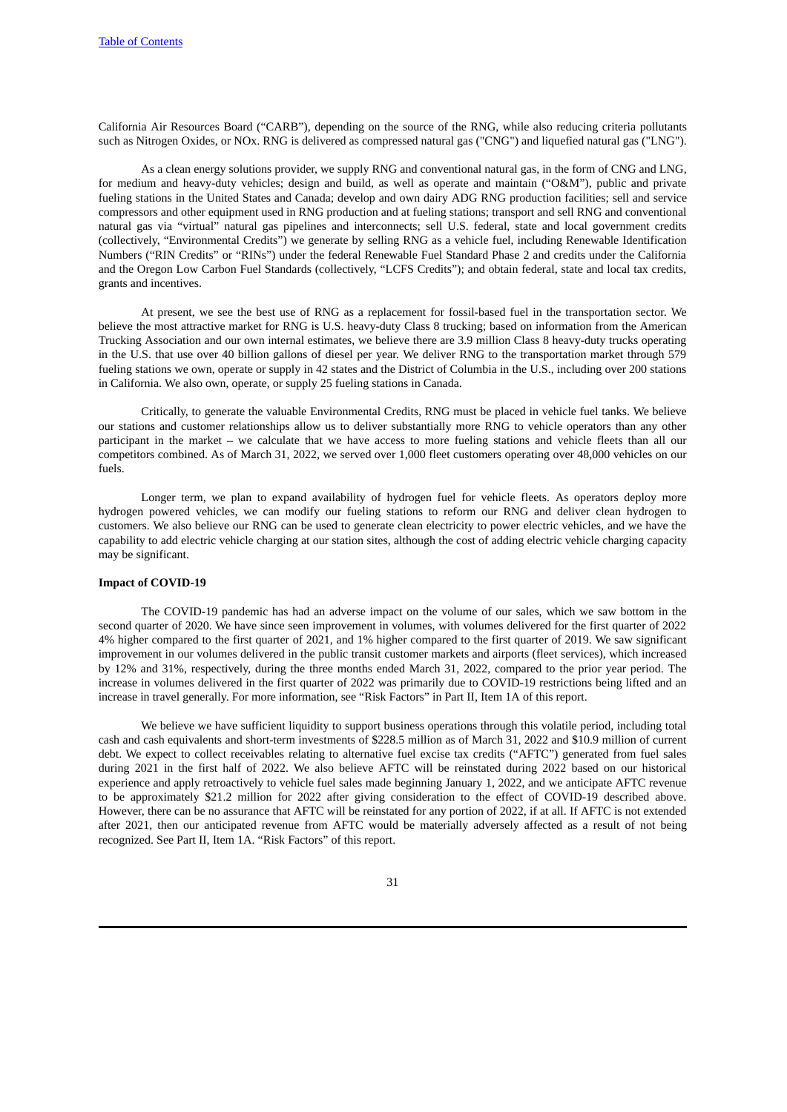California Air Resources Board ("CARB"), depending on the source of the RNG, while also reducing criteria pollutants such as Nitrogen Oxides, or NOx. RNG is delivered as compressed natural gas ("CNG") and liquefied natural gas ("LNG").

As a clean energy solutions provider, we supply RNG and conventional natural gas, in the form of CNG and LNG, for medium and heavy-duty vehicles; design and build, as well as operate and maintain ("O&M"), public and private fueling stations in the United States and Canada; develop and own dairy ADG RNG production facilities; sell and service compressors and other equipment used in RNG production and at fueling stations; transport and sell RNG and conventional natural gas via "virtual" natural gas pipelines and interconnects; sell U.S. federal, state and local government credits (collectively, "Environmental Credits") we generate by selling RNG as a vehicle fuel, including Renewable Identification Numbers ("RIN Credits" or "RINs") under the federal Renewable Fuel Standard Phase 2 and credits under the California and the Oregon Low Carbon Fuel Standards (collectively, "LCFS Credits"); and obtain federal, state and local tax credits, grants and incentives.

At present, we see the best use of RNG as a replacement for fossil-based fuel in the transportation sector. We believe the most attractive market for RNG is U.S. heavy-duty Class 8 trucking; based on information from the American Trucking Association and our own internal estimates, we believe there are 3.9 million Class 8 heavy-duty trucks operating in the U.S. that use over 40 billion gallons of diesel per year. We deliver RNG to the transportation market through 579 fueling stations we own, operate or supply in 42 states and the District of Columbia in the U.S., including over 200 stations in California. We also own, operate, or supply 25 fueling stations in Canada.

Critically, to generate the valuable Environmental Credits, RNG must be placed in vehicle fuel tanks. We believe our stations and customer relationships allow us to deliver substantially more RNG to vehicle operators than any other participant in the market – we calculate that we have access to more fueling stations and vehicle fleets than all our competitors combined. As of March 31, 2022, we served over 1,000 fleet customers operating over 48,000 vehicles on our fuels.

Longer term, we plan to expand availability of hydrogen fuel for vehicle fleets. As operators deploy more hydrogen powered vehicles, we can modify our fueling stations to reform our RNG and deliver clean hydrogen to customers. We also believe our RNG can be used to generate clean electricity to power electric vehicles, and we have the capability to add electric vehicle charging at our station sites, although the cost of adding electric vehicle charging capacity may be significant.

### **Impact of COVID-19**

The COVID-19 pandemic has had an adverse impact on the volume of our sales, which we saw bottom in the second quarter of 2020. We have since seen improvement in volumes, with volumes delivered for the first quarter of 2022 4% higher compared to the first quarter of 2021, and 1% higher compared to the first quarter of 2019. We saw significant improvement in our volumes delivered in the public transit customer markets and airports (fleet services), which increased by 12% and 31%, respectively, during the three months ended March 31, 2022, compared to the prior year period. The increase in volumes delivered in the first quarter of 2022 was primarily due to COVID-19 restrictions being lifted and an increase in travel generally. For more information, see "Risk Factors" in Part II, Item 1A of this report.

We believe we have sufficient liquidity to support business operations through this volatile period, including total cash and cash equivalents and short-term investments of \$228.5 million as of March 31, 2022 and \$10.9 million of current debt. We expect to collect receivables relating to alternative fuel excise tax credits ("AFTC") generated from fuel sales during 2021 in the first half of 2022. We also believe AFTC will be reinstated during 2022 based on our historical experience and apply retroactively to vehicle fuel sales made beginning January 1, 2022, and we anticipate AFTC revenue to be approximately \$21.2 million for 2022 after giving consideration to the effect of COVID-19 described above. However, there can be no assurance that AFTC will be reinstated for any portion of 2022, if at all. If AFTC is not extended after 2021, then our anticipated revenue from AFTC would be materially adversely affected as a result of not being recognized. See Part II, Item 1A. "Risk Factors" of this report.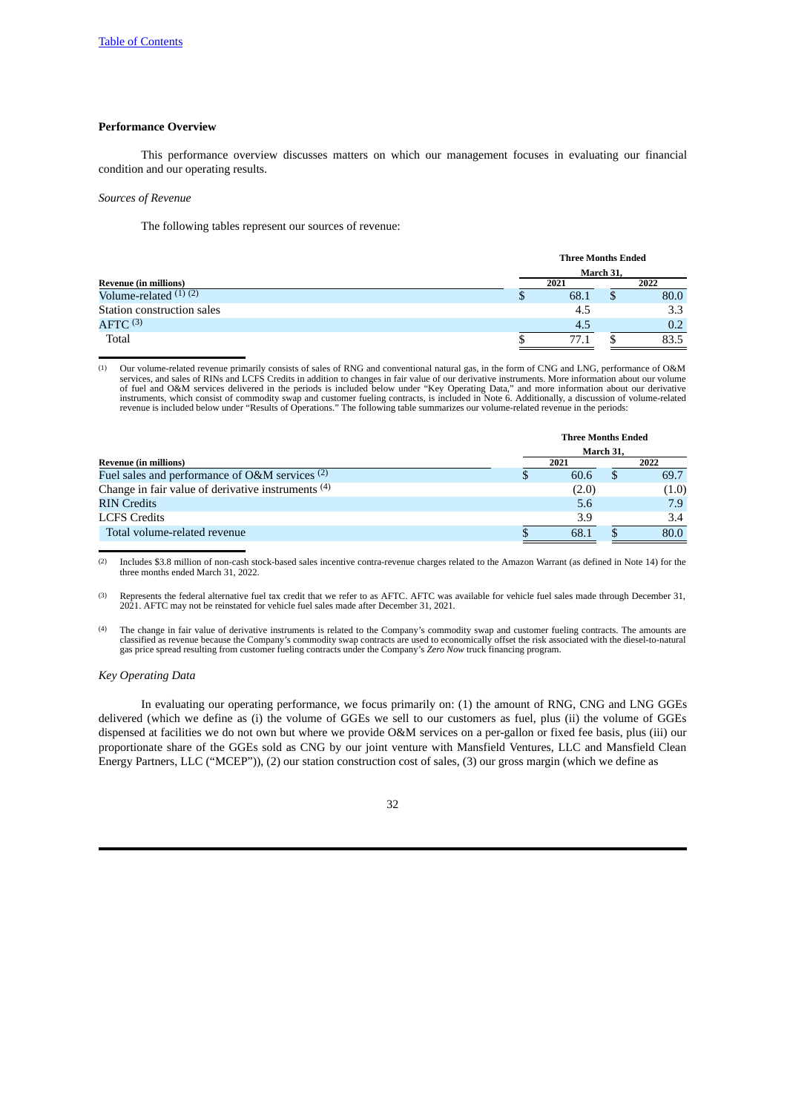### **Performance Overview**

This performance overview discusses matters on which our management focuses in evaluating our financial condition and our operating results.

#### *Sources of Revenue*

The following tables represent our sources of revenue:

|                              | <b>Three Months Ended</b> |  |           |   |      |
|------------------------------|---------------------------|--|-----------|---|------|
|                              |                           |  | March 31, |   |      |
| <b>Revenue (in millions)</b> |                           |  | 2021      |   | 2022 |
| Volume-related $(1)$ $(2)$   |                           |  | 68.1      | S | 80.0 |
| Station construction sales   |                           |  | 4.5       |   | 3.3  |
| AFTC $(3)$                   |                           |  | 4.5       |   | 0.2  |
| Total                        |                           |  | 77.       |   | 83.5 |

(1) Our volume-related revenue primarily consists of sales of RNG and conventional natural gas, in the form of CNG and LNG, performance of O&M services, and sales of RINs and LCFS Credits in addition to changes in fair val

|                                                               | <b>Three Months Ended</b> |  |       |  |  |  |
|---------------------------------------------------------------|---------------------------|--|-------|--|--|--|
|                                                               | March 31.                 |  |       |  |  |  |
| <b>Revenue (in millions)</b>                                  | 2021                      |  | 2022  |  |  |  |
| Fuel sales and performance of O&M services $(2)$              | 60.6                      |  | 69.7  |  |  |  |
| Change in fair value of derivative instruments <sup>(4)</sup> | (2.0)                     |  | (1.0) |  |  |  |
| <b>RIN</b> Credits                                            | 5.6                       |  | 7.9   |  |  |  |
| <b>LCFS Credits</b>                                           | 3.9                       |  | 3.4   |  |  |  |
| Total volume-related revenue                                  | 68.1                      |  | 80.0  |  |  |  |

(2) Includes \$3.8 million of non-cash stock-based sales incentive contra-revenue charges related to the Amazon Warrant (as defined in Note 14) for the three months ended March 31, 2022.

(3) Represents the federal alternative fuel tax credit that we refer to as AFTC. AFTC was available for vehicle fuel sales made through December 31, 2021. AFTC may not be reinstated for vehicle fuel sales made after December 31, 2021.

(4) The change in fair value of derivative instruments is related to the Company's commodity swap and customer fueling contracts. The amounts are classified as revenue because the Company's commodity swap contracts are used to economically offset the risk associated with the diesel-to-natural<br>gas price spread resulting from customer fueling contracts under the Compa

#### *Key Operating Data*

In evaluating our operating performance, we focus primarily on: (1) the amount of RNG, CNG and LNG GGEs delivered (which we define as (i) the volume of GGEs we sell to our customers as fuel, plus (ii) the volume of GGEs dispensed at facilities we do not own but where we provide O&M services on a per-gallon or fixed fee basis, plus (iii) our proportionate share of the GGEs sold as CNG by our joint venture with Mansfield Ventures, LLC and Mansfield Clean Energy Partners, LLC ("MCEP")), (2) our station construction cost of sales, (3) our gross margin (which we define as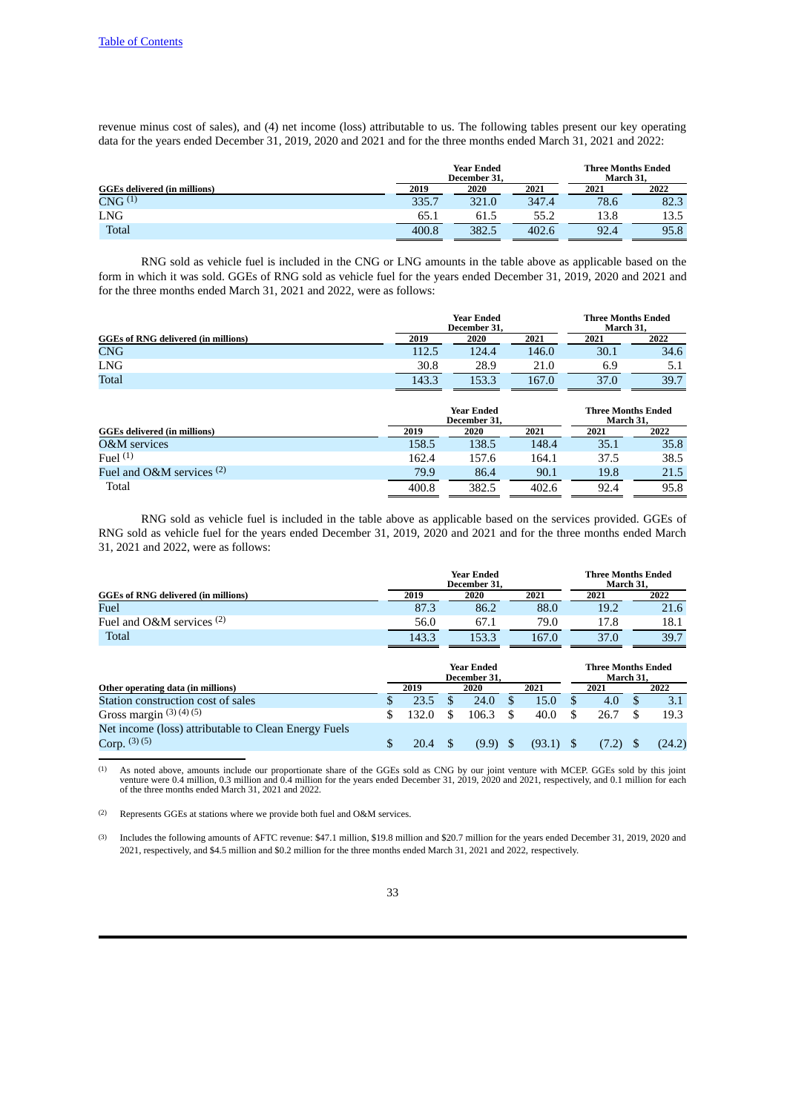revenue minus cost of sales), and (4) net income (loss) attributable to us. The following tables present our key operating data for the years ended December 31, 2019, 2020 and 2021 and for the three months ended March 31, 2021 and 2022:

|                                     |       | <b>Year Ended</b><br>December 31. |       | <b>Three Months Ended</b><br>March 31. |      |  |
|-------------------------------------|-------|-----------------------------------|-------|----------------------------------------|------|--|
| <b>GGEs delivered (in millions)</b> | 2019  | 2020                              | 2021  | 2021                                   | 2022 |  |
| CNG <sup>(1)</sup>                  | 335.7 | 321.0                             | 347.4 | 78.6                                   | 82.3 |  |
| <b>LNG</b>                          | 65.1  | 61.5                              | 55.2  | 13.8                                   | 13.5 |  |
| Total                               | 400.8 | 382.5                             | 402.6 | 92.4                                   | 95.8 |  |

RNG sold as vehicle fuel is included in the CNG or LNG amounts in the table above as applicable based on the form in which it was sold. GGEs of RNG sold as vehicle fuel for the years ended December 31, 2019, 2020 and 2021 and for the three months ended March 31, 2021 and 2022, were as follows:

|                                            |       | Year Ended<br>December 31. |       | <b>Three Months Ended</b><br>March 31. |      |
|--------------------------------------------|-------|----------------------------|-------|----------------------------------------|------|
| <b>GGEs of RNG delivered (in millions)</b> | 2019  | 2020                       | 2021  | 2021                                   | 2022 |
| CNG                                        | 112.5 | 124.4                      | 146.0 | 30.1                                   | 34.6 |
| <b>LNG</b>                                 | 30.8  | 28.9                       | 21.0  | 6.9                                    | 5.1  |
| Total                                      | 143.3 | 153.3                      | 167.0 | 37.0                                   | 39.7 |

|                              |       | Year Ended<br>December 31. |       | Three Months Ended<br>March 31. |      |
|------------------------------|-------|----------------------------|-------|---------------------------------|------|
| GGEs delivered (in millions) | 2019  | 2020                       | 2021  | 2021                            | 2022 |
| <b>O&amp;M</b> services      | 158.5 | 138.5                      | 148.4 | 35.1                            | 35.8 |
| Fuel $(1)$                   | 162.4 | 157.6                      | 164.1 | 37.5                            | 38.5 |
| Fuel and O&M services $(2)$  | 79.9  | 86.4                       | 90.1  | 19.8                            | 21.5 |
| Total                        | 400.8 | 382.5                      | 402.6 | 92.4                            | 95.8 |

RNG sold as vehicle fuel is included in the table above as applicable based on the services provided. GGEs of RNG sold as vehicle fuel for the years ended December 31, 2019, 2020 and 2021 and for the three months ended March 31, 2021 and 2022, were as follows:

|                                     |       | Year Ended<br>December 31. | <b>Three Months Ended</b><br>March 31. |      |      |  |
|-------------------------------------|-------|----------------------------|----------------------------------------|------|------|--|
| GGEs of RNG delivered (in millions) | 2019  | 2020                       | 2021                                   | 2021 | 2022 |  |
| Fuel                                | 87.3  | 86.2                       | 88.0                                   | 19.2 | 21.6 |  |
| Fuel and O&M services $(2)$         | 56.0  | -67.1                      | 79.0                                   | 17.8 | 18.1 |  |
| Total                               | 143.3 | 153.3                      | 167.0                                  | 37.0 | 39.7 |  |

|                                                      | <b>Year Ended</b><br>December 31. |  |       |  | <b>Three Months Ended</b><br>March 31, |  |      |  |        |
|------------------------------------------------------|-----------------------------------|--|-------|--|----------------------------------------|--|------|--|--------|
| Other operating data (in millions)                   | 2019                              |  | 2020  |  | 2021                                   |  | 2021 |  | 2022   |
| Station construction cost of sales                   | 23.5                              |  | 24.0  |  | 15.0                                   |  | 4.0  |  | 3.1    |
| Gross margin $(3)$ (4) (5)                           | 132.0                             |  | 106.3 |  | 40.0                                   |  | 26.7 |  | 19.3   |
| Net income (loss) attributable to Clean Energy Fuels |                                   |  |       |  |                                        |  |      |  |        |
| Corp. $(3)(5)$                                       | 20.4                              |  | (9.9) |  | (93.1)                                 |  |      |  | (24.2) |

 $^{(1)}$  As noted above, amounts include our proportionate share of the GGEs sold as CNG by our joint venture with MCEP. GGEs sold by this joint venture were 0.4 million, 0.3 million and 0.4 million for the years ended Dece

(2) Represents GGEs at stations where we provide both fuel and O&M services.

(3) Includes the following amounts of AFTC revenue: \$47.1 million, \$19.8 million and \$20.7 million for the years ended December 31, 2019, 2020 and 2021, respectively, and \$4.5 million and \$0.2 million for the three months ended March 31, 2021 and 2022, respectively.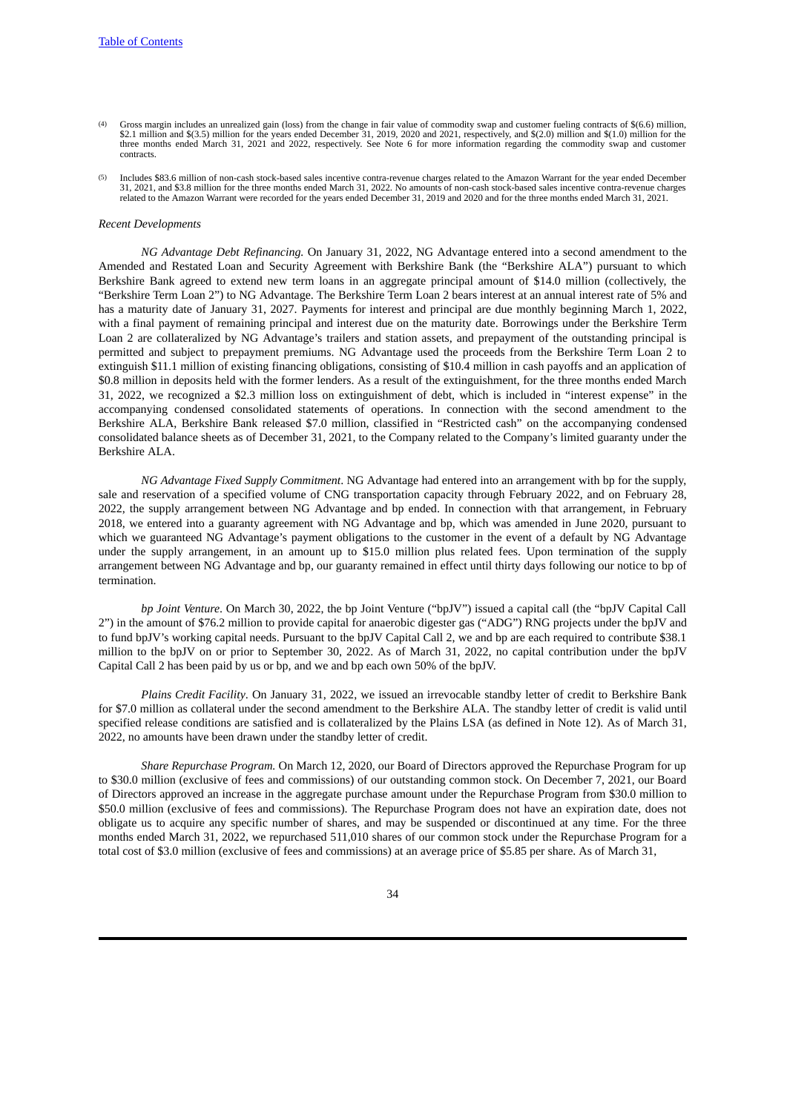- (4) Gross margin includes an unrealized gain (loss) from the change in fair value of commodity swap and customer fueling contracts of \$(6.6) million, \$2.1 million and \$(3.5) million for the years ended December 31, 2019, 2 contracts.
- (5) Includes \$83.6 million of non-cash stock-based sales incentive contra-revenue charges related to the Amazon Warrant for the year ended December 31, 2021, and \$3.8 million for the three months ended March 31, 2022. No amounts of non-cash stock-based sales incentive contra-revenue charges<br>related to the Amazon Warrant were recorded for the years ended December 31, 2

#### *Recent Developments*

*NG Advantage Debt Refinancing.* On January 31, 2022, NG Advantage entered into a second amendment to the Amended and Restated Loan and Security Agreement with Berkshire Bank (the "Berkshire ALA") pursuant to which Berkshire Bank agreed to extend new term loans in an aggregate principal amount of \$14.0 million (collectively, the "Berkshire Term Loan 2") to NG Advantage. The Berkshire Term Loan 2 bears interest at an annual interest rate of 5% and has a maturity date of January 31, 2027. Payments for interest and principal are due monthly beginning March 1, 2022, with a final payment of remaining principal and interest due on the maturity date. Borrowings under the Berkshire Term Loan 2 are collateralized by NG Advantage's trailers and station assets, and prepayment of the outstanding principal is permitted and subject to prepayment premiums. NG Advantage used the proceeds from the Berkshire Term Loan 2 to extinguish \$11.1 million of existing financing obligations, consisting of \$10.4 million in cash payoffs and an application of \$0.8 million in deposits held with the former lenders. As a result of the extinguishment, for the three months ended March 31, 2022, we recognized a \$2.3 million loss on extinguishment of debt, which is included in "interest expense" in the accompanying condensed consolidated statements of operations. In connection with the second amendment to the Berkshire ALA, Berkshire Bank released \$7.0 million, classified in "Restricted cash" on the accompanying condensed consolidated balance sheets as of December 31, 2021, to the Company related to the Company's limited guaranty under the Berkshire ALA.

*NG Advantage Fixed Supply Commitment*. NG Advantage had entered into an arrangement with bp for the supply, sale and reservation of a specified volume of CNG transportation capacity through February 2022, and on February 28, 2022, the supply arrangement between NG Advantage and bp ended. In connection with that arrangement, in February 2018, we entered into a guaranty agreement with NG Advantage and bp, which was amended in June 2020, pursuant to which we guaranteed NG Advantage's payment obligations to the customer in the event of a default by NG Advantage under the supply arrangement, in an amount up to \$15.0 million plus related fees. Upon termination of the supply arrangement between NG Advantage and bp, our guaranty remained in effect until thirty days following our notice to bp of termination.

*bp Joint Venture*. On March 30, 2022, the bp Joint Venture ("bpJV") issued a capital call (the "bpJV Capital Call 2") in the amount of \$76.2 million to provide capital for anaerobic digester gas ("ADG") RNG projects under the bpJV and to fund bpJV's working capital needs. Pursuant to the bpJV Capital Call 2, we and bp are each required to contribute \$38.1 million to the bpJV on or prior to September 30, 2022. As of March 31, 2022, no capital contribution under the bpJV Capital Call 2 has been paid by us or bp, and we and bp each own 50% of the bpJV.

*Plains Credit Facility*. On January 31, 2022, we issued an irrevocable standby letter of credit to Berkshire Bank for \$7.0 million as collateral under the second amendment to the Berkshire ALA. The standby letter of credit is valid until specified release conditions are satisfied and is collateralized by the Plains LSA (as defined in Note 12). As of March 31, 2022, no amounts have been drawn under the standby letter of credit.

*Share Repurchase Program.* On March 12, 2020, our Board of Directors approved the Repurchase Program for up to \$30.0 million (exclusive of fees and commissions) of our outstanding common stock. On December 7, 2021, our Board of Directors approved an increase in the aggregate purchase amount under the Repurchase Program from \$30.0 million to \$50.0 million (exclusive of fees and commissions). The Repurchase Program does not have an expiration date, does not obligate us to acquire any specific number of shares, and may be suspended or discontinued at any time. For the three months ended March 31, 2022, we repurchased 511,010 shares of our common stock under the Repurchase Program for a total cost of \$3.0 million (exclusive of fees and commissions) at an average price of \$5.85 per share. As of March 31,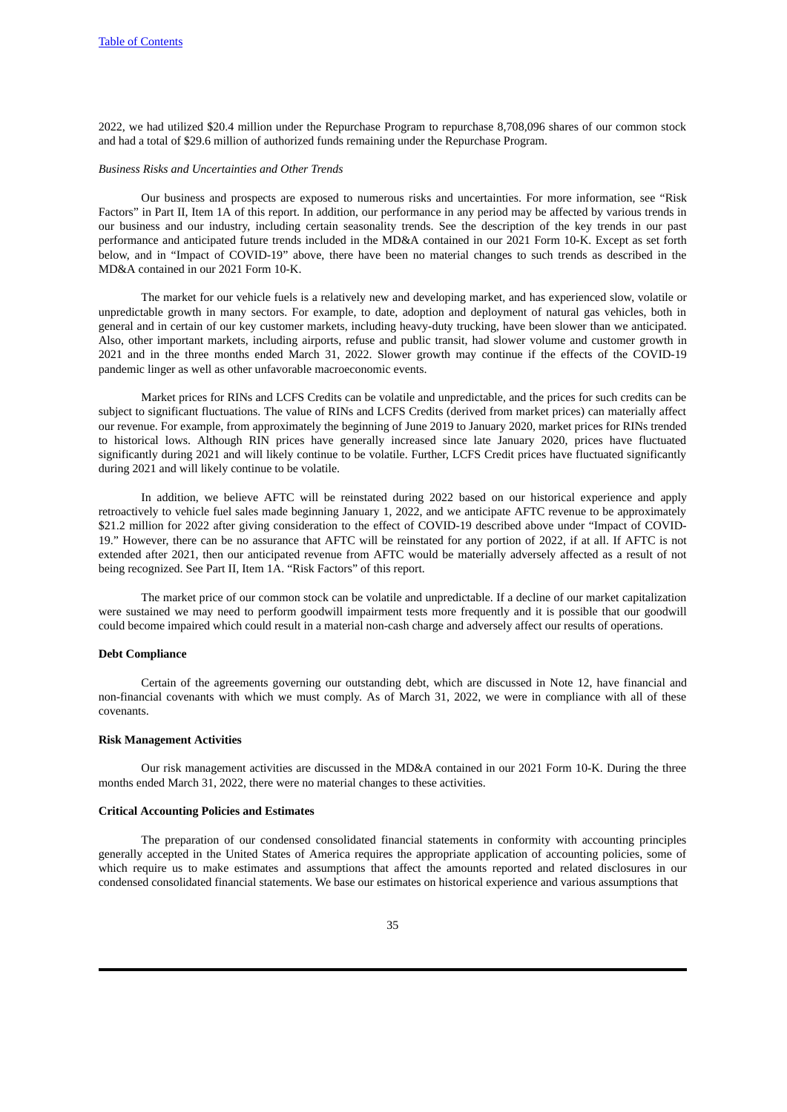2022, we had utilized \$20.4 million under the Repurchase Program to repurchase 8,708,096 shares of our common stock and had a total of \$29.6 million of authorized funds remaining under the Repurchase Program.

#### *Business Risks and Uncertainties and Other Trends*

Our business and prospects are exposed to numerous risks and uncertainties. For more information, see "Risk Factors" in Part II, Item 1A of this report. In addition, our performance in any period may be affected by various trends in our business and our industry, including certain seasonality trends. See the description of the key trends in our past performance and anticipated future trends included in the MD&A contained in our 2021 Form 10-K. Except as set forth below, and in "Impact of COVID-19" above, there have been no material changes to such trends as described in the MD&A contained in our 2021 Form 10-K.

The market for our vehicle fuels is a relatively new and developing market, and has experienced slow, volatile or unpredictable growth in many sectors. For example, to date, adoption and deployment of natural gas vehicles, both in general and in certain of our key customer markets, including heavy-duty trucking, have been slower than we anticipated. Also, other important markets, including airports, refuse and public transit, had slower volume and customer growth in 2021 and in the three months ended March 31, 2022. Slower growth may continue if the effects of the COVID-19 pandemic linger as well as other unfavorable macroeconomic events.

Market prices for RINs and LCFS Credits can be volatile and unpredictable, and the prices for such credits can be subject to significant fluctuations. The value of RINs and LCFS Credits (derived from market prices) can materially affect our revenue. For example, from approximately the beginning of June 2019 to January 2020, market prices for RINs trended to historical lows. Although RIN prices have generally increased since late January 2020, prices have fluctuated significantly during 2021 and will likely continue to be volatile. Further, LCFS Credit prices have fluctuated significantly during 2021 and will likely continue to be volatile.

In addition, we believe AFTC will be reinstated during 2022 based on our historical experience and apply retroactively to vehicle fuel sales made beginning January 1, 2022, and we anticipate AFTC revenue to be approximately \$21.2 million for 2022 after giving consideration to the effect of COVID-19 described above under "Impact of COVID-19." However, there can be no assurance that AFTC will be reinstated for any portion of 2022, if at all. If AFTC is not extended after 2021, then our anticipated revenue from AFTC would be materially adversely affected as a result of not being recognized. See Part II, Item 1A. "Risk Factors" of this report.

The market price of our common stock can be volatile and unpredictable. If a decline of our market capitalization were sustained we may need to perform goodwill impairment tests more frequently and it is possible that our goodwill could become impaired which could result in a material non-cash charge and adversely affect our results of operations.

#### **Debt Compliance**

Certain of the agreements governing our outstanding debt, which are discussed in Note 12, have financial and non-financial covenants with which we must comply. As of March 31, 2022, we were in compliance with all of these covenants.

#### **Risk Management Activities**

Our risk management activities are discussed in the MD&A contained in our 2021 Form 10-K. During the three months ended March 31, 2022, there were no material changes to these activities.

#### **Critical Accounting Policies and Estimates**

The preparation of our condensed consolidated financial statements in conformity with accounting principles generally accepted in the United States of America requires the appropriate application of accounting policies, some of which require us to make estimates and assumptions that affect the amounts reported and related disclosures in our condensed consolidated financial statements. We base our estimates on historical experience and various assumptions that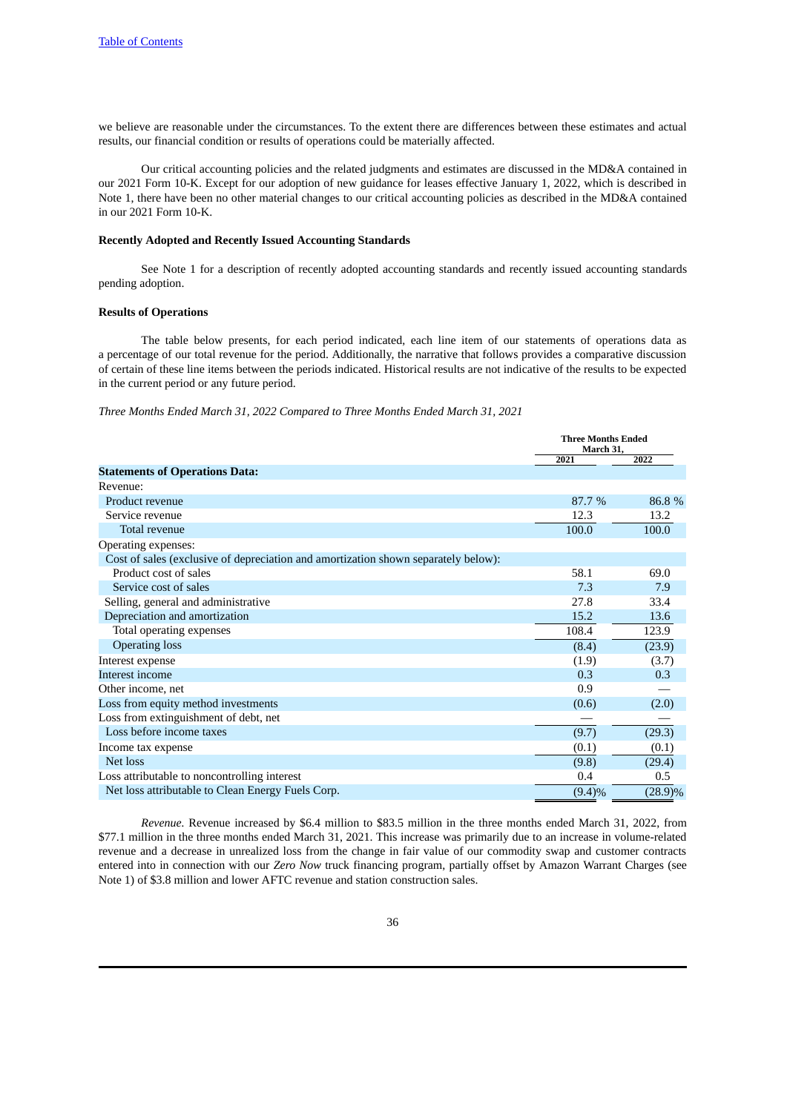we believe are reasonable under the circumstances. To the extent there are differences between these estimates and actual results, our financial condition or results of operations could be materially affected.

Our critical accounting policies and the related judgments and estimates are discussed in the MD&A contained in our 2021 Form 10-K. Except for our adoption of new guidance for leases effective January 1, 2022, which is described in Note 1, there have been no other material changes to our critical accounting policies as described in the MD&A contained in our 2021 Form 10-K.

#### **Recently Adopted and Recently Issued Accounting Standards**

See Note 1 for a description of recently adopted accounting standards and recently issued accounting standards pending adoption.

## **Results of Operations**

The table below presents, for each period indicated, each line item of our statements of operations data as a percentage of our total revenue for the period. Additionally, the narrative that follows provides a comparative discussion of certain of these line items between the periods indicated. Historical results are not indicative of the results to be expected in the current period or any future period.

*Three Months Ended March 31, 2022 Compared to Three Months Ended March 31, 2021*

|                                                                                    | <b>Three Months Ended</b><br>March 31. |            |
|------------------------------------------------------------------------------------|----------------------------------------|------------|
|                                                                                    | 2021                                   | 2022       |
| <b>Statements of Operations Data:</b>                                              |                                        |            |
| Revenue:                                                                           |                                        |            |
| Product revenue                                                                    | 87.7 %                                 | 86.8 %     |
| Service revenue                                                                    | 12.3                                   | 13.2       |
| Total revenue                                                                      | 100.0                                  | 100.0      |
| Operating expenses:                                                                |                                        |            |
| Cost of sales (exclusive of depreciation and amortization shown separately below): |                                        |            |
| Product cost of sales                                                              | 58.1                                   | 69.0       |
| Service cost of sales                                                              | 7.3                                    | 7.9        |
| Selling, general and administrative                                                | 27.8                                   | 33.4       |
| Depreciation and amortization                                                      | 15.2                                   | 13.6       |
| Total operating expenses                                                           | 108.4                                  | 123.9      |
| <b>Operating loss</b>                                                              | (8.4)                                  | (23.9)     |
| Interest expense                                                                   | (1.9)                                  | (3.7)      |
| Interest income                                                                    | 0.3                                    | 0.3        |
| Other income, net                                                                  | 0.9                                    |            |
| Loss from equity method investments                                                | (0.6)                                  | (2.0)      |
| Loss from extinguishment of debt, net                                              |                                        |            |
| Loss before income taxes                                                           | (9.7)                                  | (29.3)     |
| Income tax expense                                                                 | (0.1)                                  | (0.1)      |
| Net loss                                                                           | (9.8)                                  | (29.4)     |
| Loss attributable to noncontrolling interest                                       | 0.4                                    | 0.5        |
| Net loss attributable to Clean Energy Fuels Corp.                                  | $(9.4)\%$                              | $(28.9)\%$ |

*Revenue.* Revenue increased by \$6.4 million to \$83.5 million in the three months ended March 31, 2022, from \$77.1 million in the three months ended March 31, 2021. This increase was primarily due to an increase in volume-related revenue and a decrease in unrealized loss from the change in fair value of our commodity swap and customer contracts entered into in connection with our *Zero Now* truck financing program, partially offset by Amazon Warrant Charges (see Note 1) of \$3.8 million and lower AFTC revenue and station construction sales.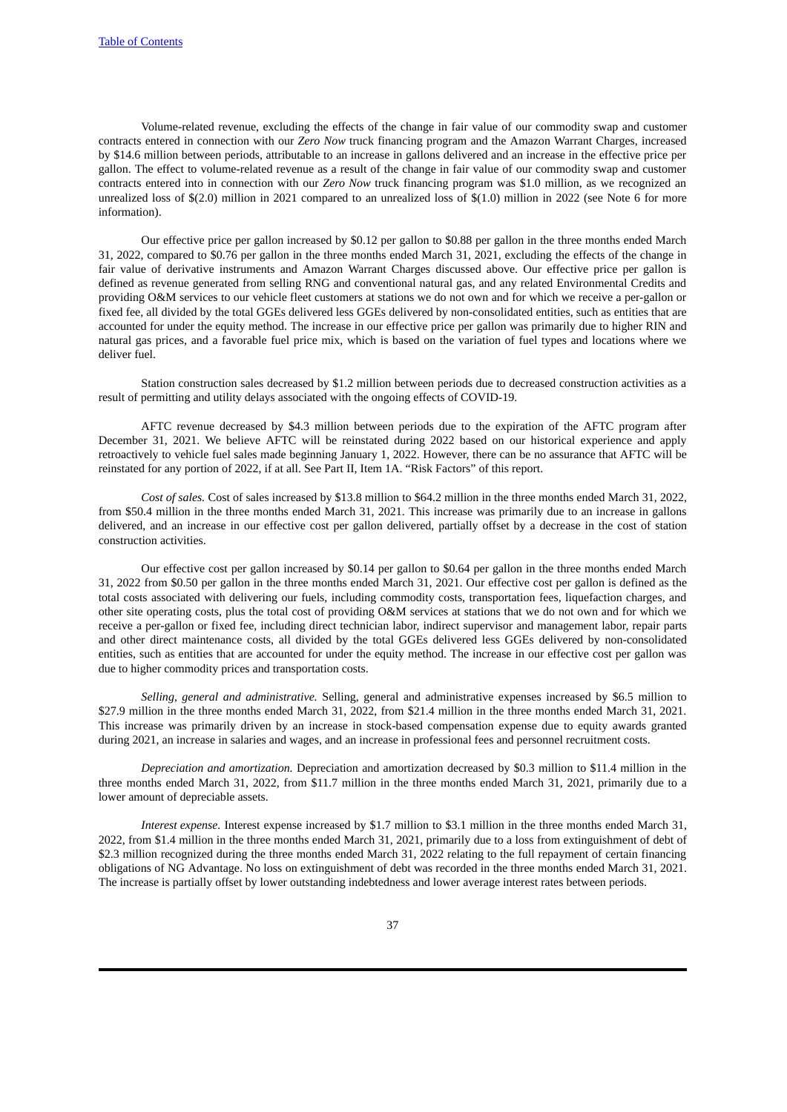Volume-related revenue, excluding the effects of the change in fair value of our commodity swap and customer contracts entered in connection with our *Zero Now* truck financing program and the Amazon Warrant Charges, increased by \$14.6 million between periods, attributable to an increase in gallons delivered and an increase in the effective price per gallon. The effect to volume-related revenue as a result of the change in fair value of our commodity swap and customer contracts entered into in connection with our *Zero Now* truck financing program was \$1.0 million, as we recognized an unrealized loss of \$(2.0) million in 2021 compared to an unrealized loss of \$(1.0) million in 2022 (see Note 6 for more information).

Our effective price per gallon increased by \$0.12 per gallon to \$0.88 per gallon in the three months ended March 31, 2022, compared to \$0.76 per gallon in the three months ended March 31, 2021, excluding the effects of the change in fair value of derivative instruments and Amazon Warrant Charges discussed above. Our effective price per gallon is defined as revenue generated from selling RNG and conventional natural gas, and any related Environmental Credits and providing O&M services to our vehicle fleet customers at stations we do not own and for which we receive a per-gallon or fixed fee, all divided by the total GGEs delivered less GGEs delivered by non-consolidated entities, such as entities that are accounted for under the equity method. The increase in our effective price per gallon was primarily due to higher RIN and natural gas prices, and a favorable fuel price mix, which is based on the variation of fuel types and locations where we deliver fuel.

Station construction sales decreased by \$1.2 million between periods due to decreased construction activities as a result of permitting and utility delays associated with the ongoing effects of COVID-19.

AFTC revenue decreased by \$4.3 million between periods due to the expiration of the AFTC program after December 31, 2021. We believe AFTC will be reinstated during 2022 based on our historical experience and apply retroactively to vehicle fuel sales made beginning January 1, 2022. However, there can be no assurance that AFTC will be reinstated for any portion of 2022, if at all. See Part II, Item 1A. "Risk Factors" of this report.

*Cost of sales.* Cost of sales increased by \$13.8 million to \$64.2 million in the three months ended March 31, 2022, from \$50.4 million in the three months ended March 31, 2021. This increase was primarily due to an increase in gallons delivered, and an increase in our effective cost per gallon delivered, partially offset by a decrease in the cost of station construction activities.

Our effective cost per gallon increased by \$0.14 per gallon to \$0.64 per gallon in the three months ended March 31, 2022 from \$0.50 per gallon in the three months ended March 31, 2021. Our effective cost per gallon is defined as the total costs associated with delivering our fuels, including commodity costs, transportation fees, liquefaction charges, and other site operating costs, plus the total cost of providing O&M services at stations that we do not own and for which we receive a per-gallon or fixed fee, including direct technician labor, indirect supervisor and management labor, repair parts and other direct maintenance costs, all divided by the total GGEs delivered less GGEs delivered by non-consolidated entities, such as entities that are accounted for under the equity method. The increase in our effective cost per gallon was due to higher commodity prices and transportation costs.

*Selling, general and administrative.* Selling, general and administrative expenses increased by \$6.5 million to \$27.9 million in the three months ended March 31, 2022, from \$21.4 million in the three months ended March 31, 2021. This increase was primarily driven by an increase in stock-based compensation expense due to equity awards granted during 2021, an increase in salaries and wages, and an increase in professional fees and personnel recruitment costs.

*Depreciation and amortization.* Depreciation and amortization decreased by \$0.3 million to \$11.4 million in the three months ended March 31, 2022, from \$11.7 million in the three months ended March 31, 2021, primarily due to a lower amount of depreciable assets.

*Interest expense.* Interest expense increased by \$1.7 million to \$3.1 million in the three months ended March 31, 2022, from \$1.4 million in the three months ended March 31, 2021, primarily due to a loss from extinguishment of debt of \$2.3 million recognized during the three months ended March 31, 2022 relating to the full repayment of certain financing obligations of NG Advantage. No loss on extinguishment of debt was recorded in the three months ended March 31, 2021. The increase is partially offset by lower outstanding indebtedness and lower average interest rates between periods.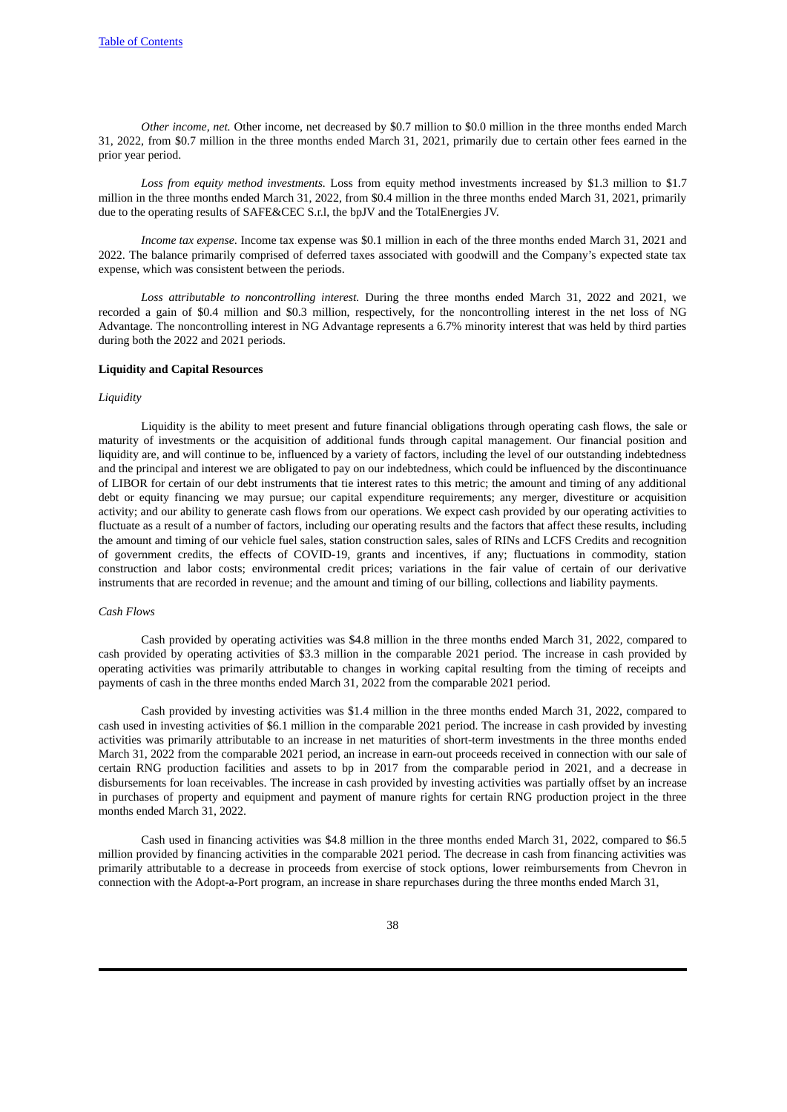*Other income, net.* Other income, net decreased by \$0.7 million to \$0.0 million in the three months ended March 31, 2022, from \$0.7 million in the three months ended March 31, 2021, primarily due to certain other fees earned in the prior year period.

*Loss from equity method investments.* Loss from equity method investments increased by \$1.3 million to \$1.7 million in the three months ended March 31, 2022, from \$0.4 million in the three months ended March 31, 2021, primarily due to the operating results of SAFE&CEC S.r.l, the bpJV and the TotalEnergies JV.

*Income tax expense*. Income tax expense was \$0.1 million in each of the three months ended March 31, 2021 and 2022. The balance primarily comprised of deferred taxes associated with goodwill and the Company's expected state tax expense, which was consistent between the periods.

*Loss attributable to noncontrolling interest.* During the three months ended March 31, 2022 and 2021, we recorded a gain of \$0.4 million and \$0.3 million, respectively, for the noncontrolling interest in the net loss of NG Advantage. The noncontrolling interest in NG Advantage represents a 6.7% minority interest that was held by third parties during both the 2022 and 2021 periods.

### **Liquidity and Capital Resources**

## *Liquidity*

Liquidity is the ability to meet present and future financial obligations through operating cash flows, the sale or maturity of investments or the acquisition of additional funds through capital management. Our financial position and liquidity are, and will continue to be, influenced by a variety of factors, including the level of our outstanding indebtedness and the principal and interest we are obligated to pay on our indebtedness, which could be influenced by the discontinuance of LIBOR for certain of our debt instruments that tie interest rates to this metric; the amount and timing of any additional debt or equity financing we may pursue; our capital expenditure requirements; any merger, divestiture or acquisition activity; and our ability to generate cash flows from our operations. We expect cash provided by our operating activities to fluctuate as a result of a number of factors, including our operating results and the factors that affect these results, including the amount and timing of our vehicle fuel sales, station construction sales, sales of RINs and LCFS Credits and recognition of government credits, the effects of COVID-19, grants and incentives, if any; fluctuations in commodity, station construction and labor costs; environmental credit prices; variations in the fair value of certain of our derivative instruments that are recorded in revenue; and the amount and timing of our billing, collections and liability payments.

### *Cash Flows*

Cash provided by operating activities was \$4.8 million in the three months ended March 31, 2022, compared to cash provided by operating activities of \$3.3 million in the comparable 2021 period. The increase in cash provided by operating activities was primarily attributable to changes in working capital resulting from the timing of receipts and payments of cash in the three months ended March 31, 2022 from the comparable 2021 period.

Cash provided by investing activities was \$1.4 million in the three months ended March 31, 2022, compared to cash used in investing activities of \$6.1 million in the comparable 2021 period. The increase in cash provided by investing activities was primarily attributable to an increase in net maturities of short-term investments in the three months ended March 31, 2022 from the comparable 2021 period, an increase in earn-out proceeds received in connection with our sale of certain RNG production facilities and assets to bp in 2017 from the comparable period in 2021, and a decrease in disbursements for loan receivables. The increase in cash provided by investing activities was partially offset by an increase in purchases of property and equipment and payment of manure rights for certain RNG production project in the three months ended March 31, 2022.

Cash used in financing activities was \$4.8 million in the three months ended March 31, 2022, compared to \$6.5 million provided by financing activities in the comparable 2021 period. The decrease in cash from financing activities was primarily attributable to a decrease in proceeds from exercise of stock options, lower reimbursements from Chevron in connection with the Adopt-a-Port program, an increase in share repurchases during the three months ended March 31,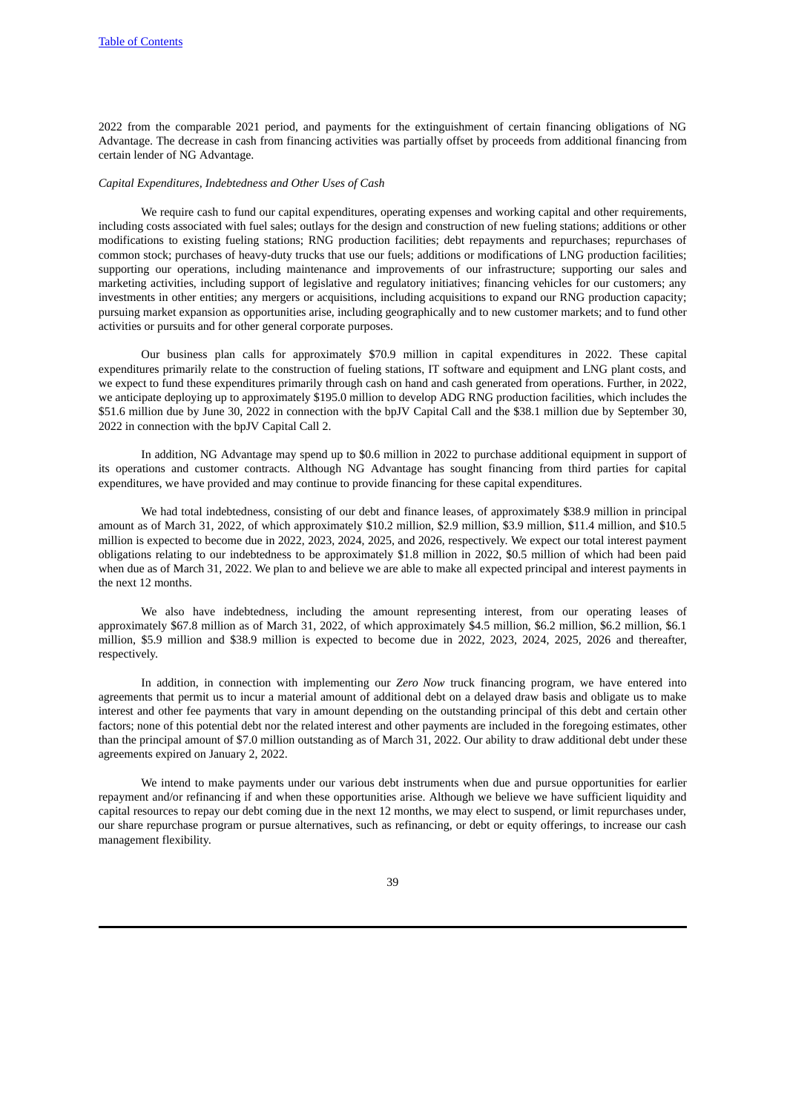2022 from the comparable 2021 period, and payments for the extinguishment of certain financing obligations of NG Advantage. The decrease in cash from financing activities was partially offset by proceeds from additional financing from certain lender of NG Advantage.

#### *Capital Expenditures, Indebtedness and Other Uses of Cash*

We require cash to fund our capital expenditures, operating expenses and working capital and other requirements, including costs associated with fuel sales; outlays for the design and construction of new fueling stations; additions or other modifications to existing fueling stations; RNG production facilities; debt repayments and repurchases; repurchases of common stock; purchases of heavy-duty trucks that use our fuels; additions or modifications of LNG production facilities; supporting our operations, including maintenance and improvements of our infrastructure; supporting our sales and marketing activities, including support of legislative and regulatory initiatives; financing vehicles for our customers; any investments in other entities; any mergers or acquisitions, including acquisitions to expand our RNG production capacity; pursuing market expansion as opportunities arise, including geographically and to new customer markets; and to fund other activities or pursuits and for other general corporate purposes.

Our business plan calls for approximately \$70.9 million in capital expenditures in 2022. These capital expenditures primarily relate to the construction of fueling stations, IT software and equipment and LNG plant costs, and we expect to fund these expenditures primarily through cash on hand and cash generated from operations. Further, in 2022, we anticipate deploying up to approximately \$195.0 million to develop ADG RNG production facilities, which includes the \$51.6 million due by June 30, 2022 in connection with the bpJV Capital Call and the \$38.1 million due by September 30, 2022 in connection with the bpJV Capital Call 2.

In addition, NG Advantage may spend up to \$0.6 million in 2022 to purchase additional equipment in support of its operations and customer contracts. Although NG Advantage has sought financing from third parties for capital expenditures, we have provided and may continue to provide financing for these capital expenditures.

We had total indebtedness, consisting of our debt and finance leases, of approximately \$38.9 million in principal amount as of March 31, 2022, of which approximately \$10.2 million, \$2.9 million, \$3.9 million, \$11.4 million, and \$10.5 million is expected to become due in 2022, 2023, 2024, 2025, and 2026, respectively. We expect our total interest payment obligations relating to our indebtedness to be approximately \$1.8 million in 2022, \$0.5 million of which had been paid when due as of March 31, 2022. We plan to and believe we are able to make all expected principal and interest payments in the next 12 months.

We also have indebtedness, including the amount representing interest, from our operating leases of approximately \$67.8 million as of March 31, 2022, of which approximately \$4.5 million, \$6.2 million, \$6.2 million, \$6.1 million, \$5.9 million and \$38.9 million is expected to become due in 2022, 2023, 2024, 2025, 2026 and thereafter, respectively.

In addition, in connection with implementing our *Zero Now* truck financing program, we have entered into agreements that permit us to incur a material amount of additional debt on a delayed draw basis and obligate us to make interest and other fee payments that vary in amount depending on the outstanding principal of this debt and certain other factors; none of this potential debt nor the related interest and other payments are included in the foregoing estimates, other than the principal amount of \$7.0 million outstanding as of March 31, 2022. Our ability to draw additional debt under these agreements expired on January 2, 2022.

We intend to make payments under our various debt instruments when due and pursue opportunities for earlier repayment and/or refinancing if and when these opportunities arise. Although we believe we have sufficient liquidity and capital resources to repay our debt coming due in the next 12 months, we may elect to suspend, or limit repurchases under, our share repurchase program or pursue alternatives, such as refinancing, or debt or equity offerings, to increase our cash management flexibility.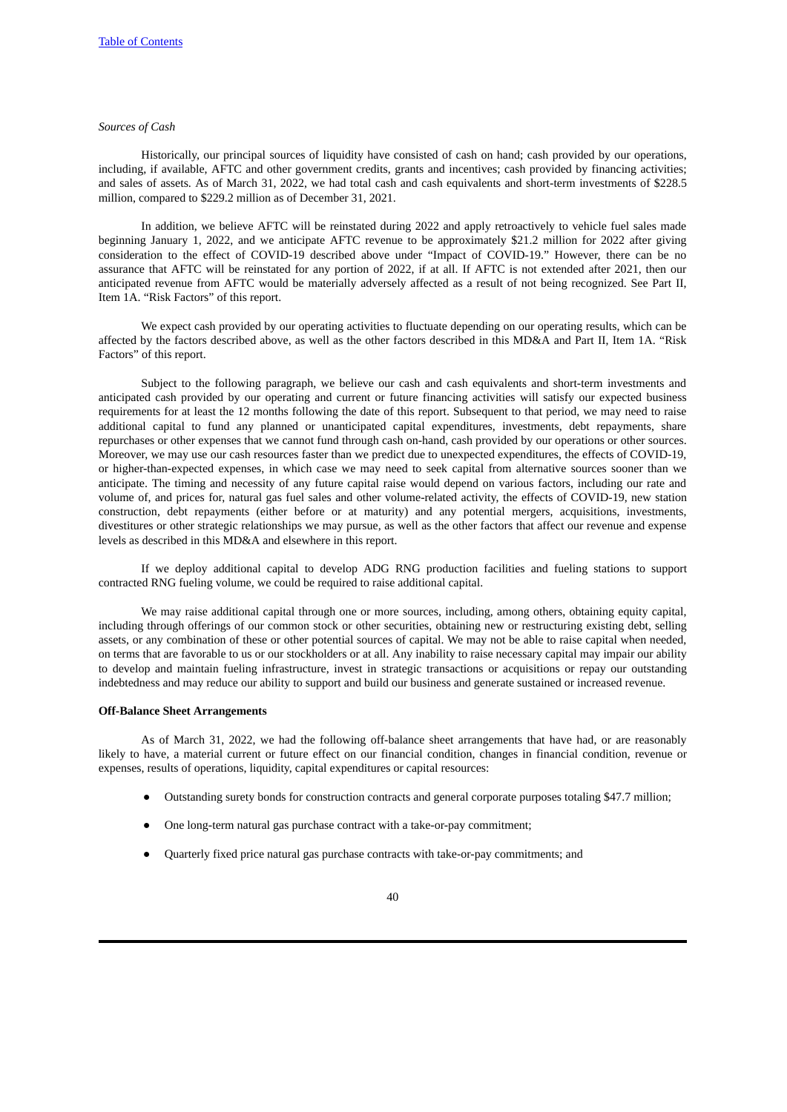### *Sources of Cash*

Historically, our principal sources of liquidity have consisted of cash on hand; cash provided by our operations, including, if available, AFTC and other government credits, grants and incentives; cash provided by financing activities; and sales of assets. As of March 31, 2022, we had total cash and cash equivalents and short-term investments of \$228.5 million, compared to \$229.2 million as of December 31, 2021.

In addition, we believe AFTC will be reinstated during 2022 and apply retroactively to vehicle fuel sales made beginning January 1, 2022, and we anticipate AFTC revenue to be approximately \$21.2 million for 2022 after giving consideration to the effect of COVID-19 described above under "Impact of COVID-19." However, there can be no assurance that AFTC will be reinstated for any portion of 2022, if at all. If AFTC is not extended after 2021, then our anticipated revenue from AFTC would be materially adversely affected as a result of not being recognized. See Part II, Item 1A. "Risk Factors" of this report.

We expect cash provided by our operating activities to fluctuate depending on our operating results, which can be affected by the factors described above, as well as the other factors described in this MD&A and Part II, Item 1A. "Risk Factors" of this report.

Subject to the following paragraph, we believe our cash and cash equivalents and short-term investments and anticipated cash provided by our operating and current or future financing activities will satisfy our expected business requirements for at least the 12 months following the date of this report. Subsequent to that period, we may need to raise additional capital to fund any planned or unanticipated capital expenditures, investments, debt repayments, share repurchases or other expenses that we cannot fund through cash on-hand, cash provided by our operations or other sources. Moreover, we may use our cash resources faster than we predict due to unexpected expenditures, the effects of COVID-19, or higher-than-expected expenses, in which case we may need to seek capital from alternative sources sooner than we anticipate. The timing and necessity of any future capital raise would depend on various factors, including our rate and volume of, and prices for, natural gas fuel sales and other volume-related activity, the effects of COVID-19, new station construction, debt repayments (either before or at maturity) and any potential mergers, acquisitions, investments, divestitures or other strategic relationships we may pursue, as well as the other factors that affect our revenue and expense levels as described in this MD&A and elsewhere in this report.

If we deploy additional capital to develop ADG RNG production facilities and fueling stations to support contracted RNG fueling volume, we could be required to raise additional capital.

We may raise additional capital through one or more sources, including, among others, obtaining equity capital, including through offerings of our common stock or other securities, obtaining new or restructuring existing debt, selling assets, or any combination of these or other potential sources of capital. We may not be able to raise capital when needed, on terms that are favorable to us or our stockholders or at all. Any inability to raise necessary capital may impair our ability to develop and maintain fueling infrastructure, invest in strategic transactions or acquisitions or repay our outstanding indebtedness and may reduce our ability to support and build our business and generate sustained or increased revenue.

#### **Off-Balance Sheet Arrangements**

As of March 31, 2022, we had the following off-balance sheet arrangements that have had, or are reasonably likely to have, a material current or future effect on our financial condition, changes in financial condition, revenue or expenses, results of operations, liquidity, capital expenditures or capital resources:

- Outstanding surety bonds for construction contracts and general corporate purposes totaling \$47.7 million;
- One long-term natural gas purchase contract with a take-or-pay commitment;
- Quarterly fixed price natural gas purchase contracts with take-or-pay commitments; and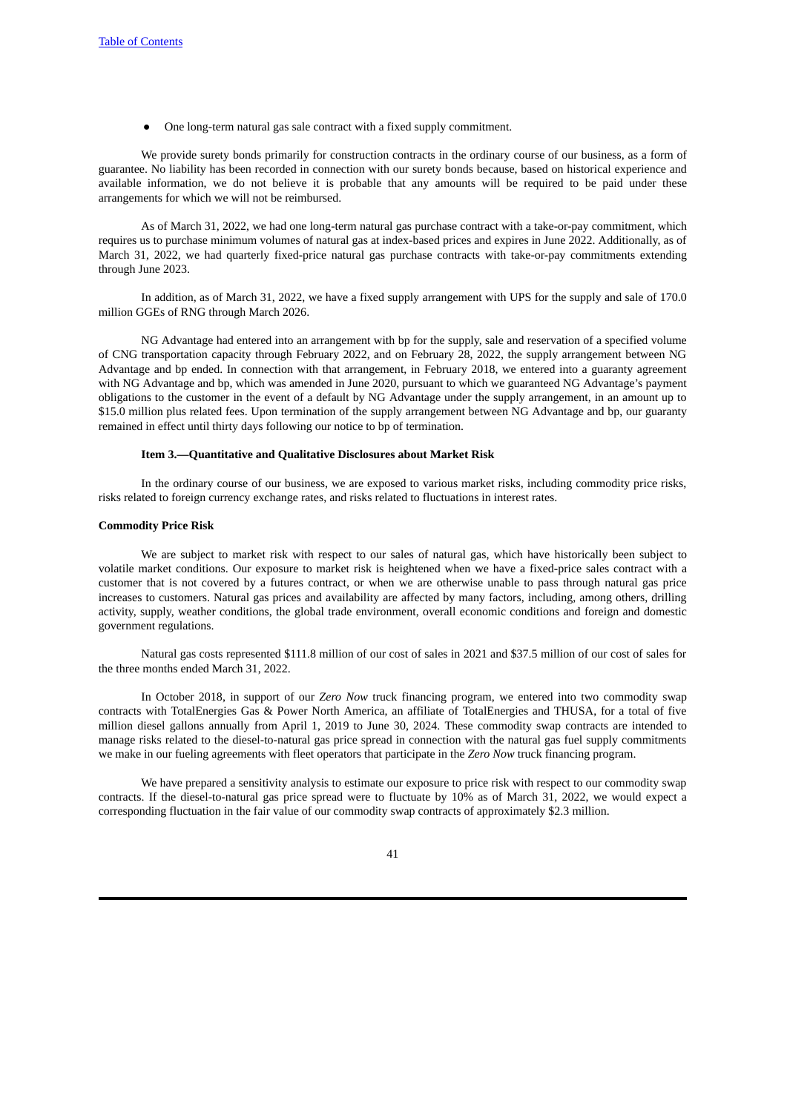● One long-term natural gas sale contract with a fixed supply commitment.

We provide surety bonds primarily for construction contracts in the ordinary course of our business, as a form of guarantee. No liability has been recorded in connection with our surety bonds because, based on historical experience and available information, we do not believe it is probable that any amounts will be required to be paid under these arrangements for which we will not be reimbursed.

As of March 31, 2022, we had one long-term natural gas purchase contract with a take-or-pay commitment, which requires us to purchase minimum volumes of natural gas at index-based prices and expires in June 2022. Additionally, as of March 31, 2022, we had quarterly fixed-price natural gas purchase contracts with take-or-pay commitments extending through June 2023.

In addition, as of March 31, 2022, we have a fixed supply arrangement with UPS for the supply and sale of 170.0 million GGEs of RNG through March 2026.

NG Advantage had entered into an arrangement with bp for the supply, sale and reservation of a specified volume of CNG transportation capacity through February 2022, and on February 28, 2022, the supply arrangement between NG Advantage and bp ended. In connection with that arrangement, in February 2018, we entered into a guaranty agreement with NG Advantage and bp, which was amended in June 2020, pursuant to which we guaranteed NG Advantage's payment obligations to the customer in the event of a default by NG Advantage under the supply arrangement, in an amount up to \$15.0 million plus related fees. Upon termination of the supply arrangement between NG Advantage and bp, our guaranty remained in effect until thirty days following our notice to bp of termination.

### **Item 3.—Quantitative and Qualitative Disclosures about Market Risk**

<span id="page-40-0"></span>In the ordinary course of our business, we are exposed to various market risks, including commodity price risks, risks related to foreign currency exchange rates, and risks related to fluctuations in interest rates.

#### **Commodity Price Risk**

We are subject to market risk with respect to our sales of natural gas, which have historically been subject to volatile market conditions. Our exposure to market risk is heightened when we have a fixed-price sales contract with a customer that is not covered by a futures contract, or when we are otherwise unable to pass through natural gas price increases to customers. Natural gas prices and availability are affected by many factors, including, among others, drilling activity, supply, weather conditions, the global trade environment, overall economic conditions and foreign and domestic government regulations.

Natural gas costs represented \$111.8 million of our cost of sales in 2021 and \$37.5 million of our cost of sales for the three months ended March 31, 2022.

In October 2018, in support of our *Zero Now* truck financing program, we entered into two commodity swap contracts with TotalEnergies Gas & Power North America, an affiliate of TotalEnergies and THUSA, for a total of five million diesel gallons annually from April 1, 2019 to June 30, 2024. These commodity swap contracts are intended to manage risks related to the diesel-to-natural gas price spread in connection with the natural gas fuel supply commitments we make in our fueling agreements with fleet operators that participate in the *Zero Now* truck financing program.

We have prepared a sensitivity analysis to estimate our exposure to price risk with respect to our commodity swap contracts. If the diesel-to-natural gas price spread were to fluctuate by 10% as of March 31, 2022, we would expect a corresponding fluctuation in the fair value of our commodity swap contracts of approximately \$2.3 million.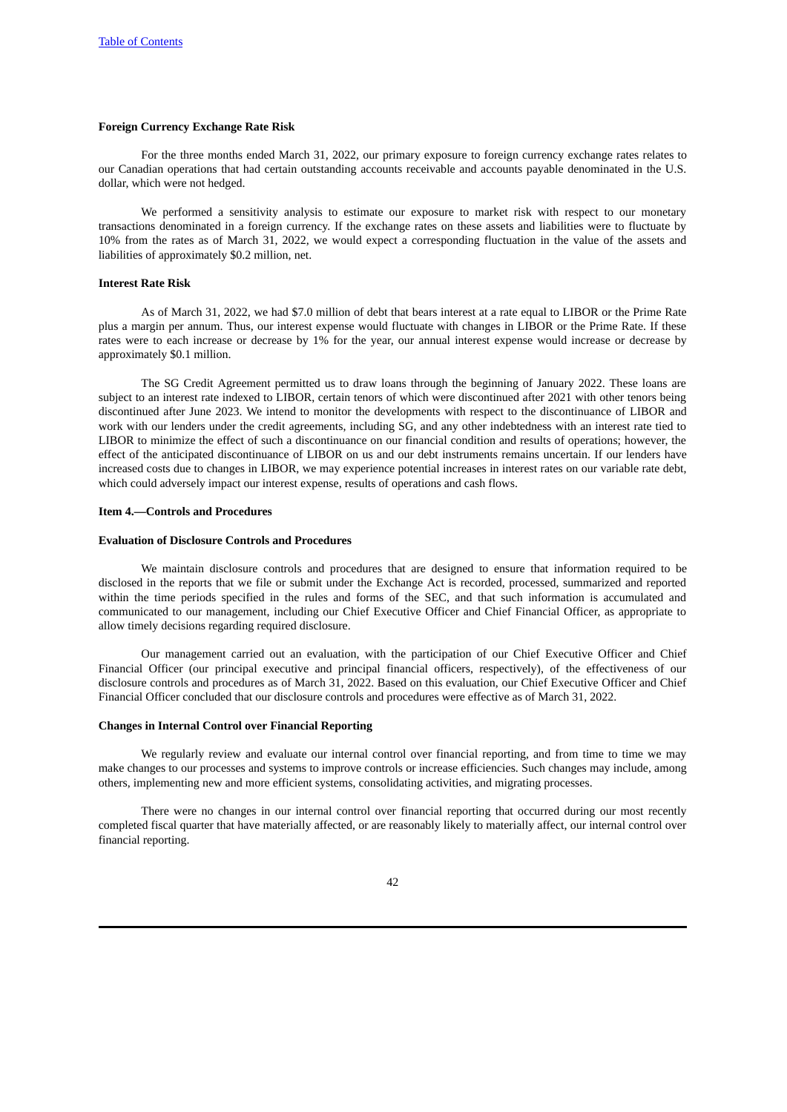#### **Foreign Currency Exchange Rate Risk**

For the three months ended March 31, 2022, our primary exposure to foreign currency exchange rates relates to our Canadian operations that had certain outstanding accounts receivable and accounts payable denominated in the U.S. dollar, which were not hedged.

We performed a sensitivity analysis to estimate our exposure to market risk with respect to our monetary transactions denominated in a foreign currency. If the exchange rates on these assets and liabilities were to fluctuate by 10% from the rates as of March 31, 2022, we would expect a corresponding fluctuation in the value of the assets and liabilities of approximately \$0.2 million, net.

### **Interest Rate Risk**

As of March 31, 2022, we had \$7.0 million of debt that bears interest at a rate equal to LIBOR or the Prime Rate plus a margin per annum. Thus, our interest expense would fluctuate with changes in LIBOR or the Prime Rate. If these rates were to each increase or decrease by 1% for the year, our annual interest expense would increase or decrease by approximately \$0.1 million.

The SG Credit Agreement permitted us to draw loans through the beginning of January 2022. These loans are subject to an interest rate indexed to LIBOR, certain tenors of which were discontinued after 2021 with other tenors being discontinued after June 2023. We intend to monitor the developments with respect to the discontinuance of LIBOR and work with our lenders under the credit agreements, including SG, and any other indebtedness with an interest rate tied to LIBOR to minimize the effect of such a discontinuance on our financial condition and results of operations; however, the effect of the anticipated discontinuance of LIBOR on us and our debt instruments remains uncertain. If our lenders have increased costs due to changes in LIBOR, we may experience potential increases in interest rates on our variable rate debt, which could adversely impact our interest expense, results of operations and cash flows.

### <span id="page-41-0"></span>**Item 4.—Controls and Procedures**

#### **Evaluation of Disclosure Controls and Procedures**

We maintain disclosure controls and procedures that are designed to ensure that information required to be disclosed in the reports that we file or submit under the Exchange Act is recorded, processed, summarized and reported within the time periods specified in the rules and forms of the SEC, and that such information is accumulated and communicated to our management, including our Chief Executive Officer and Chief Financial Officer, as appropriate to allow timely decisions regarding required disclosure.

Our management carried out an evaluation, with the participation of our Chief Executive Officer and Chief Financial Officer (our principal executive and principal financial officers, respectively), of the effectiveness of our disclosure controls and procedures as of March 31, 2022. Based on this evaluation, our Chief Executive Officer and Chief Financial Officer concluded that our disclosure controls and procedures were effective as of March 31, 2022.

#### **Changes in Internal Control over Financial Reporting**

We regularly review and evaluate our internal control over financial reporting, and from time to time we may make changes to our processes and systems to improve controls or increase efficiencies. Such changes may include, among others, implementing new and more efficient systems, consolidating activities, and migrating processes.

There were no changes in our internal control over financial reporting that occurred during our most recently completed fiscal quarter that have materially affected, or are reasonably likely to materially affect, our internal control over financial reporting.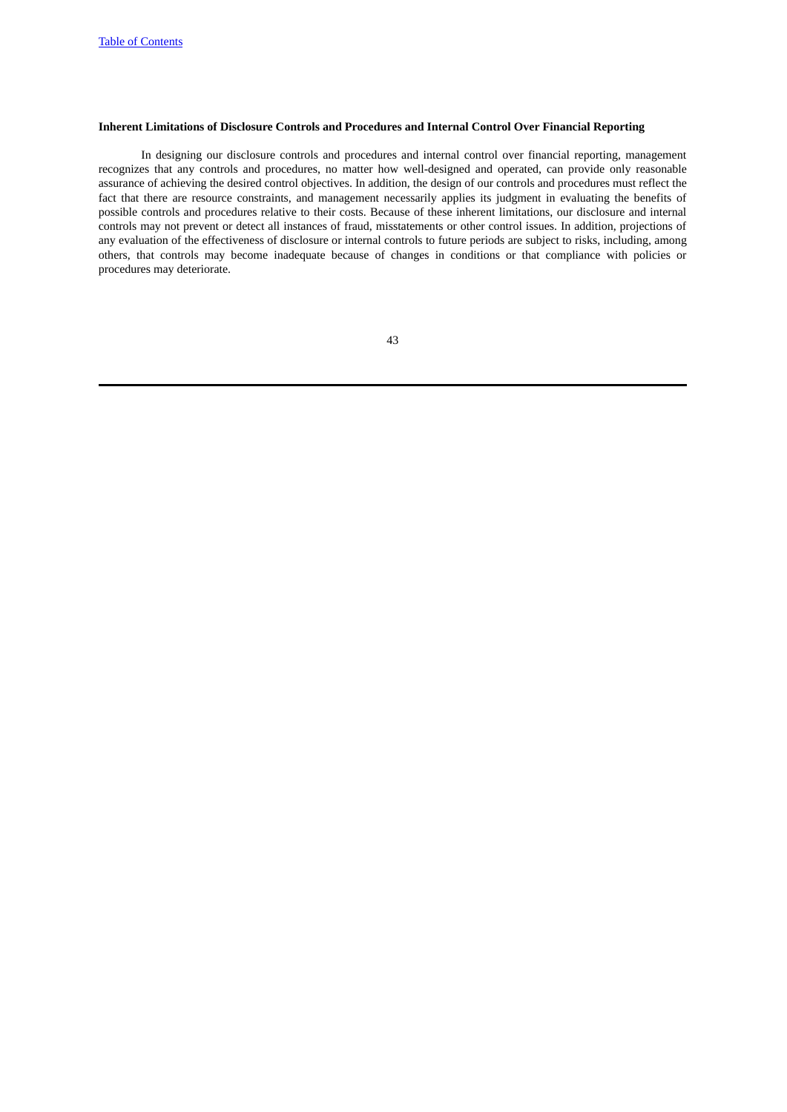## **Inherent Limitations of Disclosure Controls and Procedures and Internal Control Over Financial Reporting**

In designing our disclosure controls and procedures and internal control over financial reporting, management recognizes that any controls and procedures, no matter how well-designed and operated, can provide only reasonable assurance of achieving the desired control objectives. In addition, the design of our controls and procedures must reflect the fact that there are resource constraints, and management necessarily applies its judgment in evaluating the benefits of possible controls and procedures relative to their costs. Because of these inherent limitations, our disclosure and internal controls may not prevent or detect all instances of fraud, misstatements or other control issues. In addition, projections of any evaluation of the effectiveness of disclosure or internal controls to future periods are subject to risks, including, among others, that controls may become inadequate because of changes in conditions or that compliance with policies or procedures may deteriorate.

| I<br>×<br>٠ |
|-------------|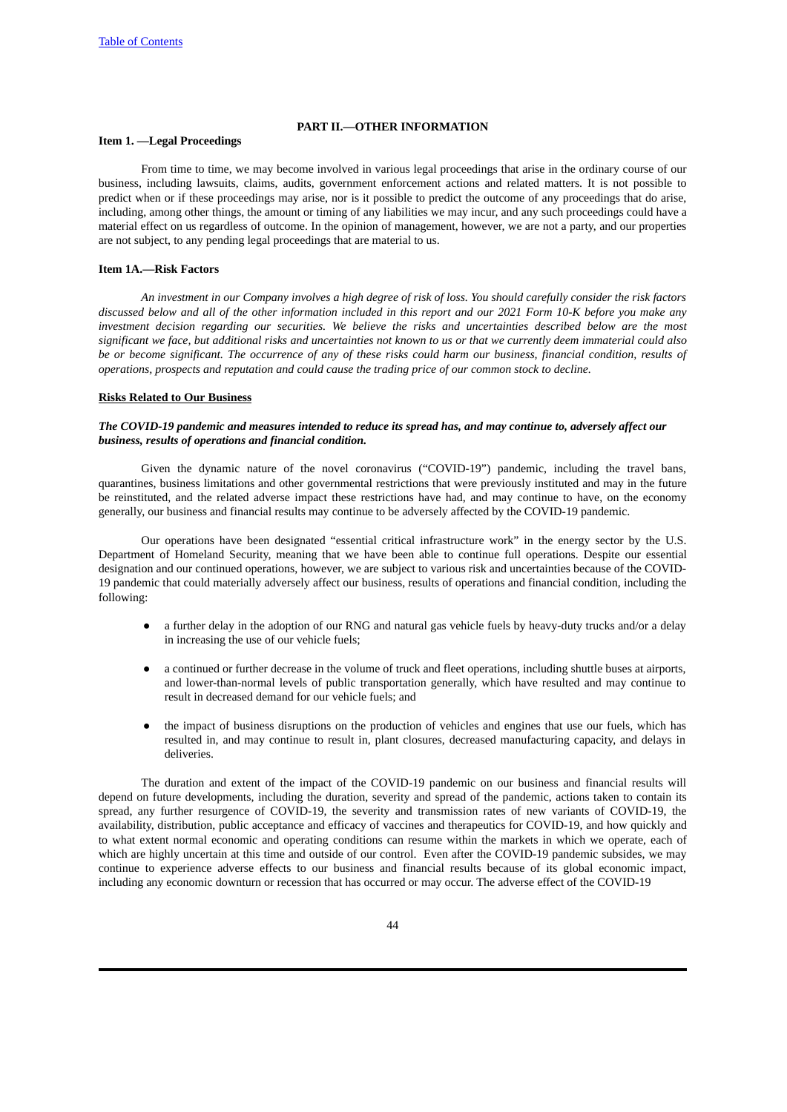## **PART II.—OTHER INFORMATION**

### <span id="page-43-1"></span><span id="page-43-0"></span>**Item 1. —Legal Proceedings**

From time to time, we may become involved in various legal proceedings that arise in the ordinary course of our business, including lawsuits, claims, audits, government enforcement actions and related matters. It is not possible to predict when or if these proceedings may arise, nor is it possible to predict the outcome of any proceedings that do arise, including, among other things, the amount or timing of any liabilities we may incur, and any such proceedings could have a material effect on us regardless of outcome. In the opinion of management, however, we are not a party, and our properties are not subject, to any pending legal proceedings that are material to us.

### <span id="page-43-2"></span>**Item 1A.—Risk Factors**

An investment in our Company involves a high degree of risk of loss. You should carefully consider the risk factors discussed below and all of the other information included in this report and our 2021 Form 10-K before you make any investment decision regarding our securities. We believe the risks and uncertainties described below are the most significant we face, but additional risks and uncertainties not known to us or that we currently deem immaterial could also be or become significant. The occurrence of any of these risks could harm our business, financial condition, results of *operations, prospects and reputation and could cause the trading price of our common stock to decline.*

### **Risks Related to Our Business**

### The COVID-19 pandemic and measures intended to reduce its spread has, and may continue to, adversely affect our *business, results of operations and financial condition.*

Given the dynamic nature of the novel coronavirus ("COVID-19") pandemic, including the travel bans, quarantines, business limitations and other governmental restrictions that were previously instituted and may in the future be reinstituted, and the related adverse impact these restrictions have had, and may continue to have, on the economy generally, our business and financial results may continue to be adversely affected by the COVID-19 pandemic.

Our operations have been designated "essential critical infrastructure work" in the energy sector by the U.S. Department of Homeland Security, meaning that we have been able to continue full operations. Despite our essential designation and our continued operations, however, we are subject to various risk and uncertainties because of the COVID-19 pandemic that could materially adversely affect our business, results of operations and financial condition, including the following:

- a further delay in the adoption of our RNG and natural gas vehicle fuels by heavy-duty trucks and/or a delay in increasing the use of our vehicle fuels;
- a continued or further decrease in the volume of truck and fleet operations, including shuttle buses at airports, and lower-than-normal levels of public transportation generally, which have resulted and may continue to result in decreased demand for our vehicle fuels; and
- the impact of business disruptions on the production of vehicles and engines that use our fuels, which has resulted in, and may continue to result in, plant closures, decreased manufacturing capacity, and delays in deliveries.

The duration and extent of the impact of the COVID-19 pandemic on our business and financial results will depend on future developments, including the duration, severity and spread of the pandemic, actions taken to contain its spread, any further resurgence of COVID-19, the severity and transmission rates of new variants of COVID-19, the availability, distribution, public acceptance and efficacy of vaccines and therapeutics for COVID-19, and how quickly and to what extent normal economic and operating conditions can resume within the markets in which we operate, each of which are highly uncertain at this time and outside of our control. Even after the COVID-19 pandemic subsides, we may continue to experience adverse effects to our business and financial results because of its global economic impact, including any economic downturn or recession that has occurred or may occur. The adverse effect of the COVID-19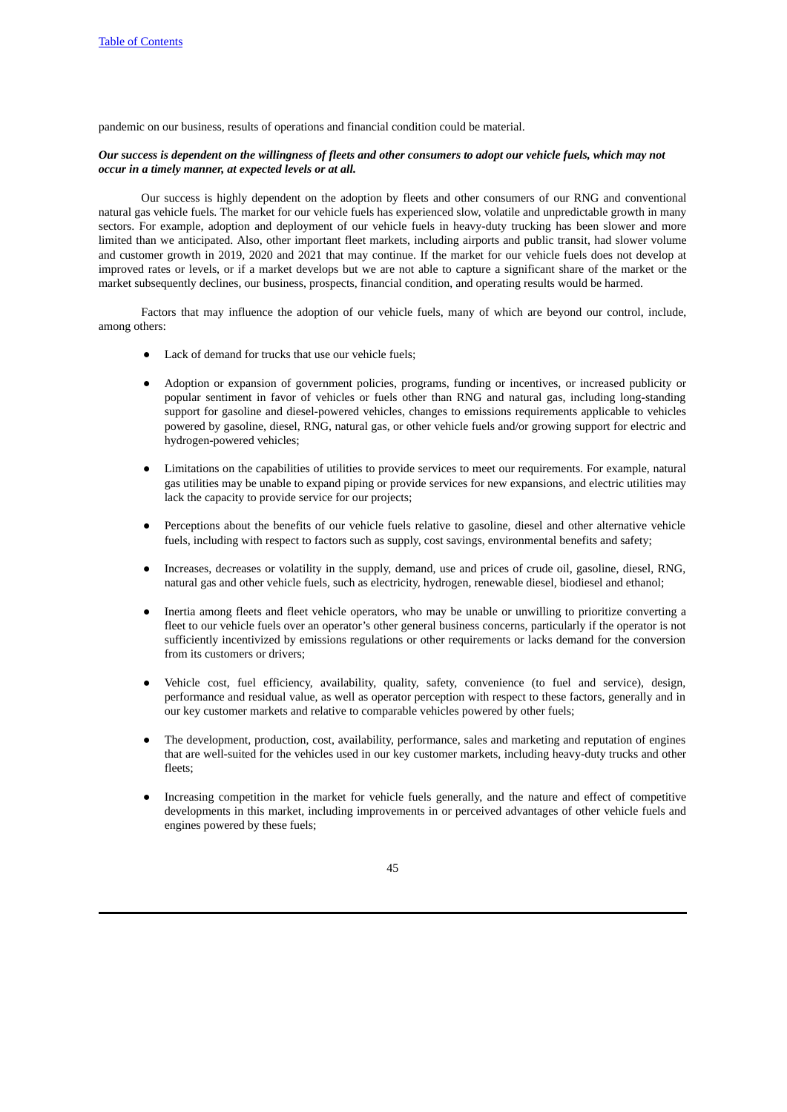pandemic on our business, results of operations and financial condition could be material.

### Our success is dependent on the willingness of fleets and other consumers to adopt our vehicle fuels, which may not *occur in a timely manner, at expected levels or at all.*

Our success is highly dependent on the adoption by fleets and other consumers of our RNG and conventional natural gas vehicle fuels. The market for our vehicle fuels has experienced slow, volatile and unpredictable growth in many sectors. For example, adoption and deployment of our vehicle fuels in heavy-duty trucking has been slower and more limited than we anticipated. Also, other important fleet markets, including airports and public transit, had slower volume and customer growth in 2019, 2020 and 2021 that may continue. If the market for our vehicle fuels does not develop at improved rates or levels, or if a market develops but we are not able to capture a significant share of the market or the market subsequently declines, our business, prospects, financial condition, and operating results would be harmed.

Factors that may influence the adoption of our vehicle fuels, many of which are beyond our control, include, among others:

- Lack of demand for trucks that use our vehicle fuels;
- Adoption or expansion of government policies, programs, funding or incentives, or increased publicity or popular sentiment in favor of vehicles or fuels other than RNG and natural gas, including long-standing support for gasoline and diesel-powered vehicles, changes to emissions requirements applicable to vehicles powered by gasoline, diesel, RNG, natural gas, or other vehicle fuels and/or growing support for electric and hydrogen-powered vehicles;
- Limitations on the capabilities of utilities to provide services to meet our requirements. For example, natural gas utilities may be unable to expand piping or provide services for new expansions, and electric utilities may lack the capacity to provide service for our projects;
- Perceptions about the benefits of our vehicle fuels relative to gasoline, diesel and other alternative vehicle fuels, including with respect to factors such as supply, cost savings, environmental benefits and safety;
- Increases, decreases or volatility in the supply, demand, use and prices of crude oil, gasoline, diesel, RNG, natural gas and other vehicle fuels, such as electricity, hydrogen, renewable diesel, biodiesel and ethanol;
- Inertia among fleets and fleet vehicle operators, who may be unable or unwilling to prioritize converting a fleet to our vehicle fuels over an operator's other general business concerns, particularly if the operator is not sufficiently incentivized by emissions regulations or other requirements or lacks demand for the conversion from its customers or drivers;
- Vehicle cost, fuel efficiency, availability, quality, safety, convenience (to fuel and service), design, performance and residual value, as well as operator perception with respect to these factors, generally and in our key customer markets and relative to comparable vehicles powered by other fuels;
- The development, production, cost, availability, performance, sales and marketing and reputation of engines that are well-suited for the vehicles used in our key customer markets, including heavy-duty trucks and other fleets;
- Increasing competition in the market for vehicle fuels generally, and the nature and effect of competitive developments in this market, including improvements in or perceived advantages of other vehicle fuels and engines powered by these fuels;

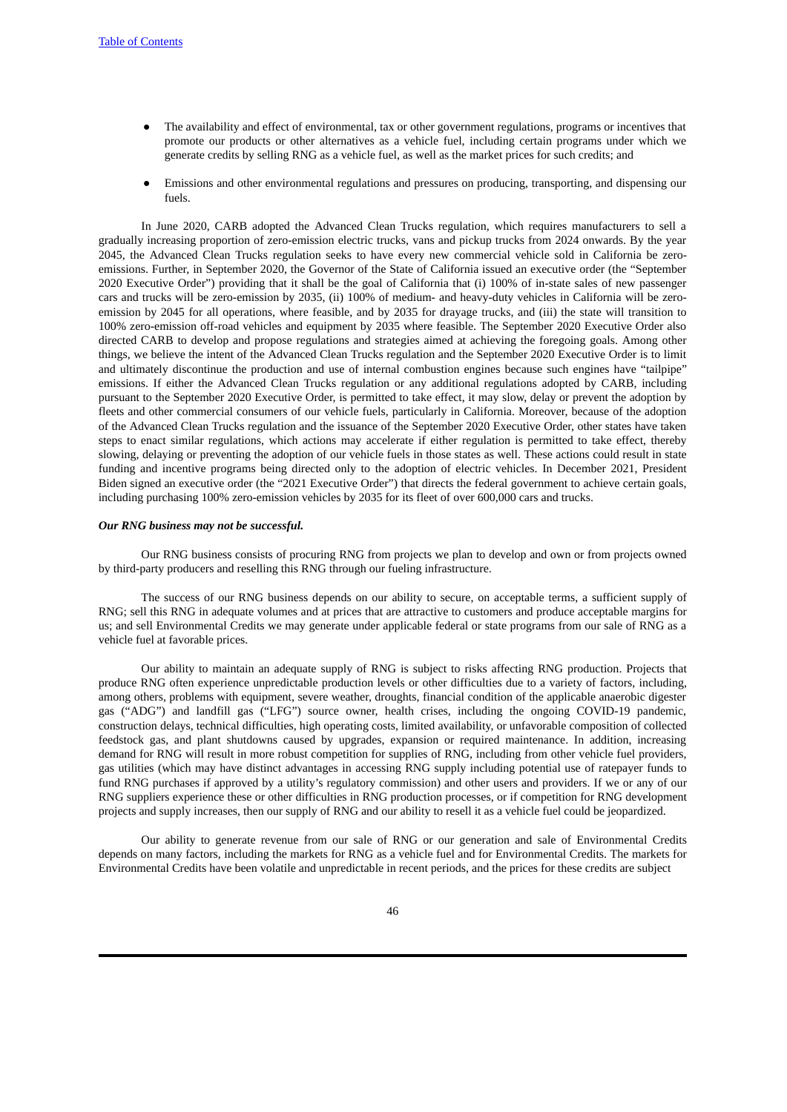- The availability and effect of environmental, tax or other government regulations, programs or incentives that promote our products or other alternatives as a vehicle fuel, including certain programs under which we generate credits by selling RNG as a vehicle fuel, as well as the market prices for such credits; and
- Emissions and other environmental regulations and pressures on producing, transporting, and dispensing our fuels.

In June 2020, CARB adopted the Advanced Clean Trucks regulation, which requires manufacturers to sell a gradually increasing proportion of zero-emission electric trucks, vans and pickup trucks from 2024 onwards. By the year 2045, the Advanced Clean Trucks regulation seeks to have every new commercial vehicle sold in California be zeroemissions. Further, in September 2020, the Governor of the State of California issued an executive order (the "September 2020 Executive Order") providing that it shall be the goal of California that (i) 100% of in-state sales of new passenger cars and trucks will be zero-emission by 2035, (ii) 100% of medium- and heavy-duty vehicles in California will be zeroemission by 2045 for all operations, where feasible, and by 2035 for drayage trucks, and (iii) the state will transition to 100% zero-emission off-road vehicles and equipment by 2035 where feasible. The September 2020 Executive Order also directed CARB to develop and propose regulations and strategies aimed at achieving the foregoing goals. Among other things, we believe the intent of the Advanced Clean Trucks regulation and the September 2020 Executive Order is to limit and ultimately discontinue the production and use of internal combustion engines because such engines have "tailpipe" emissions. If either the Advanced Clean Trucks regulation or any additional regulations adopted by CARB, including pursuant to the September 2020 Executive Order, is permitted to take effect, it may slow, delay or prevent the adoption by fleets and other commercial consumers of our vehicle fuels, particularly in California. Moreover, because of the adoption of the Advanced Clean Trucks regulation and the issuance of the September 2020 Executive Order, other states have taken steps to enact similar regulations, which actions may accelerate if either regulation is permitted to take effect, thereby slowing, delaying or preventing the adoption of our vehicle fuels in those states as well. These actions could result in state funding and incentive programs being directed only to the adoption of electric vehicles. In December 2021, President Biden signed an executive order (the "2021 Executive Order") that directs the federal government to achieve certain goals, including purchasing 100% zero-emission vehicles by 2035 for its fleet of over 600,000 cars and trucks.

### *Our RNG business may not be successful.*

Our RNG business consists of procuring RNG from projects we plan to develop and own or from projects owned by third-party producers and reselling this RNG through our fueling infrastructure.

The success of our RNG business depends on our ability to secure, on acceptable terms, a sufficient supply of RNG; sell this RNG in adequate volumes and at prices that are attractive to customers and produce acceptable margins for us; and sell Environmental Credits we may generate under applicable federal or state programs from our sale of RNG as a vehicle fuel at favorable prices.

Our ability to maintain an adequate supply of RNG is subject to risks affecting RNG production. Projects that produce RNG often experience unpredictable production levels or other difficulties due to a variety of factors, including, among others, problems with equipment, severe weather, droughts, financial condition of the applicable anaerobic digester gas ("ADG") and landfill gas ("LFG") source owner, health crises, including the ongoing COVID-19 pandemic, construction delays, technical difficulties, high operating costs, limited availability, or unfavorable composition of collected feedstock gas, and plant shutdowns caused by upgrades, expansion or required maintenance. In addition, increasing demand for RNG will result in more robust competition for supplies of RNG, including from other vehicle fuel providers, gas utilities (which may have distinct advantages in accessing RNG supply including potential use of ratepayer funds to fund RNG purchases if approved by a utility's regulatory commission) and other users and providers. If we or any of our RNG suppliers experience these or other difficulties in RNG production processes, or if competition for RNG development projects and supply increases, then our supply of RNG and our ability to resell it as a vehicle fuel could be jeopardized.

Our ability to generate revenue from our sale of RNG or our generation and sale of Environmental Credits depends on many factors, including the markets for RNG as a vehicle fuel and for Environmental Credits. The markets for Environmental Credits have been volatile and unpredictable in recent periods, and the prices for these credits are subject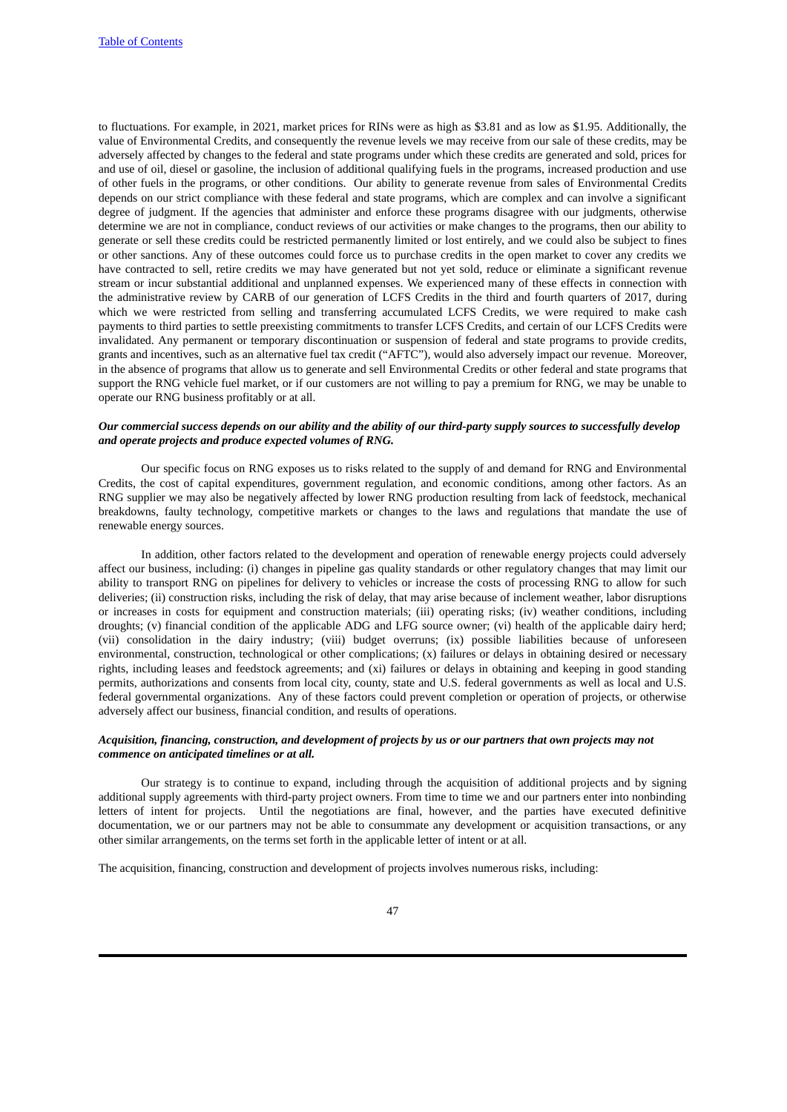to fluctuations. For example, in 2021, market prices for RINs were as high as \$3.81 and as low as \$1.95. Additionally, the value of Environmental Credits, and consequently the revenue levels we may receive from our sale of these credits, may be adversely affected by changes to the federal and state programs under which these credits are generated and sold, prices for and use of oil, diesel or gasoline, the inclusion of additional qualifying fuels in the programs, increased production and use of other fuels in the programs, or other conditions. Our ability to generate revenue from sales of Environmental Credits depends on our strict compliance with these federal and state programs, which are complex and can involve a significant degree of judgment. If the agencies that administer and enforce these programs disagree with our judgments, otherwise determine we are not in compliance, conduct reviews of our activities or make changes to the programs, then our ability to generate or sell these credits could be restricted permanently limited or lost entirely, and we could also be subject to fines or other sanctions. Any of these outcomes could force us to purchase credits in the open market to cover any credits we have contracted to sell, retire credits we may have generated but not yet sold, reduce or eliminate a significant revenue stream or incur substantial additional and unplanned expenses. We experienced many of these effects in connection with the administrative review by CARB of our generation of LCFS Credits in the third and fourth quarters of 2017, during which we were restricted from selling and transferring accumulated LCFS Credits, we were required to make cash payments to third parties to settle preexisting commitments to transfer LCFS Credits, and certain of our LCFS Credits were invalidated. Any permanent or temporary discontinuation or suspension of federal and state programs to provide credits, grants and incentives, such as an alternative fuel tax credit ("AFTC"), would also adversely impact our revenue. Moreover, in the absence of programs that allow us to generate and sell Environmental Credits or other federal and state programs that support the RNG vehicle fuel market, or if our customers are not willing to pay a premium for RNG, we may be unable to operate our RNG business profitably or at all.

## Our commercial success depends on our ability and the ability of our third-party supply sources to successfully develop *and operate projects and produce expected volumes of RNG.*

Our specific focus on RNG exposes us to risks related to the supply of and demand for RNG and Environmental Credits, the cost of capital expenditures, government regulation, and economic conditions, among other factors. As an RNG supplier we may also be negatively affected by lower RNG production resulting from lack of feedstock, mechanical breakdowns, faulty technology, competitive markets or changes to the laws and regulations that mandate the use of renewable energy sources.

In addition, other factors related to the development and operation of renewable energy projects could adversely affect our business, including: (i) changes in pipeline gas quality standards or other regulatory changes that may limit our ability to transport RNG on pipelines for delivery to vehicles or increase the costs of processing RNG to allow for such deliveries; (ii) construction risks, including the risk of delay, that may arise because of inclement weather, labor disruptions or increases in costs for equipment and construction materials; (iii) operating risks; (iv) weather conditions, including droughts; (v) financial condition of the applicable ADG and LFG source owner; (vi) health of the applicable dairy herd; (vii) consolidation in the dairy industry; (viii) budget overruns; (ix) possible liabilities because of unforeseen environmental, construction, technological or other complications; (x) failures or delays in obtaining desired or necessary rights, including leases and feedstock agreements; and (xi) failures or delays in obtaining and keeping in good standing permits, authorizations and consents from local city, county, state and U.S. federal governments as well as local and U.S. federal governmental organizations. Any of these factors could prevent completion or operation of projects, or otherwise adversely affect our business, financial condition, and results of operations.

### Acquisition, financing, construction, and development of projects by us or our partners that own projects may not *commence on anticipated timelines or at all.*

Our strategy is to continue to expand, including through the acquisition of additional projects and by signing additional supply agreements with third-party project owners. From time to time we and our partners enter into nonbinding letters of intent for projects. Until the negotiations are final, however, and the parties have executed definitive documentation, we or our partners may not be able to consummate any development or acquisition transactions, or any other similar arrangements, on the terms set forth in the applicable letter of intent or at all.

The acquisition, financing, construction and development of projects involves numerous risks, including: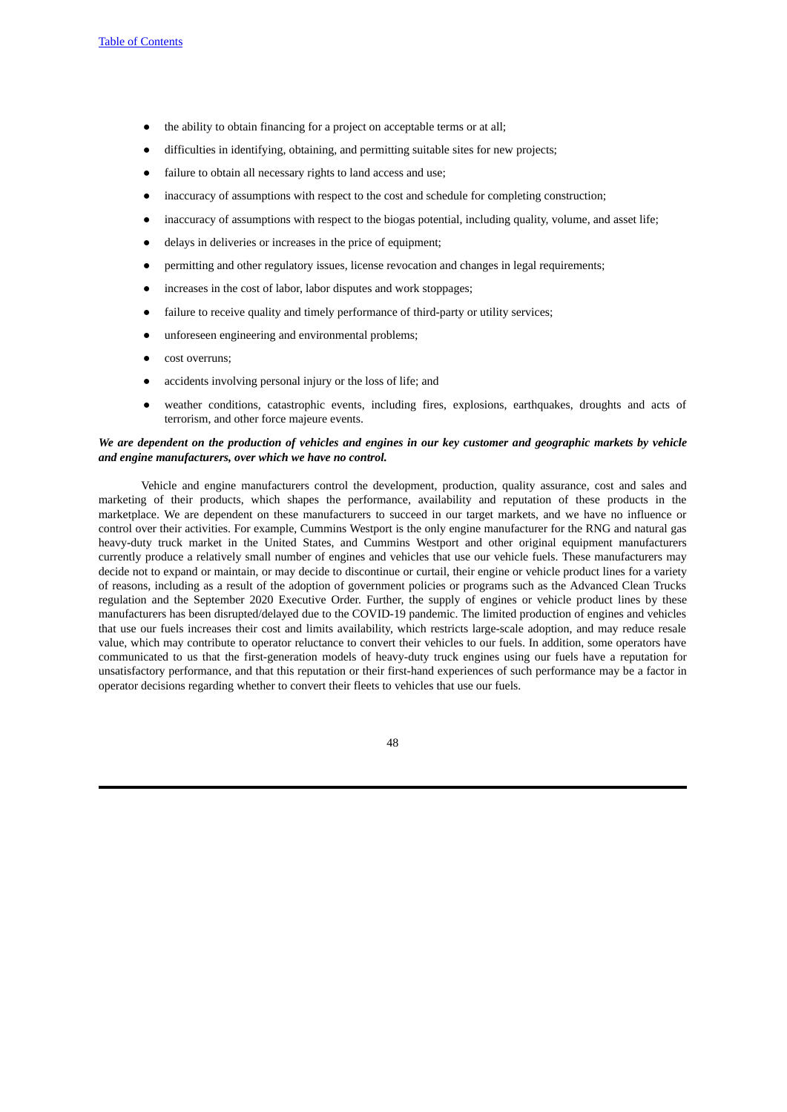- the ability to obtain financing for a project on acceptable terms or at all;
- difficulties in identifying, obtaining, and permitting suitable sites for new projects;
- failure to obtain all necessary rights to land access and use;
- inaccuracy of assumptions with respect to the cost and schedule for completing construction;
- inaccuracy of assumptions with respect to the biogas potential, including quality, volume, and asset life;
- delays in deliveries or increases in the price of equipment;
- permitting and other regulatory issues, license revocation and changes in legal requirements;
- increases in the cost of labor, labor disputes and work stoppages;
- failure to receive quality and timely performance of third-party or utility services;
- unforeseen engineering and environmental problems;
- cost overruns;
- accidents involving personal injury or the loss of life; and
- weather conditions, catastrophic events, including fires, explosions, earthquakes, droughts and acts of terrorism, and other force majeure events.

## We are dependent on the production of vehicles and engines in our key customer and geographic markets by vehicle *and engine manufacturers, over which we have no control.*

Vehicle and engine manufacturers control the development, production, quality assurance, cost and sales and marketing of their products, which shapes the performance, availability and reputation of these products in the marketplace. We are dependent on these manufacturers to succeed in our target markets, and we have no influence or control over their activities. For example, Cummins Westport is the only engine manufacturer for the RNG and natural gas heavy-duty truck market in the United States, and Cummins Westport and other original equipment manufacturers currently produce a relatively small number of engines and vehicles that use our vehicle fuels. These manufacturers may decide not to expand or maintain, or may decide to discontinue or curtail, their engine or vehicle product lines for a variety of reasons, including as a result of the adoption of government policies or programs such as the Advanced Clean Trucks regulation and the September 2020 Executive Order. Further, the supply of engines or vehicle product lines by these manufacturers has been disrupted/delayed due to the COVID-19 pandemic. The limited production of engines and vehicles that use our fuels increases their cost and limits availability, which restricts large-scale adoption, and may reduce resale value, which may contribute to operator reluctance to convert their vehicles to our fuels. In addition, some operators have communicated to us that the first-generation models of heavy-duty truck engines using our fuels have a reputation for unsatisfactory performance, and that this reputation or their first-hand experiences of such performance may be a factor in operator decisions regarding whether to convert their fleets to vehicles that use our fuels.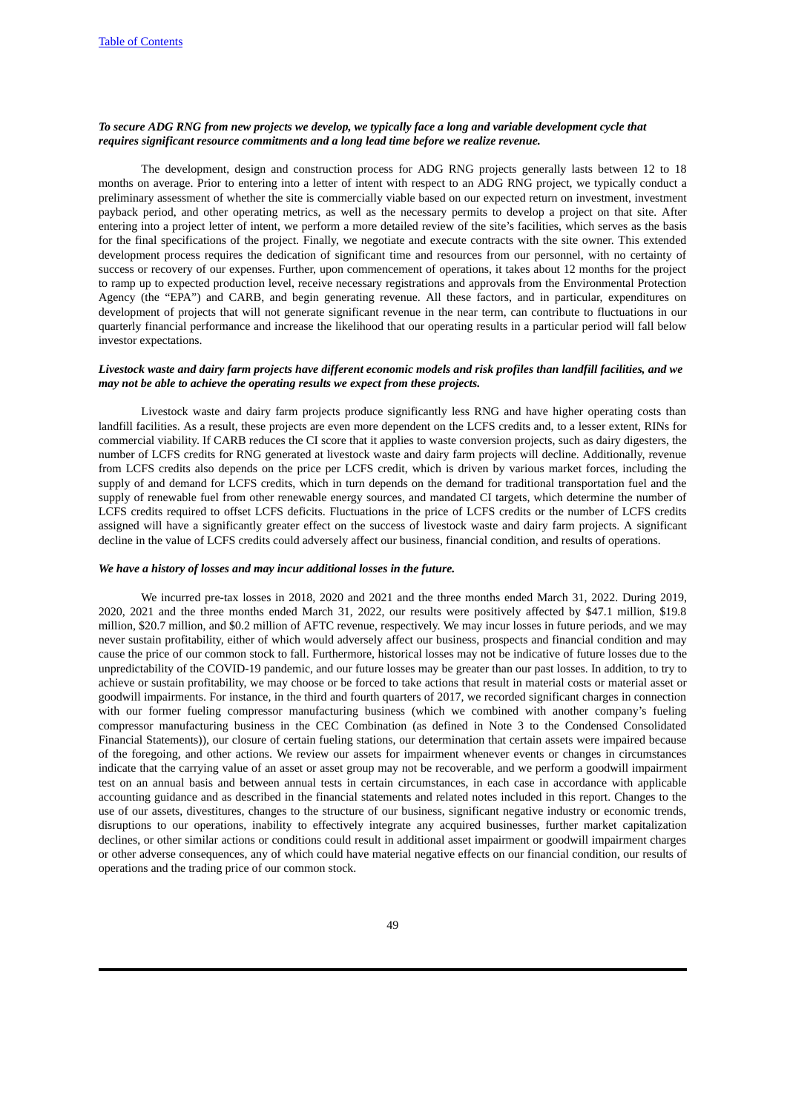### To secure ADG RNG from new projects we develop, we typically face a long and variable development cycle that *requires significant resource commitments and a long lead time before we realize revenue.*

The development, design and construction process for ADG RNG projects generally lasts between 12 to 18 months on average. Prior to entering into a letter of intent with respect to an ADG RNG project, we typically conduct a preliminary assessment of whether the site is commercially viable based on our expected return on investment, investment payback period, and other operating metrics, as well as the necessary permits to develop a project on that site. After entering into a project letter of intent, we perform a more detailed review of the site's facilities, which serves as the basis for the final specifications of the project. Finally, we negotiate and execute contracts with the site owner. This extended development process requires the dedication of significant time and resources from our personnel, with no certainty of success or recovery of our expenses. Further, upon commencement of operations, it takes about 12 months for the project to ramp up to expected production level, receive necessary registrations and approvals from the Environmental Protection Agency (the "EPA") and CARB, and begin generating revenue. All these factors, and in particular, expenditures on development of projects that will not generate significant revenue in the near term, can contribute to fluctuations in our quarterly financial performance and increase the likelihood that our operating results in a particular period will fall below investor expectations.

#### Livestock waste and dairy farm projects have different economic models and risk profiles than landfill facilities, and we *may not be able to achieve the operating results we expect from these projects.*

Livestock waste and dairy farm projects produce significantly less RNG and have higher operating costs than landfill facilities. As a result, these projects are even more dependent on the LCFS credits and, to a lesser extent, RINs for commercial viability. If CARB reduces the CI score that it applies to waste conversion projects, such as dairy digesters, the number of LCFS credits for RNG generated at livestock waste and dairy farm projects will decline. Additionally, revenue from LCFS credits also depends on the price per LCFS credit, which is driven by various market forces, including the supply of and demand for LCFS credits, which in turn depends on the demand for traditional transportation fuel and the supply of renewable fuel from other renewable energy sources, and mandated CI targets, which determine the number of LCFS credits required to offset LCFS deficits. Fluctuations in the price of LCFS credits or the number of LCFS credits assigned will have a significantly greater effect on the success of livestock waste and dairy farm projects. A significant decline in the value of LCFS credits could adversely affect our business, financial condition, and results of operations.

#### *We have a history of losses and may incur additional losses in the future.*

We incurred pre-tax losses in 2018, 2020 and 2021 and the three months ended March 31, 2022. During 2019, 2020, 2021 and the three months ended March 31, 2022, our results were positively affected by \$47.1 million, \$19.8 million, \$20.7 million, and \$0.2 million of AFTC revenue, respectively. We may incur losses in future periods, and we may never sustain profitability, either of which would adversely affect our business, prospects and financial condition and may cause the price of our common stock to fall. Furthermore, historical losses may not be indicative of future losses due to the unpredictability of the COVID-19 pandemic, and our future losses may be greater than our past losses. In addition, to try to achieve or sustain profitability, we may choose or be forced to take actions that result in material costs or material asset or goodwill impairments. For instance, in the third and fourth quarters of 2017, we recorded significant charges in connection with our former fueling compressor manufacturing business (which we combined with another company's fueling compressor manufacturing business in the CEC Combination (as defined in Note 3 to the Condensed Consolidated Financial Statements)), our closure of certain fueling stations, our determination that certain assets were impaired because of the foregoing, and other actions. We review our assets for impairment whenever events or changes in circumstances indicate that the carrying value of an asset or asset group may not be recoverable, and we perform a goodwill impairment test on an annual basis and between annual tests in certain circumstances, in each case in accordance with applicable accounting guidance and as described in the financial statements and related notes included in this report. Changes to the use of our assets, divestitures, changes to the structure of our business, significant negative industry or economic trends, disruptions to our operations, inability to effectively integrate any acquired businesses, further market capitalization declines, or other similar actions or conditions could result in additional asset impairment or goodwill impairment charges or other adverse consequences, any of which could have material negative effects on our financial condition, our results of operations and the trading price of our common stock.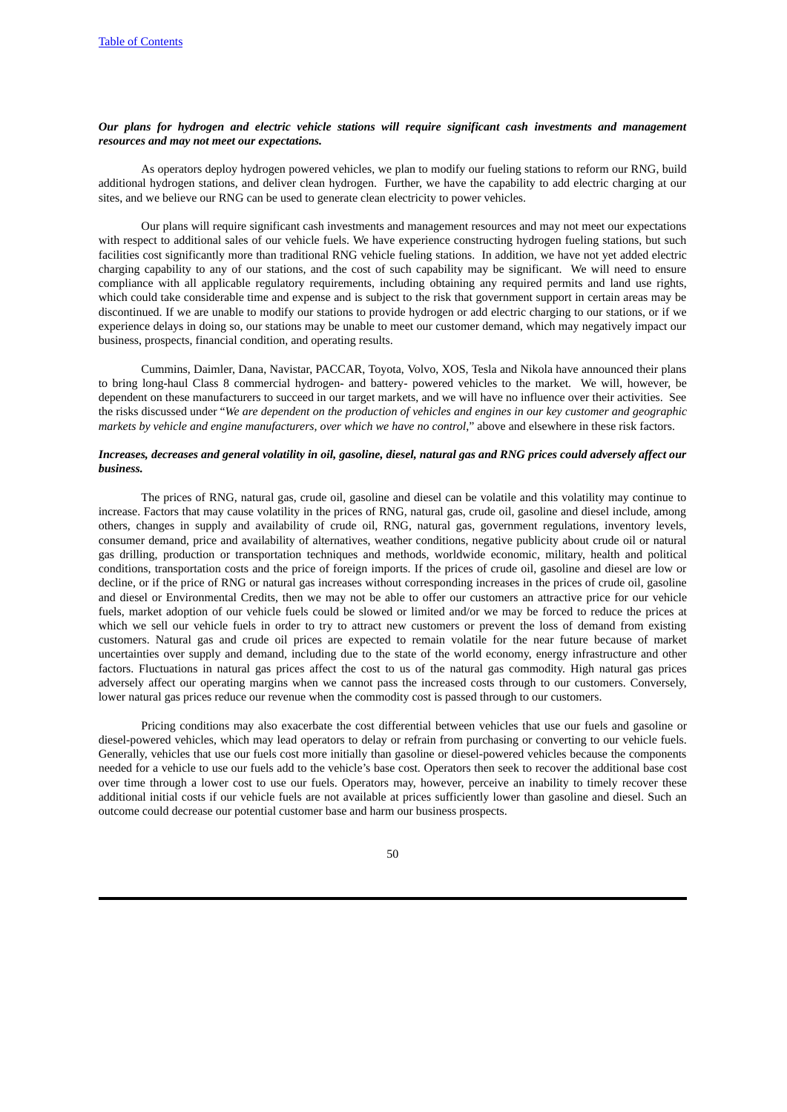### *Our plans for hydrogen and electric vehicle stations will require significant cash investments and management resources and may not meet our expectations.*

As operators deploy hydrogen powered vehicles, we plan to modify our fueling stations to reform our RNG, build additional hydrogen stations, and deliver clean hydrogen. Further, we have the capability to add electric charging at our sites, and we believe our RNG can be used to generate clean electricity to power vehicles.

Our plans will require significant cash investments and management resources and may not meet our expectations with respect to additional sales of our vehicle fuels. We have experience constructing hydrogen fueling stations, but such facilities cost significantly more than traditional RNG vehicle fueling stations. In addition, we have not yet added electric charging capability to any of our stations, and the cost of such capability may be significant. We will need to ensure compliance with all applicable regulatory requirements, including obtaining any required permits and land use rights, which could take considerable time and expense and is subject to the risk that government support in certain areas may be discontinued. If we are unable to modify our stations to provide hydrogen or add electric charging to our stations, or if we experience delays in doing so, our stations may be unable to meet our customer demand, which may negatively impact our business, prospects, financial condition, and operating results.

Cummins, Daimler, Dana, Navistar, PACCAR, Toyota, Volvo, XOS, Tesla and Nikola have announced their plans to bring long-haul Class 8 commercial hydrogen- and battery- powered vehicles to the market. We will, however, be dependent on these manufacturers to succeed in our target markets, and we will have no influence over their activities. See the risks discussed under "We are dependent on the production of vehicles and engines in our key customer and geographic *markets by vehicle and engine manufacturers, over which we have no control*," above and elsewhere in these risk factors.

### Increases, decreases and general volatility in oil, gasoline, diesel, natural gas and RNG prices could adversely affect our *business.*

The prices of RNG, natural gas, crude oil, gasoline and diesel can be volatile and this volatility may continue to increase. Factors that may cause volatility in the prices of RNG, natural gas, crude oil, gasoline and diesel include, among others, changes in supply and availability of crude oil, RNG, natural gas, government regulations, inventory levels, consumer demand, price and availability of alternatives, weather conditions, negative publicity about crude oil or natural gas drilling, production or transportation techniques and methods, worldwide economic, military, health and political conditions, transportation costs and the price of foreign imports. If the prices of crude oil, gasoline and diesel are low or decline, or if the price of RNG or natural gas increases without corresponding increases in the prices of crude oil, gasoline and diesel or Environmental Credits, then we may not be able to offer our customers an attractive price for our vehicle fuels, market adoption of our vehicle fuels could be slowed or limited and/or we may be forced to reduce the prices at which we sell our vehicle fuels in order to try to attract new customers or prevent the loss of demand from existing customers. Natural gas and crude oil prices are expected to remain volatile for the near future because of market uncertainties over supply and demand, including due to the state of the world economy, energy infrastructure and other factors. Fluctuations in natural gas prices affect the cost to us of the natural gas commodity. High natural gas prices adversely affect our operating margins when we cannot pass the increased costs through to our customers. Conversely, lower natural gas prices reduce our revenue when the commodity cost is passed through to our customers.

Pricing conditions may also exacerbate the cost differential between vehicles that use our fuels and gasoline or diesel-powered vehicles, which may lead operators to delay or refrain from purchasing or converting to our vehicle fuels. Generally, vehicles that use our fuels cost more initially than gasoline or diesel-powered vehicles because the components needed for a vehicle to use our fuels add to the vehicle's base cost. Operators then seek to recover the additional base cost over time through a lower cost to use our fuels. Operators may, however, perceive an inability to timely recover these additional initial costs if our vehicle fuels are not available at prices sufficiently lower than gasoline and diesel. Such an outcome could decrease our potential customer base and harm our business prospects.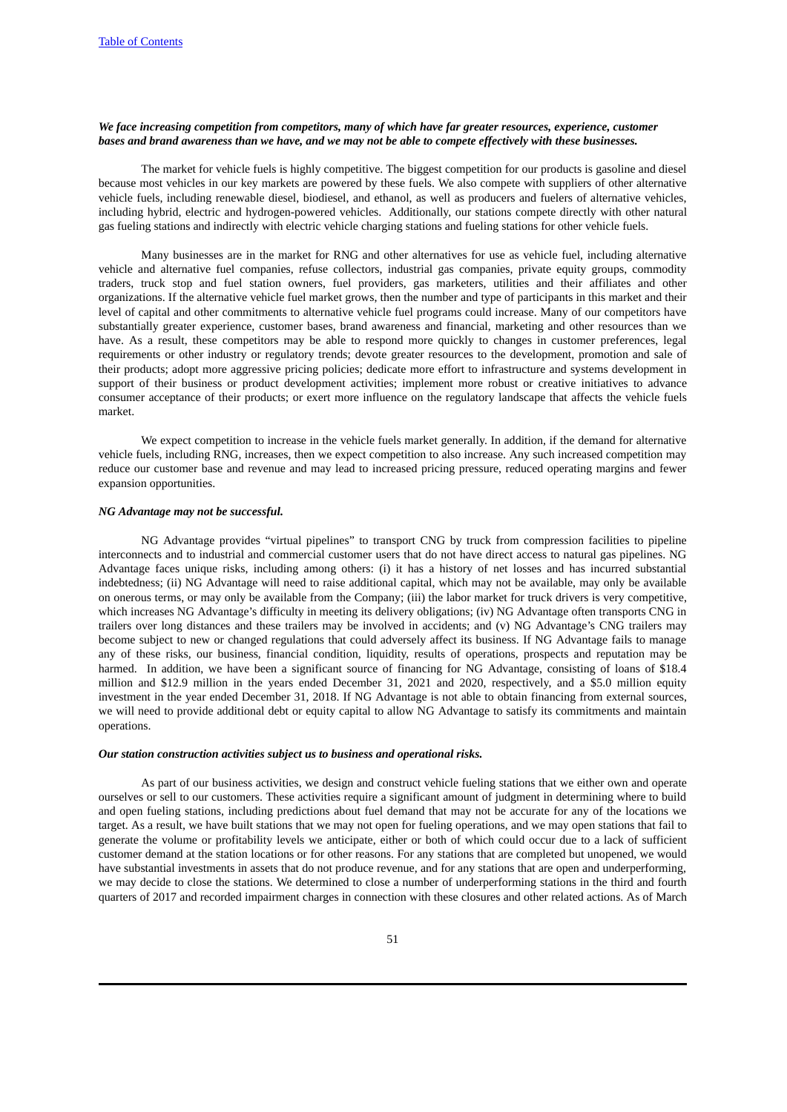### *We face increasing competition from competitors, many of which have far greater resources, experience, customer* bases and brand awareness than we have, and we may not be able to compete effectively with these businesses.

The market for vehicle fuels is highly competitive. The biggest competition for our products is gasoline and diesel because most vehicles in our key markets are powered by these fuels. We also compete with suppliers of other alternative vehicle fuels, including renewable diesel, biodiesel, and ethanol, as well as producers and fuelers of alternative vehicles, including hybrid, electric and hydrogen-powered vehicles. Additionally, our stations compete directly with other natural gas fueling stations and indirectly with electric vehicle charging stations and fueling stations for other vehicle fuels.

Many businesses are in the market for RNG and other alternatives for use as vehicle fuel, including alternative vehicle and alternative fuel companies, refuse collectors, industrial gas companies, private equity groups, commodity traders, truck stop and fuel station owners, fuel providers, gas marketers, utilities and their affiliates and other organizations. If the alternative vehicle fuel market grows, then the number and type of participants in this market and their level of capital and other commitments to alternative vehicle fuel programs could increase. Many of our competitors have substantially greater experience, customer bases, brand awareness and financial, marketing and other resources than we have. As a result, these competitors may be able to respond more quickly to changes in customer preferences, legal requirements or other industry or regulatory trends; devote greater resources to the development, promotion and sale of their products; adopt more aggressive pricing policies; dedicate more effort to infrastructure and systems development in support of their business or product development activities; implement more robust or creative initiatives to advance consumer acceptance of their products; or exert more influence on the regulatory landscape that affects the vehicle fuels market.

We expect competition to increase in the vehicle fuels market generally. In addition, if the demand for alternative vehicle fuels, including RNG, increases, then we expect competition to also increase. Any such increased competition may reduce our customer base and revenue and may lead to increased pricing pressure, reduced operating margins and fewer expansion opportunities.

### *NG Advantage may not be successful.*

NG Advantage provides "virtual pipelines" to transport CNG by truck from compression facilities to pipeline interconnects and to industrial and commercial customer users that do not have direct access to natural gas pipelines. NG Advantage faces unique risks, including among others: (i) it has a history of net losses and has incurred substantial indebtedness; (ii) NG Advantage will need to raise additional capital, which may not be available, may only be available on onerous terms, or may only be available from the Company; (iii) the labor market for truck drivers is very competitive, which increases NG Advantage's difficulty in meeting its delivery obligations; (iv) NG Advantage often transports CNG in trailers over long distances and these trailers may be involved in accidents; and (v) NG Advantage's CNG trailers may become subject to new or changed regulations that could adversely affect its business. If NG Advantage fails to manage any of these risks, our business, financial condition, liquidity, results of operations, prospects and reputation may be harmed. In addition, we have been a significant source of financing for NG Advantage, consisting of loans of \$18.4 million and \$12.9 million in the years ended December 31, 2021 and 2020, respectively, and a \$5.0 million equity investment in the year ended December 31, 2018. If NG Advantage is not able to obtain financing from external sources, we will need to provide additional debt or equity capital to allow NG Advantage to satisfy its commitments and maintain operations.

#### *Our station construction activities subject us to business and operational risks.*

As part of our business activities, we design and construct vehicle fueling stations that we either own and operate ourselves or sell to our customers. These activities require a significant amount of judgment in determining where to build and open fueling stations, including predictions about fuel demand that may not be accurate for any of the locations we target. As a result, we have built stations that we may not open for fueling operations, and we may open stations that fail to generate the volume or profitability levels we anticipate, either or both of which could occur due to a lack of sufficient customer demand at the station locations or for other reasons. For any stations that are completed but unopened, we would have substantial investments in assets that do not produce revenue, and for any stations that are open and underperforming, we may decide to close the stations. We determined to close a number of underperforming stations in the third and fourth quarters of 2017 and recorded impairment charges in connection with these closures and other related actions. As of March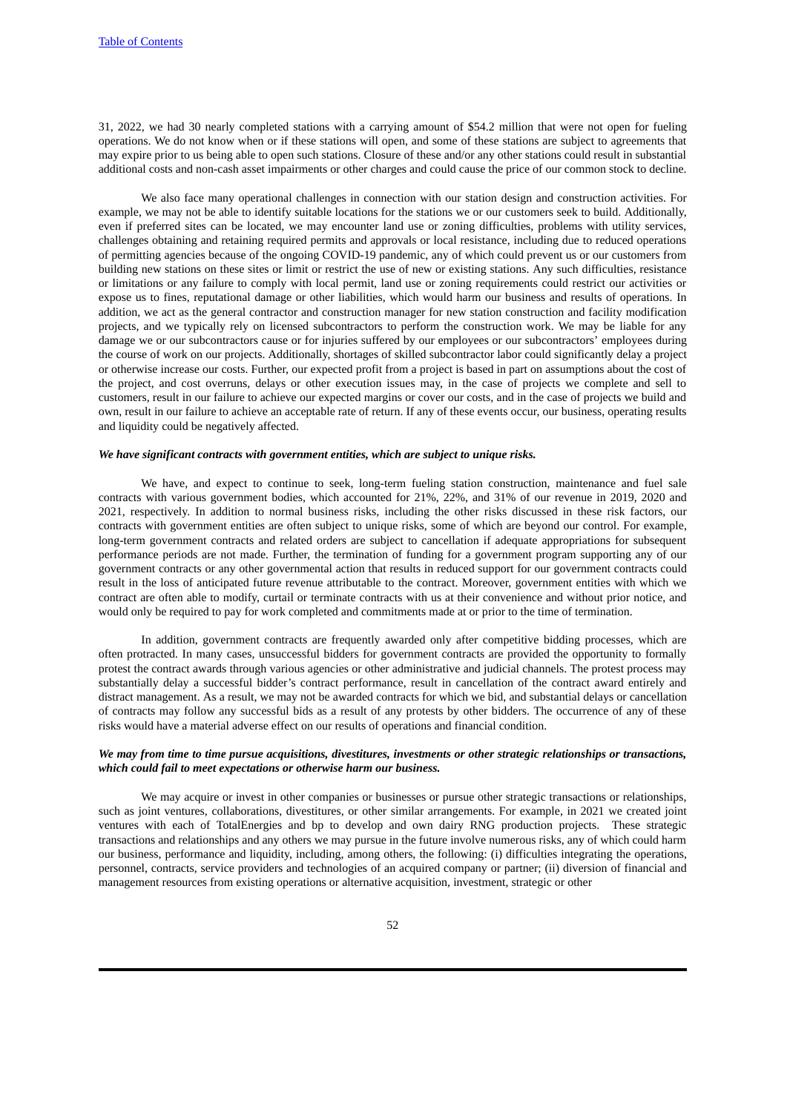31, 2022, we had 30 nearly completed stations with a carrying amount of \$54.2 million that were not open for fueling operations. We do not know when or if these stations will open, and some of these stations are subject to agreements that may expire prior to us being able to open such stations. Closure of these and/or any other stations could result in substantial additional costs and non-cash asset impairments or other charges and could cause the price of our common stock to decline.

We also face many operational challenges in connection with our station design and construction activities. For example, we may not be able to identify suitable locations for the stations we or our customers seek to build. Additionally, even if preferred sites can be located, we may encounter land use or zoning difficulties, problems with utility services, challenges obtaining and retaining required permits and approvals or local resistance, including due to reduced operations of permitting agencies because of the ongoing COVID-19 pandemic, any of which could prevent us or our customers from building new stations on these sites or limit or restrict the use of new or existing stations. Any such difficulties, resistance or limitations or any failure to comply with local permit, land use or zoning requirements could restrict our activities or expose us to fines, reputational damage or other liabilities, which would harm our business and results of operations. In addition, we act as the general contractor and construction manager for new station construction and facility modification projects, and we typically rely on licensed subcontractors to perform the construction work. We may be liable for any damage we or our subcontractors cause or for injuries suffered by our employees or our subcontractors' employees during the course of work on our projects. Additionally, shortages of skilled subcontractor labor could significantly delay a project or otherwise increase our costs. Further, our expected profit from a project is based in part on assumptions about the cost of the project, and cost overruns, delays or other execution issues may, in the case of projects we complete and sell to customers, result in our failure to achieve our expected margins or cover our costs, and in the case of projects we build and own, result in our failure to achieve an acceptable rate of return. If any of these events occur, our business, operating results and liquidity could be negatively affected.

#### *We have significant contracts with government entities, which are subject to unique risks.*

We have, and expect to continue to seek, long-term fueling station construction, maintenance and fuel sale contracts with various government bodies, which accounted for 21%, 22%, and 31% of our revenue in 2019, 2020 and 2021, respectively. In addition to normal business risks, including the other risks discussed in these risk factors, our contracts with government entities are often subject to unique risks, some of which are beyond our control. For example, long-term government contracts and related orders are subject to cancellation if adequate appropriations for subsequent performance periods are not made. Further, the termination of funding for a government program supporting any of our government contracts or any other governmental action that results in reduced support for our government contracts could result in the loss of anticipated future revenue attributable to the contract. Moreover, government entities with which we contract are often able to modify, curtail or terminate contracts with us at their convenience and without prior notice, and would only be required to pay for work completed and commitments made at or prior to the time of termination.

In addition, government contracts are frequently awarded only after competitive bidding processes, which are often protracted. In many cases, unsuccessful bidders for government contracts are provided the opportunity to formally protest the contract awards through various agencies or other administrative and judicial channels. The protest process may substantially delay a successful bidder's contract performance, result in cancellation of the contract award entirely and distract management. As a result, we may not be awarded contracts for which we bid, and substantial delays or cancellation of contracts may follow any successful bids as a result of any protests by other bidders. The occurrence of any of these risks would have a material adverse effect on our results of operations and financial condition.

### We may from time to time pursue acquisitions, divestitures, investments or other strategic relationships or transactions, *which could fail to meet expectations or otherwise harm our business.*

We may acquire or invest in other companies or businesses or pursue other strategic transactions or relationships, such as joint ventures, collaborations, divestitures, or other similar arrangements. For example, in 2021 we created joint ventures with each of TotalEnergies and bp to develop and own dairy RNG production projects. These strategic transactions and relationships and any others we may pursue in the future involve numerous risks, any of which could harm our business, performance and liquidity, including, among others, the following: (i) difficulties integrating the operations, personnel, contracts, service providers and technologies of an acquired company or partner; (ii) diversion of financial and management resources from existing operations or alternative acquisition, investment, strategic or other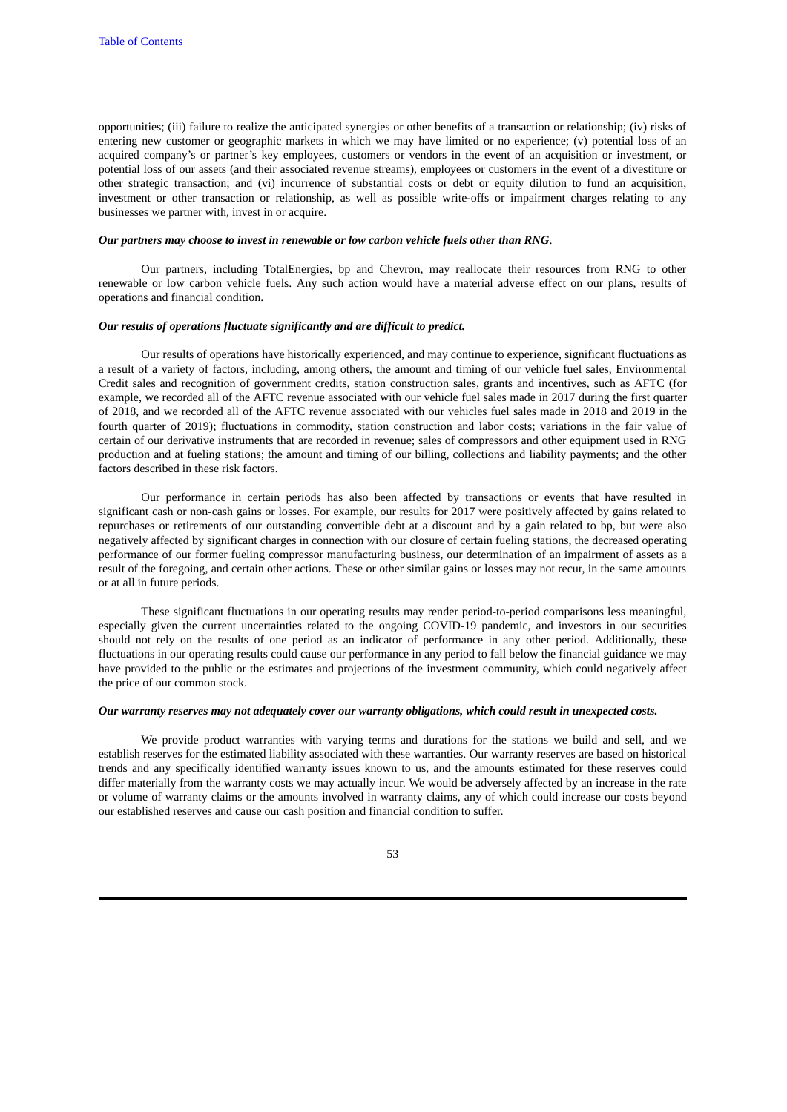opportunities; (iii) failure to realize the anticipated synergies or other benefits of a transaction or relationship; (iv) risks of entering new customer or geographic markets in which we may have limited or no experience; (v) potential loss of an acquired company's or partner's key employees, customers or vendors in the event of an acquisition or investment, or potential loss of our assets (and their associated revenue streams), employees or customers in the event of a divestiture or other strategic transaction; and (vi) incurrence of substantial costs or debt or equity dilution to fund an acquisition, investment or other transaction or relationship, as well as possible write-offs or impairment charges relating to any businesses we partner with, invest in or acquire.

### *Our partners may choose to invest in renewable or low carbon vehicle fuels other than RNG*.

Our partners, including TotalEnergies, bp and Chevron, may reallocate their resources from RNG to other renewable or low carbon vehicle fuels. Any such action would have a material adverse effect on our plans, results of operations and financial condition.

#### *Our results of operations fluctuate significantly and are difficult to predict.*

Our results of operations have historically experienced, and may continue to experience, significant fluctuations as a result of a variety of factors, including, among others, the amount and timing of our vehicle fuel sales, Environmental Credit sales and recognition of government credits, station construction sales, grants and incentives, such as AFTC (for example, we recorded all of the AFTC revenue associated with our vehicle fuel sales made in 2017 during the first quarter of 2018, and we recorded all of the AFTC revenue associated with our vehicles fuel sales made in 2018 and 2019 in the fourth quarter of 2019); fluctuations in commodity, station construction and labor costs; variations in the fair value of certain of our derivative instruments that are recorded in revenue; sales of compressors and other equipment used in RNG production and at fueling stations; the amount and timing of our billing, collections and liability payments; and the other factors described in these risk factors.

Our performance in certain periods has also been affected by transactions or events that have resulted in significant cash or non-cash gains or losses. For example, our results for 2017 were positively affected by gains related to repurchases or retirements of our outstanding convertible debt at a discount and by a gain related to bp, but were also negatively affected by significant charges in connection with our closure of certain fueling stations, the decreased operating performance of our former fueling compressor manufacturing business, our determination of an impairment of assets as a result of the foregoing, and certain other actions. These or other similar gains or losses may not recur, in the same amounts or at all in future periods.

These significant fluctuations in our operating results may render period-to-period comparisons less meaningful, especially given the current uncertainties related to the ongoing COVID-19 pandemic, and investors in our securities should not rely on the results of one period as an indicator of performance in any other period. Additionally, these fluctuations in our operating results could cause our performance in any period to fall below the financial guidance we may have provided to the public or the estimates and projections of the investment community, which could negatively affect the price of our common stock.

#### *Our warranty reserves may not adequately cover our warranty obligations, which could result in unexpected costs.*

We provide product warranties with varying terms and durations for the stations we build and sell, and we establish reserves for the estimated liability associated with these warranties. Our warranty reserves are based on historical trends and any specifically identified warranty issues known to us, and the amounts estimated for these reserves could differ materially from the warranty costs we may actually incur. We would be adversely affected by an increase in the rate or volume of warranty claims or the amounts involved in warranty claims, any of which could increase our costs beyond our established reserves and cause our cash position and financial condition to suffer.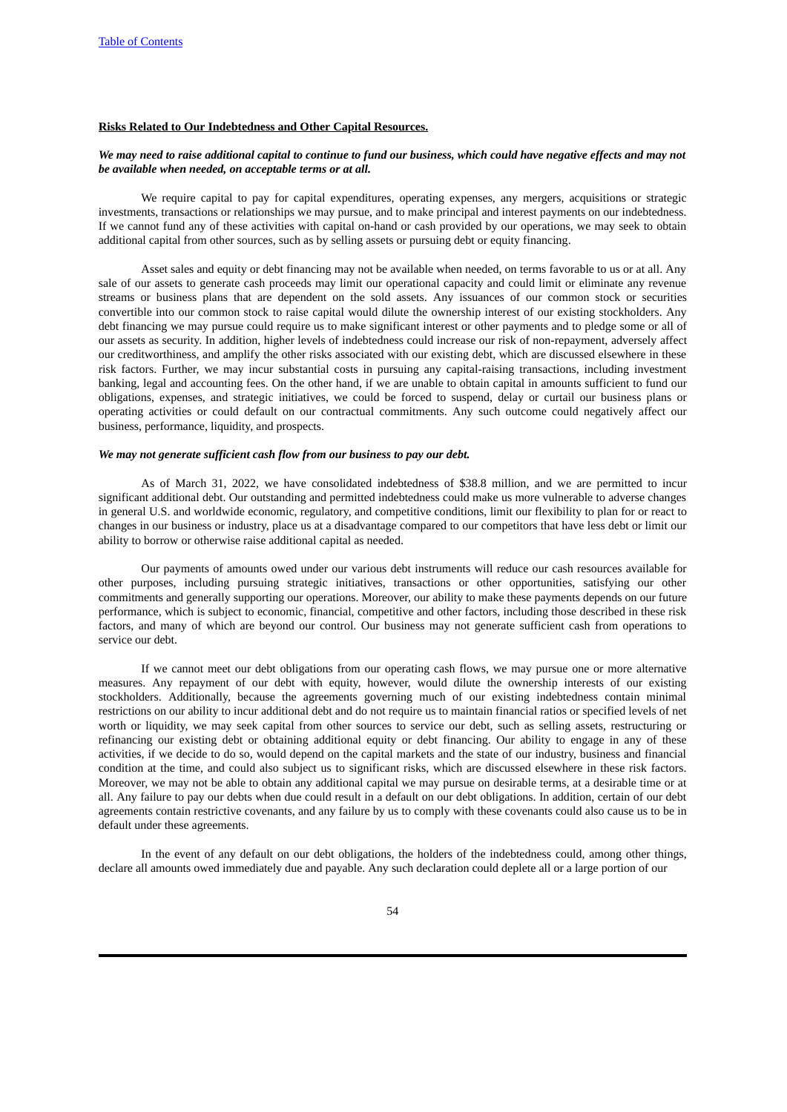## **Risks Related to Our Indebtedness and Other Capital Resources.**

### We may need to raise additional capital to continue to fund our business, which could have negative effects and may not *be available when needed, on acceptable terms or at all.*

We require capital to pay for capital expenditures, operating expenses, any mergers, acquisitions or strategic investments, transactions or relationships we may pursue, and to make principal and interest payments on our indebtedness. If we cannot fund any of these activities with capital on-hand or cash provided by our operations, we may seek to obtain additional capital from other sources, such as by selling assets or pursuing debt or equity financing.

Asset sales and equity or debt financing may not be available when needed, on terms favorable to us or at all. Any sale of our assets to generate cash proceeds may limit our operational capacity and could limit or eliminate any revenue streams or business plans that are dependent on the sold assets. Any issuances of our common stock or securities convertible into our common stock to raise capital would dilute the ownership interest of our existing stockholders. Any debt financing we may pursue could require us to make significant interest or other payments and to pledge some or all of our assets as security. In addition, higher levels of indebtedness could increase our risk of non-repayment, adversely affect our creditworthiness, and amplify the other risks associated with our existing debt, which are discussed elsewhere in these risk factors. Further, we may incur substantial costs in pursuing any capital-raising transactions, including investment banking, legal and accounting fees. On the other hand, if we are unable to obtain capital in amounts sufficient to fund our obligations, expenses, and strategic initiatives, we could be forced to suspend, delay or curtail our business plans or operating activities or could default on our contractual commitments. Any such outcome could negatively affect our business, performance, liquidity, and prospects.

### *We may not generate sufficient cash flow from our business to pay our debt.*

As of March 31, 2022, we have consolidated indebtedness of \$38.8 million, and we are permitted to incur significant additional debt. Our outstanding and permitted indebtedness could make us more vulnerable to adverse changes in general U.S. and worldwide economic, regulatory, and competitive conditions, limit our flexibility to plan for or react to changes in our business or industry, place us at a disadvantage compared to our competitors that have less debt or limit our ability to borrow or otherwise raise additional capital as needed.

Our payments of amounts owed under our various debt instruments will reduce our cash resources available for other purposes, including pursuing strategic initiatives, transactions or other opportunities, satisfying our other commitments and generally supporting our operations. Moreover, our ability to make these payments depends on our future performance, which is subject to economic, financial, competitive and other factors, including those described in these risk factors, and many of which are beyond our control. Our business may not generate sufficient cash from operations to service our debt.

If we cannot meet our debt obligations from our operating cash flows, we may pursue one or more alternative measures. Any repayment of our debt with equity, however, would dilute the ownership interests of our existing stockholders. Additionally, because the agreements governing much of our existing indebtedness contain minimal restrictions on our ability to incur additional debt and do not require us to maintain financial ratios or specified levels of net worth or liquidity, we may seek capital from other sources to service our debt, such as selling assets, restructuring or refinancing our existing debt or obtaining additional equity or debt financing. Our ability to engage in any of these activities, if we decide to do so, would depend on the capital markets and the state of our industry, business and financial condition at the time, and could also subject us to significant risks, which are discussed elsewhere in these risk factors. Moreover, we may not be able to obtain any additional capital we may pursue on desirable terms, at a desirable time or at all. Any failure to pay our debts when due could result in a default on our debt obligations. In addition, certain of our debt agreements contain restrictive covenants, and any failure by us to comply with these covenants could also cause us to be in default under these agreements.

In the event of any default on our debt obligations, the holders of the indebtedness could, among other things, declare all amounts owed immediately due and payable. Any such declaration could deplete all or a large portion of our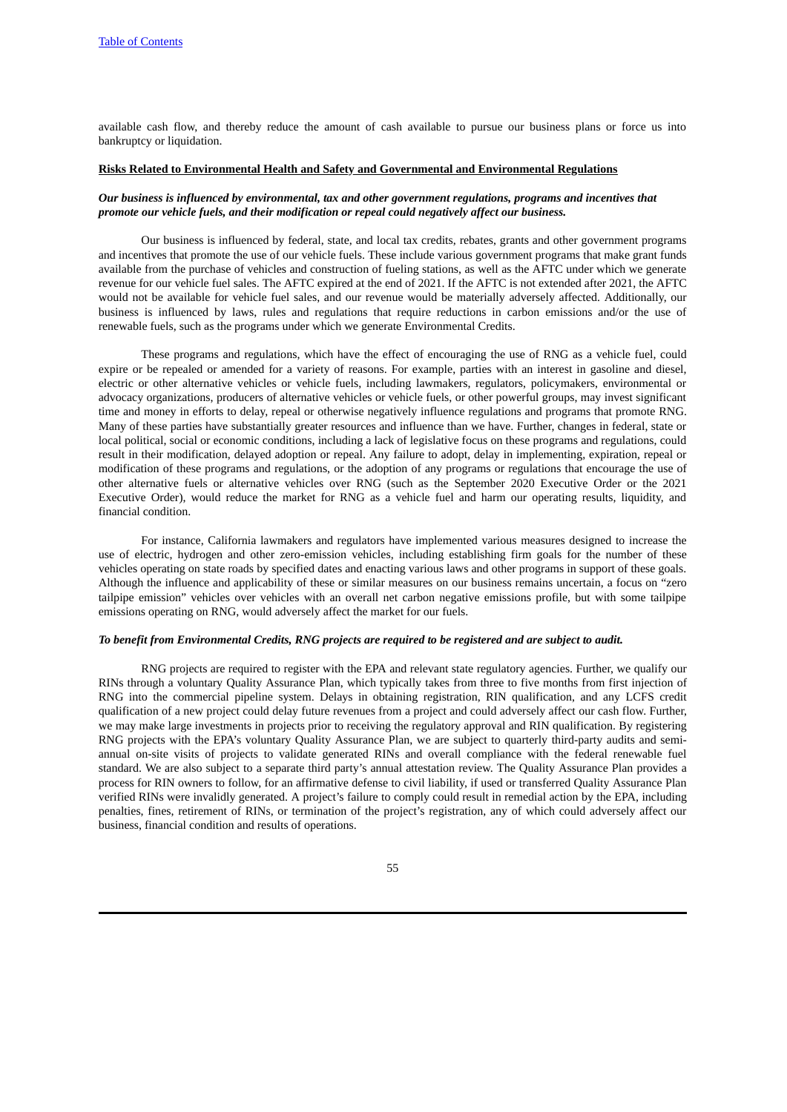available cash flow, and thereby reduce the amount of cash available to pursue our business plans or force us into bankruptcy or liquidation.

#### **Risks Related to Environmental Health and Safety and Governmental and Environmental Regulations**

### *Our business is influenced by environmental, tax and other government regulations, programs and incentives that promote our vehicle fuels, and their modification or repeal could negatively affect our business.*

Our business is influenced by federal, state, and local tax credits, rebates, grants and other government programs and incentives that promote the use of our vehicle fuels. These include various government programs that make grant funds available from the purchase of vehicles and construction of fueling stations, as well as the AFTC under which we generate revenue for our vehicle fuel sales. The AFTC expired at the end of 2021. If the AFTC is not extended after 2021, the AFTC would not be available for vehicle fuel sales, and our revenue would be materially adversely affected. Additionally, our business is influenced by laws, rules and regulations that require reductions in carbon emissions and/or the use of renewable fuels, such as the programs under which we generate Environmental Credits.

These programs and regulations, which have the effect of encouraging the use of RNG as a vehicle fuel, could expire or be repealed or amended for a variety of reasons. For example, parties with an interest in gasoline and diesel, electric or other alternative vehicles or vehicle fuels, including lawmakers, regulators, policymakers, environmental or advocacy organizations, producers of alternative vehicles or vehicle fuels, or other powerful groups, may invest significant time and money in efforts to delay, repeal or otherwise negatively influence regulations and programs that promote RNG. Many of these parties have substantially greater resources and influence than we have. Further, changes in federal, state or local political, social or economic conditions, including a lack of legislative focus on these programs and regulations, could result in their modification, delayed adoption or repeal. Any failure to adopt, delay in implementing, expiration, repeal or modification of these programs and regulations, or the adoption of any programs or regulations that encourage the use of other alternative fuels or alternative vehicles over RNG (such as the September 2020 Executive Order or the 2021 Executive Order), would reduce the market for RNG as a vehicle fuel and harm our operating results, liquidity, and financial condition.

For instance, California lawmakers and regulators have implemented various measures designed to increase the use of electric, hydrogen and other zero-emission vehicles, including establishing firm goals for the number of these vehicles operating on state roads by specified dates and enacting various laws and other programs in support of these goals. Although the influence and applicability of these or similar measures on our business remains uncertain, a focus on "zero tailpipe emission" vehicles over vehicles with an overall net carbon negative emissions profile, but with some tailpipe emissions operating on RNG, would adversely affect the market for our fuels.

#### To benefit from Environmental Credits, RNG projects are required to be registered and are subject to audit.

RNG projects are required to register with the EPA and relevant state regulatory agencies. Further, we qualify our RINs through a voluntary Quality Assurance Plan, which typically takes from three to five months from first injection of RNG into the commercial pipeline system. Delays in obtaining registration, RIN qualification, and any LCFS credit qualification of a new project could delay future revenues from a project and could adversely affect our cash flow. Further, we may make large investments in projects prior to receiving the regulatory approval and RIN qualification. By registering RNG projects with the EPA's voluntary Quality Assurance Plan, we are subject to quarterly third-party audits and semiannual on-site visits of projects to validate generated RINs and overall compliance with the federal renewable fuel standard. We are also subject to a separate third party's annual attestation review. The Quality Assurance Plan provides a process for RIN owners to follow, for an affirmative defense to civil liability, if used or transferred Quality Assurance Plan verified RINs were invalidly generated. A project's failure to comply could result in remedial action by the EPA, including penalties, fines, retirement of RINs, or termination of the project's registration, any of which could adversely affect our business, financial condition and results of operations.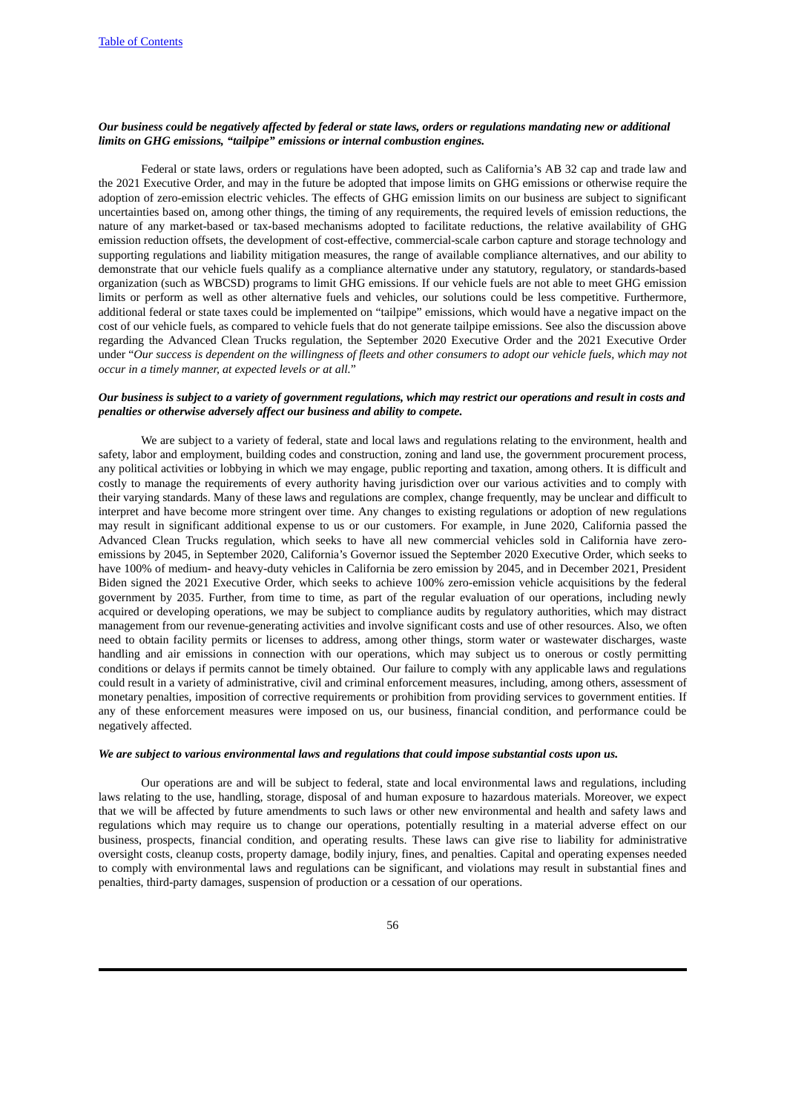### Our business could be negatively affected by federal or state laws, orders or regulations mandating new or additional *limits on GHG emissions, "tailpipe" emissions or internal combustion engines.*

Federal or state laws, orders or regulations have been adopted, such as California's AB 32 cap and trade law and the 2021 Executive Order, and may in the future be adopted that impose limits on GHG emissions or otherwise require the adoption of zero-emission electric vehicles. The effects of GHG emission limits on our business are subject to significant uncertainties based on, among other things, the timing of any requirements, the required levels of emission reductions, the nature of any market-based or tax-based mechanisms adopted to facilitate reductions, the relative availability of GHG emission reduction offsets, the development of cost-effective, commercial-scale carbon capture and storage technology and supporting regulations and liability mitigation measures, the range of available compliance alternatives, and our ability to demonstrate that our vehicle fuels qualify as a compliance alternative under any statutory, regulatory, or standards-based organization (such as WBCSD) programs to limit GHG emissions. If our vehicle fuels are not able to meet GHG emission limits or perform as well as other alternative fuels and vehicles, our solutions could be less competitive. Furthermore, additional federal or state taxes could be implemented on "tailpipe" emissions, which would have a negative impact on the cost of our vehicle fuels, as compared to vehicle fuels that do not generate tailpipe emissions. See also the discussion above regarding the Advanced Clean Trucks regulation, the September 2020 Executive Order and the 2021 Executive Order under "Our success is dependent on the willingness of fleets and other consumers to adopt our vehicle fuels, which may not *occur in a timely manner, at expected levels or at all.*"

### Our business is subject to a variety of government regulations, which may restrict our operations and result in costs and *penalties or otherwise adversely affect our business and ability to compete.*

We are subject to a variety of federal, state and local laws and regulations relating to the environment, health and safety, labor and employment, building codes and construction, zoning and land use, the government procurement process, any political activities or lobbying in which we may engage, public reporting and taxation, among others. It is difficult and costly to manage the requirements of every authority having jurisdiction over our various activities and to comply with their varying standards. Many of these laws and regulations are complex, change frequently, may be unclear and difficult to interpret and have become more stringent over time. Any changes to existing regulations or adoption of new regulations may result in significant additional expense to us or our customers. For example, in June 2020, California passed the Advanced Clean Trucks regulation, which seeks to have all new commercial vehicles sold in California have zeroemissions by 2045, in September 2020, California's Governor issued the September 2020 Executive Order, which seeks to have 100% of medium- and heavy-duty vehicles in California be zero emission by 2045, and in December 2021, President Biden signed the 2021 Executive Order, which seeks to achieve 100% zero-emission vehicle acquisitions by the federal government by 2035. Further, from time to time, as part of the regular evaluation of our operations, including newly acquired or developing operations, we may be subject to compliance audits by regulatory authorities, which may distract management from our revenue-generating activities and involve significant costs and use of other resources. Also, we often need to obtain facility permits or licenses to address, among other things, storm water or wastewater discharges, waste handling and air emissions in connection with our operations, which may subject us to onerous or costly permitting conditions or delays if permits cannot be timely obtained. Our failure to comply with any applicable laws and regulations could result in a variety of administrative, civil and criminal enforcement measures, including, among others, assessment of monetary penalties, imposition of corrective requirements or prohibition from providing services to government entities. If any of these enforcement measures were imposed on us, our business, financial condition, and performance could be negatively affected.

#### *We are subject to various environmental laws and regulations that could impose substantial costs upon us.*

Our operations are and will be subject to federal, state and local environmental laws and regulations, including laws relating to the use, handling, storage, disposal of and human exposure to hazardous materials. Moreover, we expect that we will be affected by future amendments to such laws or other new environmental and health and safety laws and regulations which may require us to change our operations, potentially resulting in a material adverse effect on our business, prospects, financial condition, and operating results. These laws can give rise to liability for administrative oversight costs, cleanup costs, property damage, bodily injury, fines, and penalties. Capital and operating expenses needed to comply with environmental laws and regulations can be significant, and violations may result in substantial fines and penalties, third-party damages, suspension of production or a cessation of our operations.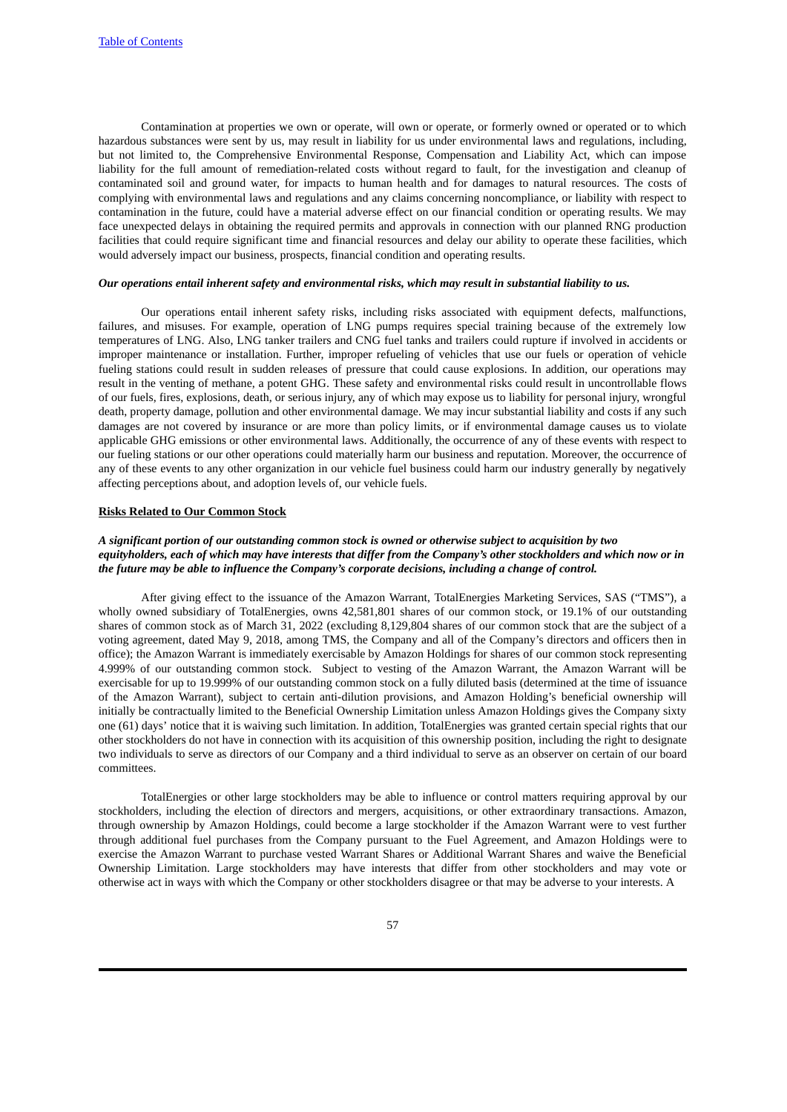Contamination at properties we own or operate, will own or operate, or formerly owned or operated or to which hazardous substances were sent by us, may result in liability for us under environmental laws and regulations, including, but not limited to, the Comprehensive Environmental Response, Compensation and Liability Act, which can impose liability for the full amount of remediation-related costs without regard to fault, for the investigation and cleanup of contaminated soil and ground water, for impacts to human health and for damages to natural resources. The costs of complying with environmental laws and regulations and any claims concerning noncompliance, or liability with respect to contamination in the future, could have a material adverse effect on our financial condition or operating results. We may face unexpected delays in obtaining the required permits and approvals in connection with our planned RNG production facilities that could require significant time and financial resources and delay our ability to operate these facilities, which would adversely impact our business, prospects, financial condition and operating results.

#### *Our operations entail inherent safety and environmental risks, which may result in substantial liability to us.*

Our operations entail inherent safety risks, including risks associated with equipment defects, malfunctions, failures, and misuses. For example, operation of LNG pumps requires special training because of the extremely low temperatures of LNG. Also, LNG tanker trailers and CNG fuel tanks and trailers could rupture if involved in accidents or improper maintenance or installation. Further, improper refueling of vehicles that use our fuels or operation of vehicle fueling stations could result in sudden releases of pressure that could cause explosions. In addition, our operations may result in the venting of methane, a potent GHG. These safety and environmental risks could result in uncontrollable flows of our fuels, fires, explosions, death, or serious injury, any of which may expose us to liability for personal injury, wrongful death, property damage, pollution and other environmental damage. We may incur substantial liability and costs if any such damages are not covered by insurance or are more than policy limits, or if environmental damage causes us to violate applicable GHG emissions or other environmental laws. Additionally, the occurrence of any of these events with respect to our fueling stations or our other operations could materially harm our business and reputation. Moreover, the occurrence of any of these events to any other organization in our vehicle fuel business could harm our industry generally by negatively affecting perceptions about, and adoption levels of, our vehicle fuels.

### **Risks Related to Our Common Stock**

### *A significant portion of our outstanding common stock is owned or otherwise subject to acquisition by two* equityholders, each of which may have interests that differ from the Company's other stockholders and which now or in *the future may be able to influence the Company's corporate decisions, including a change of control.*

After giving effect to the issuance of the Amazon Warrant, TotalEnergies Marketing Services, SAS ("TMS"), a wholly owned subsidiary of TotalEnergies, owns 42,581,801 shares of our common stock, or 19.1% of our outstanding shares of common stock as of March 31, 2022 (excluding 8,129,804 shares of our common stock that are the subject of a voting agreement, dated May 9, 2018, among TMS, the Company and all of the Company's directors and officers then in office); the Amazon Warrant is immediately exercisable by Amazon Holdings for shares of our common stock representing 4.999% of our outstanding common stock. Subject to vesting of the Amazon Warrant, the Amazon Warrant will be exercisable for up to 19.999% of our outstanding common stock on a fully diluted basis (determined at the time of issuance of the Amazon Warrant), subject to certain anti-dilution provisions, and Amazon Holding's beneficial ownership will initially be contractually limited to the Beneficial Ownership Limitation unless Amazon Holdings gives the Company sixty one (61) days' notice that it is waiving such limitation. In addition, TotalEnergies was granted certain special rights that our other stockholders do not have in connection with its acquisition of this ownership position, including the right to designate two individuals to serve as directors of our Company and a third individual to serve as an observer on certain of our board committees.

TotalEnergies or other large stockholders may be able to influence or control matters requiring approval by our stockholders, including the election of directors and mergers, acquisitions, or other extraordinary transactions. Amazon, through ownership by Amazon Holdings, could become a large stockholder if the Amazon Warrant were to vest further through additional fuel purchases from the Company pursuant to the Fuel Agreement, and Amazon Holdings were to exercise the Amazon Warrant to purchase vested Warrant Shares or Additional Warrant Shares and waive the Beneficial Ownership Limitation. Large stockholders may have interests that differ from other stockholders and may vote or otherwise act in ways with which the Company or other stockholders disagree or that may be adverse to your interests. A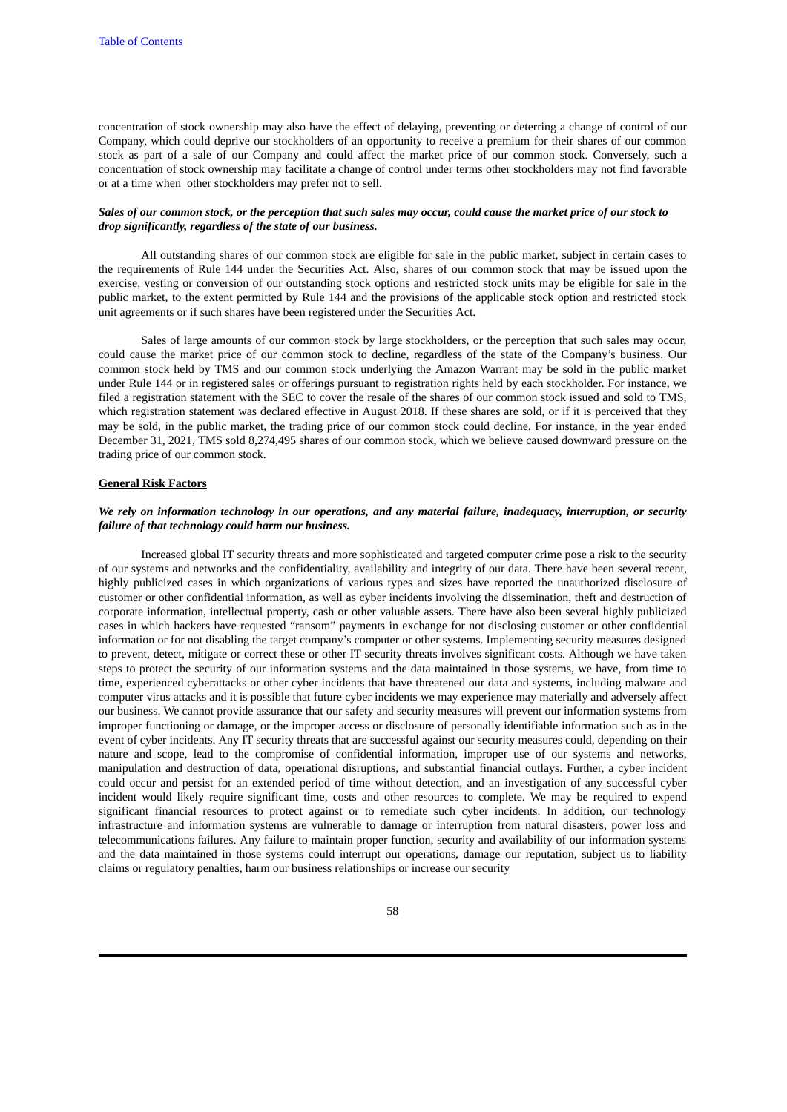concentration of stock ownership may also have the effect of delaying, preventing or deterring a change of control of our Company, which could deprive our stockholders of an opportunity to receive a premium for their shares of our common stock as part of a sale of our Company and could affect the market price of our common stock. Conversely, such a concentration of stock ownership may facilitate a change of control under terms other stockholders may not find favorable or at a time when other stockholders may prefer not to sell.

## Sales of our common stock, or the perception that such sales may occur, could cause the market price of our stock to *drop significantly, regardless of the state of our business.*

All outstanding shares of our common stock are eligible for sale in the public market, subject in certain cases to the requirements of Rule 144 under the Securities Act. Also, shares of our common stock that may be issued upon the exercise, vesting or conversion of our outstanding stock options and restricted stock units may be eligible for sale in the public market, to the extent permitted by Rule 144 and the provisions of the applicable stock option and restricted stock unit agreements or if such shares have been registered under the Securities Act.

Sales of large amounts of our common stock by large stockholders, or the perception that such sales may occur, could cause the market price of our common stock to decline, regardless of the state of the Company's business. Our common stock held by TMS and our common stock underlying the Amazon Warrant may be sold in the public market under Rule 144 or in registered sales or offerings pursuant to registration rights held by each stockholder. For instance, we filed a registration statement with the SEC to cover the resale of the shares of our common stock issued and sold to TMS, which registration statement was declared effective in August 2018. If these shares are sold, or if it is perceived that they may be sold, in the public market, the trading price of our common stock could decline. For instance, in the year ended December 31, 2021, TMS sold 8,274,495 shares of our common stock, which we believe caused downward pressure on the trading price of our common stock.

#### **General Risk Factors**

### We rely on information technology in our operations, and any material failure, inadequacy, interruption, or security *failure of that technology could harm our business.*

Increased global IT security threats and more sophisticated and targeted computer crime pose a risk to the security of our systems and networks and the confidentiality, availability and integrity of our data. There have been several recent, highly publicized cases in which organizations of various types and sizes have reported the unauthorized disclosure of customer or other confidential information, as well as cyber incidents involving the dissemination, theft and destruction of corporate information, intellectual property, cash or other valuable assets. There have also been several highly publicized cases in which hackers have requested "ransom" payments in exchange for not disclosing customer or other confidential information or for not disabling the target company's computer or other systems. Implementing security measures designed to prevent, detect, mitigate or correct these or other IT security threats involves significant costs. Although we have taken steps to protect the security of our information systems and the data maintained in those systems, we have, from time to time, experienced cyberattacks or other cyber incidents that have threatened our data and systems, including malware and computer virus attacks and it is possible that future cyber incidents we may experience may materially and adversely affect our business. We cannot provide assurance that our safety and security measures will prevent our information systems from improper functioning or damage, or the improper access or disclosure of personally identifiable information such as in the event of cyber incidents. Any IT security threats that are successful against our security measures could, depending on their nature and scope, lead to the compromise of confidential information, improper use of our systems and networks, manipulation and destruction of data, operational disruptions, and substantial financial outlays. Further, a cyber incident could occur and persist for an extended period of time without detection, and an investigation of any successful cyber incident would likely require significant time, costs and other resources to complete. We may be required to expend significant financial resources to protect against or to remediate such cyber incidents. In addition, our technology infrastructure and information systems are vulnerable to damage or interruption from natural disasters, power loss and telecommunications failures. Any failure to maintain proper function, security and availability of our information systems and the data maintained in those systems could interrupt our operations, damage our reputation, subject us to liability claims or regulatory penalties, harm our business relationships or increase our security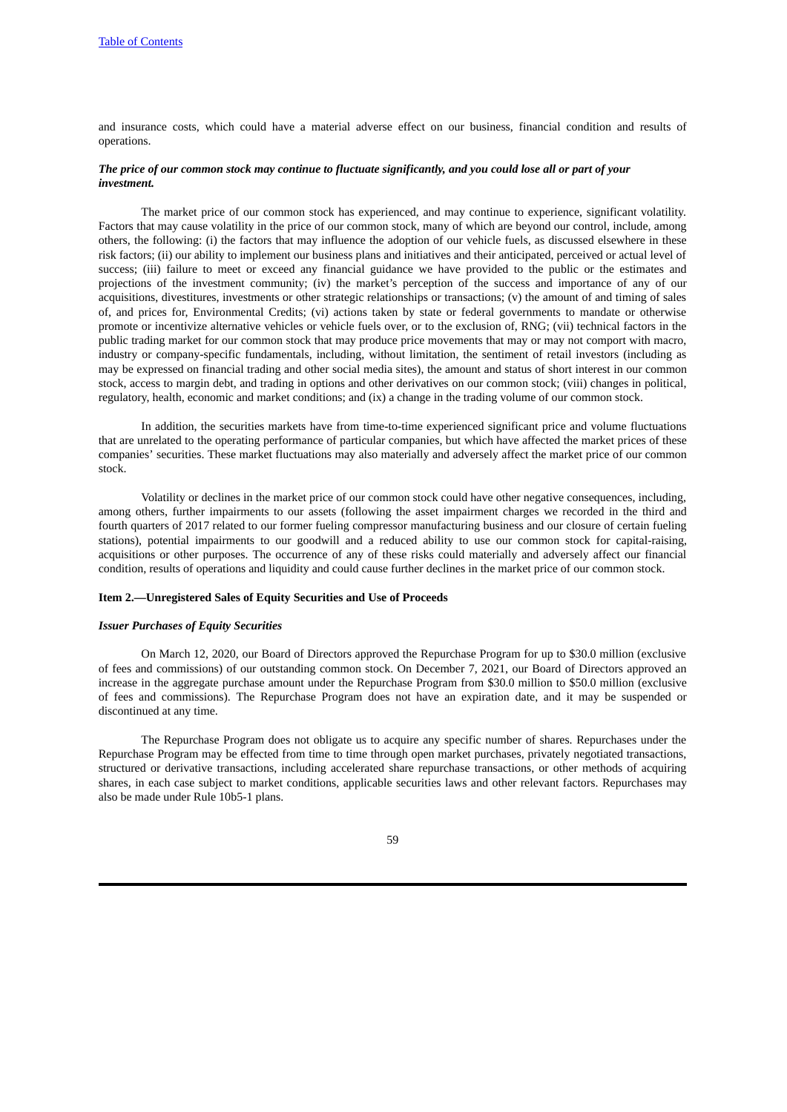and insurance costs, which could have a material adverse effect on our business, financial condition and results of operations.

#### The price of our common stock may continue to fluctuate significantly, and you could lose all or part of your *investment.*

The market price of our common stock has experienced, and may continue to experience, significant volatility. Factors that may cause volatility in the price of our common stock, many of which are beyond our control, include, among others, the following: (i) the factors that may influence the adoption of our vehicle fuels, as discussed elsewhere in these risk factors; (ii) our ability to implement our business plans and initiatives and their anticipated, perceived or actual level of success; (iii) failure to meet or exceed any financial guidance we have provided to the public or the estimates and projections of the investment community; (iv) the market's perception of the success and importance of any of our acquisitions, divestitures, investments or other strategic relationships or transactions; (v) the amount of and timing of sales of, and prices for, Environmental Credits; (vi) actions taken by state or federal governments to mandate or otherwise promote or incentivize alternative vehicles or vehicle fuels over, or to the exclusion of, RNG; (vii) technical factors in the public trading market for our common stock that may produce price movements that may or may not comport with macro, industry or company-specific fundamentals, including, without limitation, the sentiment of retail investors (including as may be expressed on financial trading and other social media sites), the amount and status of short interest in our common stock, access to margin debt, and trading in options and other derivatives on our common stock; (viii) changes in political, regulatory, health, economic and market conditions; and (ix) a change in the trading volume of our common stock.

In addition, the securities markets have from time-to-time experienced significant price and volume fluctuations that are unrelated to the operating performance of particular companies, but which have affected the market prices of these companies' securities. These market fluctuations may also materially and adversely affect the market price of our common stock.

Volatility or declines in the market price of our common stock could have other negative consequences, including, among others, further impairments to our assets (following the asset impairment charges we recorded in the third and fourth quarters of 2017 related to our former fueling compressor manufacturing business and our closure of certain fueling stations), potential impairments to our goodwill and a reduced ability to use our common stock for capital-raising, acquisitions or other purposes. The occurrence of any of these risks could materially and adversely affect our financial condition, results of operations and liquidity and could cause further declines in the market price of our common stock.

### <span id="page-58-0"></span>**Item 2.—Unregistered Sales of Equity Securities and Use of Proceeds**

#### *Issuer Purchases of Equity Securities*

On March 12, 2020, our Board of Directors approved the Repurchase Program for up to \$30.0 million (exclusive of fees and commissions) of our outstanding common stock. On December 7, 2021, our Board of Directors approved an increase in the aggregate purchase amount under the Repurchase Program from \$30.0 million to \$50.0 million (exclusive of fees and commissions). The Repurchase Program does not have an expiration date, and it may be suspended or discontinued at any time.

The Repurchase Program does not obligate us to acquire any specific number of shares. Repurchases under the Repurchase Program may be effected from time to time through open market purchases, privately negotiated transactions, structured or derivative transactions, including accelerated share repurchase transactions, or other methods of acquiring shares, in each case subject to market conditions, applicable securities laws and other relevant factors. Repurchases may also be made under Rule 10b5-1 plans.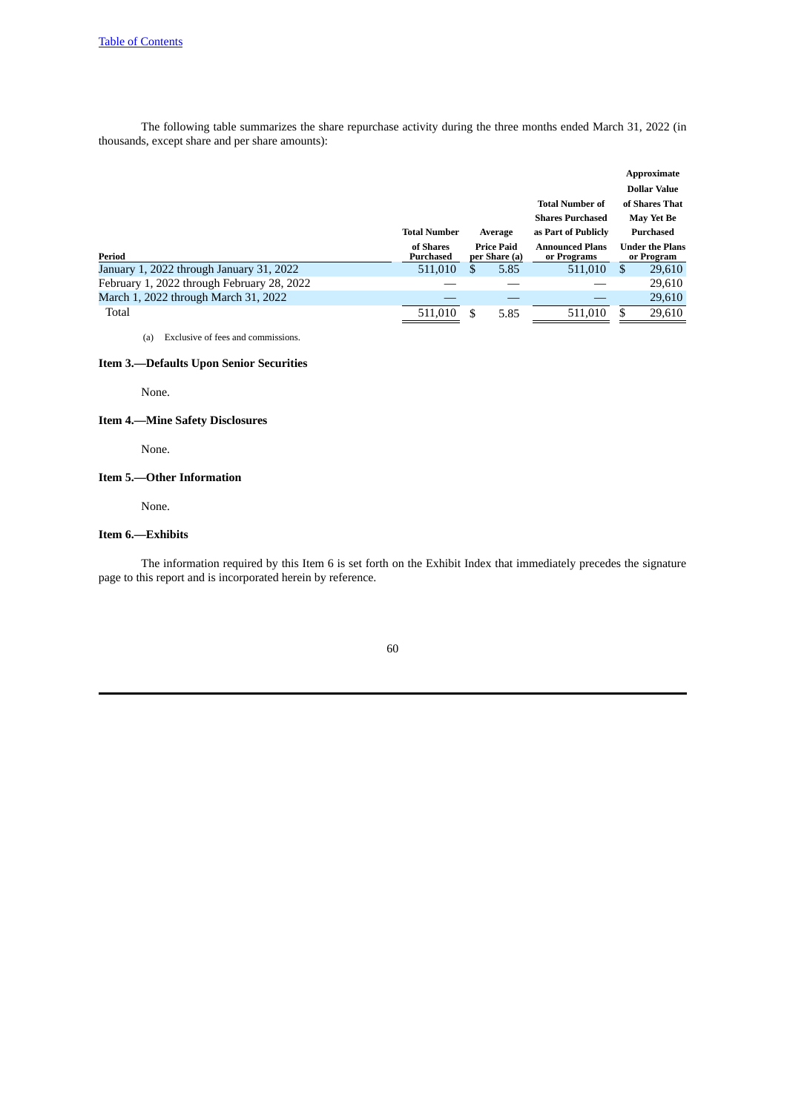The following table summarizes the share repurchase activity during the three months ended March 31, 2022 (in thousands, except share and per share amounts):

|                                            |                        |    |                                    |                                       |                                      | Approximate         |
|--------------------------------------------|------------------------|----|------------------------------------|---------------------------------------|--------------------------------------|---------------------|
|                                            |                        |    |                                    |                                       |                                      | <b>Dollar Value</b> |
|                                            |                        |    |                                    | <b>Total Number of</b>                |                                      | of Shares That      |
|                                            |                        |    |                                    | <b>Shares Purchased</b>               |                                      | May Yet Be          |
|                                            | <b>Total Number</b>    |    | Average                            | as Part of Publicly                   | Purchased                            |                     |
| Period                                     | of Shares<br>Purchased |    | <b>Price Paid</b><br>per Share (a) | <b>Announced Plans</b><br>or Programs | <b>Under the Plans</b><br>or Program |                     |
| January 1, 2022 through January 31, 2022   | 511,010                | S  | 5.85                               | 511,010                               | S                                    | 29,610              |
| February 1, 2022 through February 28, 2022 |                        |    |                                    |                                       |                                      | 29,610              |
| March 1, 2022 through March 31, 2022       |                        |    |                                    |                                       |                                      | 29,610              |
| Total                                      | 511,010                | \$ | 5.85                               | 511,010                               |                                      | 29,610              |

(a) Exclusive of fees and commissions.

### <span id="page-59-0"></span>**Item 3.—Defaults Upon Senior Securities**

None.

# <span id="page-59-1"></span>**Item 4.—Mine Safety Disclosures**

None.

#### <span id="page-59-2"></span>**Item 5.—Other Information**

None.

### <span id="page-59-3"></span>**Item 6.—Exhibits**

The information required by this Item 6 is set forth on the Exhibit Index that immediately precedes the signature page to this report and is incorporated herein by reference.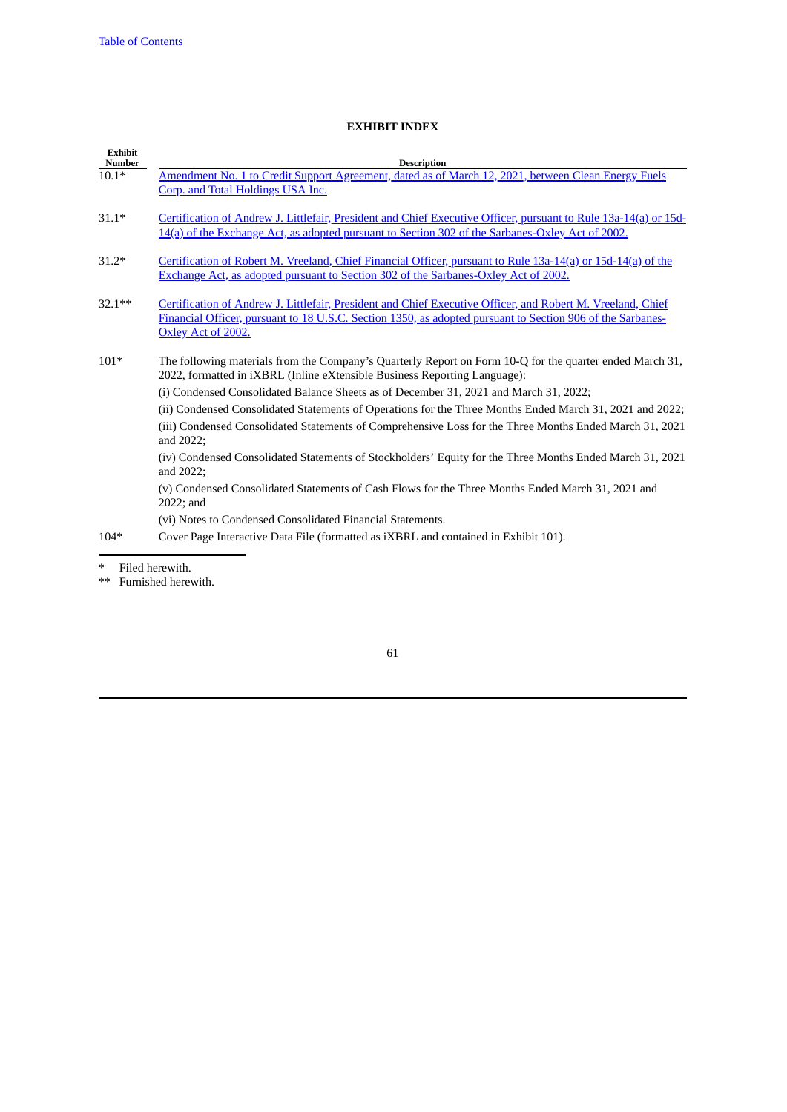# **EXHIBIT INDEX**

| <b>Exhibit</b><br>Number | <b>Description</b>                                                                                                                                                                                                                                                                                                                                                                                                                                                                                                                                                                                                                                                                                                                                                                                                            |
|--------------------------|-------------------------------------------------------------------------------------------------------------------------------------------------------------------------------------------------------------------------------------------------------------------------------------------------------------------------------------------------------------------------------------------------------------------------------------------------------------------------------------------------------------------------------------------------------------------------------------------------------------------------------------------------------------------------------------------------------------------------------------------------------------------------------------------------------------------------------|
| $10.1*$                  | Amendment No. 1 to Credit Support Agreement, dated as of March 12, 2021, between Clean Energy Fuels<br>Corp. and Total Holdings USA Inc.                                                                                                                                                                                                                                                                                                                                                                                                                                                                                                                                                                                                                                                                                      |
| $31.1*$                  | Certification of Andrew J. Littlefair, President and Chief Executive Officer, pursuant to Rule 13a-14(a) or 15d-<br>14(a) of the Exchange Act, as adopted pursuant to Section 302 of the Sarbanes-Oxley Act of 2002.                                                                                                                                                                                                                                                                                                                                                                                                                                                                                                                                                                                                          |
| $31.2*$                  | Certification of Robert M. Vreeland, Chief Financial Officer, pursuant to Rule 13a-14(a) or 15d-14(a) of the<br>Exchange Act, as adopted pursuant to Section 302 of the Sarbanes-Oxley Act of 2002.                                                                                                                                                                                                                                                                                                                                                                                                                                                                                                                                                                                                                           |
| $32.1**$                 | Certification of Andrew J. Littlefair, President and Chief Executive Officer, and Robert M. Vreeland, Chief<br>Financial Officer, pursuant to 18 U.S.C. Section 1350, as adopted pursuant to Section 906 of the Sarbanes-<br>Oxley Act of 2002.                                                                                                                                                                                                                                                                                                                                                                                                                                                                                                                                                                               |
| $101*$                   | The following materials from the Company's Quarterly Report on Form 10-Q for the quarter ended March 31,<br>2022, formatted in iXBRL (Inline eXtensible Business Reporting Language):<br>(i) Condensed Consolidated Balance Sheets as of December 31, 2021 and March 31, 2022;<br>(ii) Condensed Consolidated Statements of Operations for the Three Months Ended March 31, 2021 and 2022;<br>(iii) Condensed Consolidated Statements of Comprehensive Loss for the Three Months Ended March 31, 2021<br>and 2022;<br>(iv) Condensed Consolidated Statements of Stockholders' Equity for the Three Months Ended March 31, 2021<br>and 2022;<br>(v) Condensed Consolidated Statements of Cash Flows for the Three Months Ended March 31, 2021 and<br>$2022:$ and<br>(vi) Notes to Condensed Consolidated Financial Statements. |
|                          |                                                                                                                                                                                                                                                                                                                                                                                                                                                                                                                                                                                                                                                                                                                                                                                                                               |
| $104*$                   | Cover Page Interactive Data File (formatted as iXBRL and contained in Exhibit 101).                                                                                                                                                                                                                                                                                                                                                                                                                                                                                                                                                                                                                                                                                                                                           |
| $\ast$                   | Filed herewith.                                                                                                                                                                                                                                                                                                                                                                                                                                                                                                                                                                                                                                                                                                                                                                                                               |

\*\* Furnished herewith.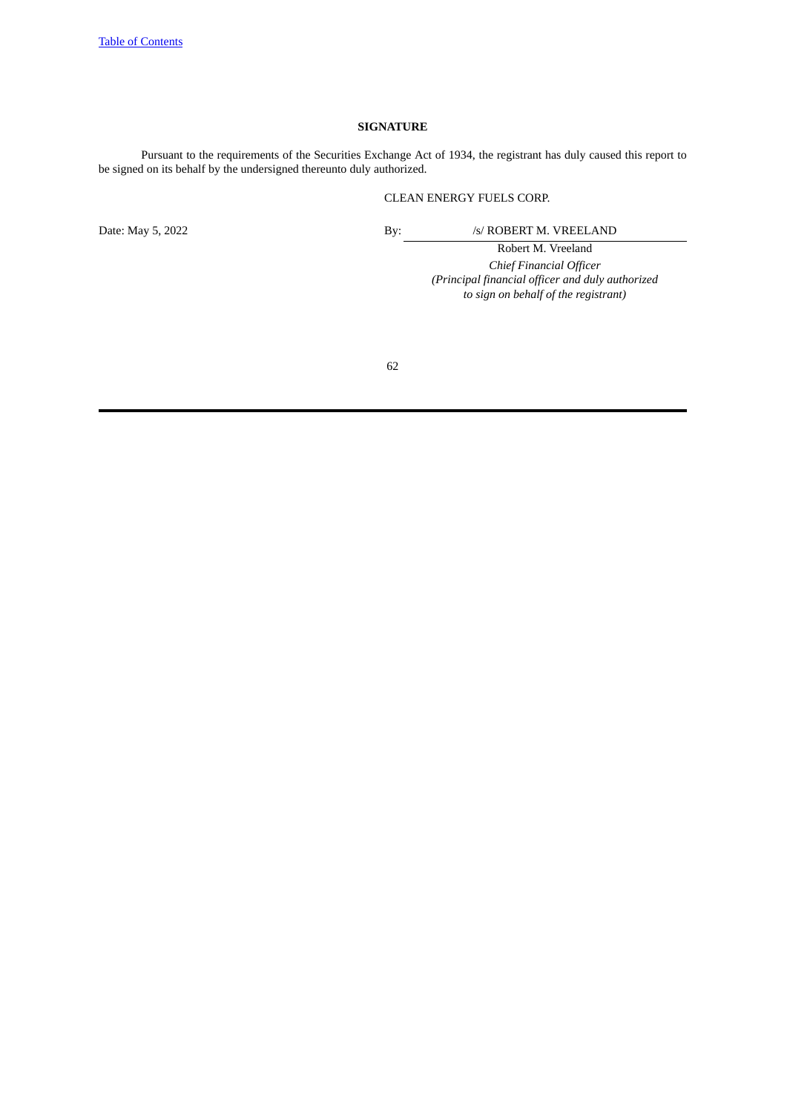## **SIGNATURE**

Pursuant to the requirements of the Securities Exchange Act of 1934, the registrant has duly caused this report to be signed on its behalf by the undersigned thereunto duly authorized.

# CLEAN ENERGY FUELS CORP.

Date: May 5, 2022 By: /s/ ROBERT M. VREELAND

Robert M. Vreeland

*Chief Financial Officer (Principal financial officer and duly authorized to sign on behalf of the registrant)*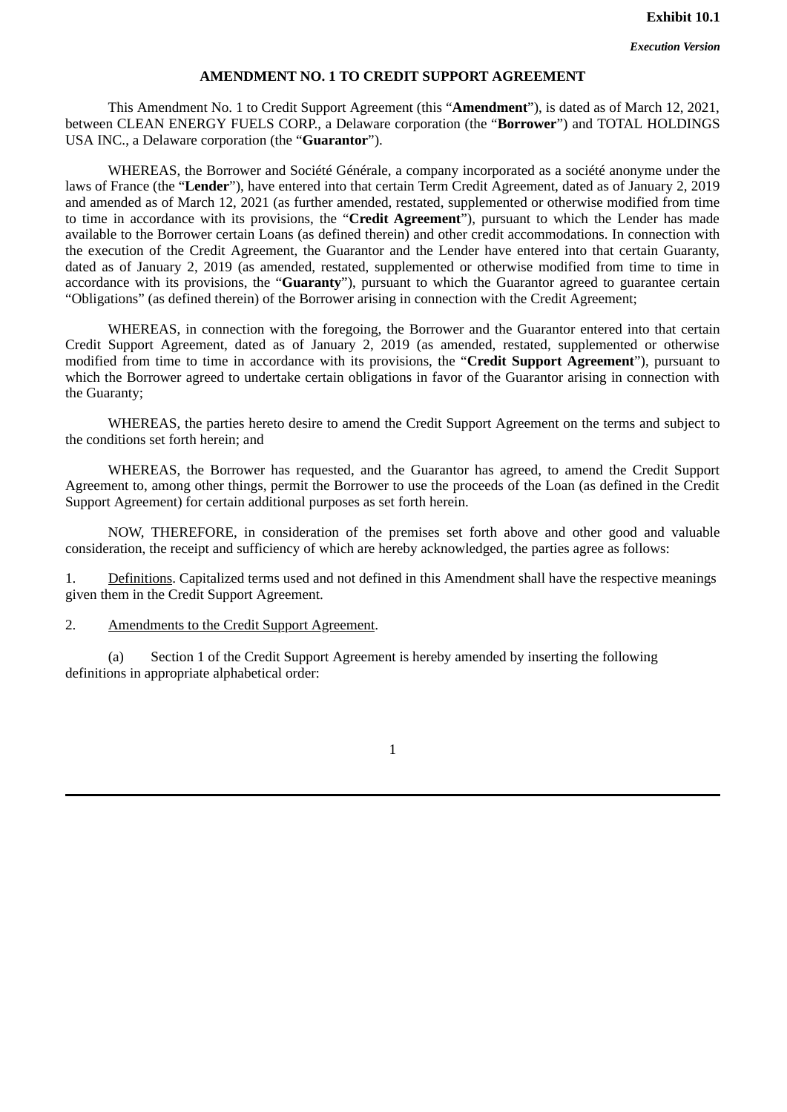## **AMENDMENT NO. 1 TO CREDIT SUPPORT AGREEMENT**

<span id="page-62-0"></span>This Amendment No. 1 to Credit Support Agreement (this "**Amendment**"), is dated as of March 12, 2021, between CLEAN ENERGY FUELS CORP., a Delaware corporation (the "**Borrower**") and TOTAL HOLDINGS USA INC., a Delaware corporation (the "**Guarantor**").

WHEREAS, the Borrower and Société Générale, a company incorporated as a société anonyme under the laws of France (the "**Lender**"), have entered into that certain Term Credit Agreement, dated as of January 2, 2019 and amended as of March 12, 2021 (as further amended, restated, supplemented or otherwise modified from time to time in accordance with its provisions, the "**Credit Agreement**"), pursuant to which the Lender has made available to the Borrower certain Loans (as defined therein) and other credit accommodations. In connection with the execution of the Credit Agreement, the Guarantor and the Lender have entered into that certain Guaranty, dated as of January 2, 2019 (as amended, restated, supplemented or otherwise modified from time to time in accordance with its provisions, the "**Guaranty**"), pursuant to which the Guarantor agreed to guarantee certain "Obligations" (as defined therein) of the Borrower arising in connection with the Credit Agreement;

WHEREAS, in connection with the foregoing, the Borrower and the Guarantor entered into that certain Credit Support Agreement, dated as of January 2, 2019 (as amended, restated, supplemented or otherwise modified from time to time in accordance with its provisions, the "**Credit Support Agreement**"), pursuant to which the Borrower agreed to undertake certain obligations in favor of the Guarantor arising in connection with the Guaranty;

WHEREAS, the parties hereto desire to amend the Credit Support Agreement on the terms and subject to the conditions set forth herein; and

WHEREAS, the Borrower has requested, and the Guarantor has agreed, to amend the Credit Support Agreement to, among other things, permit the Borrower to use the proceeds of the Loan (as defined in the Credit Support Agreement) for certain additional purposes as set forth herein.

NOW, THEREFORE, in consideration of the premises set forth above and other good and valuable consideration, the receipt and sufficiency of which are hereby acknowledged, the parties agree as follows:

1. Definitions. Capitalized terms used and not defined in this Amendment shall have the respective meanings given them in the Credit Support Agreement.

## 2. Amendments to the Credit Support Agreement.

(a) Section 1 of the Credit Support Agreement is hereby amended by inserting the following definitions in appropriate alphabetical order: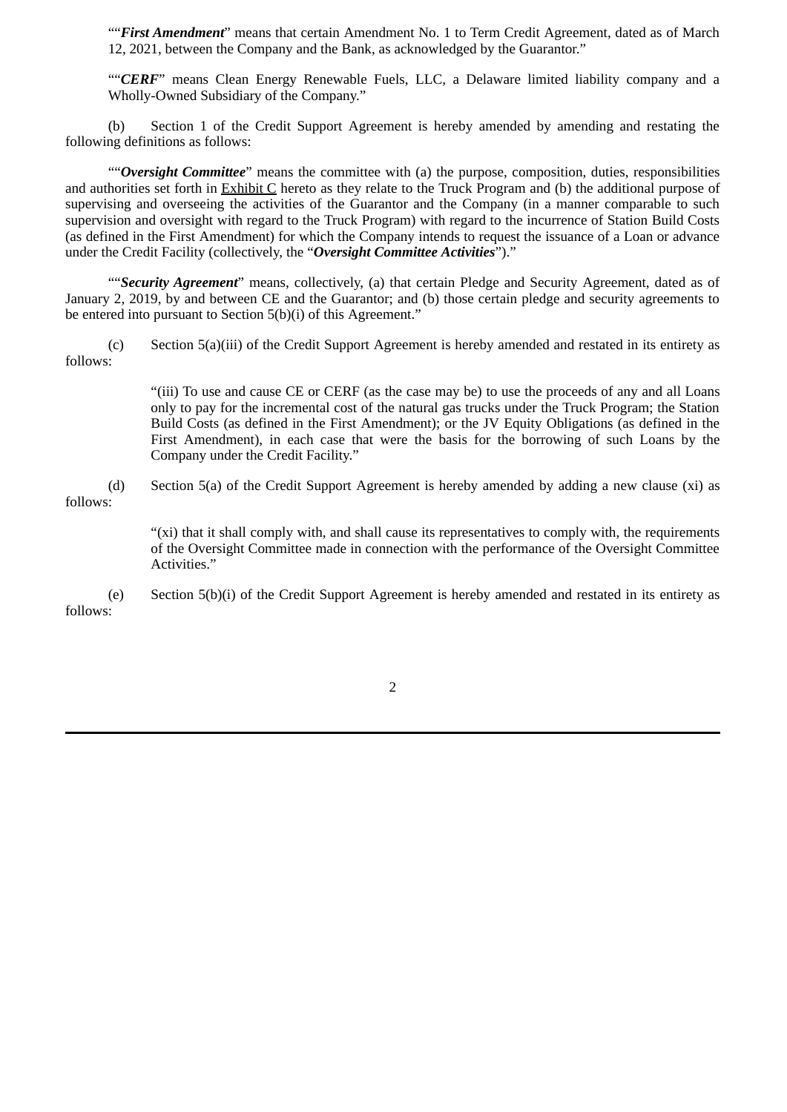""*First Amendment*" means that certain Amendment No. 1 to Term Credit Agreement, dated as of March 12, 2021, between the Company and the Bank, as acknowledged by the Guarantor."

""CERF" means Clean Energy Renewable Fuels, LLC, a Delaware limited liability company and a Wholly-Owned Subsidiary of the Company."

(b) Section 1 of the Credit Support Agreement is hereby amended by amending and restating the following definitions as follows:

""*Oversight Committee*" means the committee with (a) the purpose, composition, duties, responsibilities and authorities set forth in Exhibit C hereto as they relate to the Truck Program and (b) the additional purpose of supervising and overseeing the activities of the Guarantor and the Company (in a manner comparable to such supervision and oversight with regard to the Truck Program) with regard to the incurrence of Station Build Costs (as defined in the First Amendment) for which the Company intends to request the issuance of a Loan or advance under the Credit Facility (collectively, the "*Oversight Committee Activities*")."

""*Security Agreement*" means, collectively, (a) that certain Pledge and Security Agreement, dated as of January 2, 2019, by and between CE and the Guarantor; and (b) those certain pledge and security agreements to be entered into pursuant to Section 5(b)(i) of this Agreement."

(c) Section 5(a)(iii) of the Credit Support Agreement is hereby amended and restated in its entirety as follows:

> "(iii) To use and cause CE or CERF (as the case may be) to use the proceeds of any and all Loans only to pay for the incremental cost of the natural gas trucks under the Truck Program; the Station Build Costs (as defined in the First Amendment); or the JV Equity Obligations (as defined in the First Amendment), in each case that were the basis for the borrowing of such Loans by the Company under the Credit Facility."

(d) Section 5(a) of the Credit Support Agreement is hereby amended by adding a new clause (xi) as follows:

> "(xi) that it shall comply with, and shall cause its representatives to comply with, the requirements of the Oversight Committee made in connection with the performance of the Oversight Committee Activities."

(e) Section 5(b)(i) of the Credit Support Agreement is hereby amended and restated in its entirety as follows: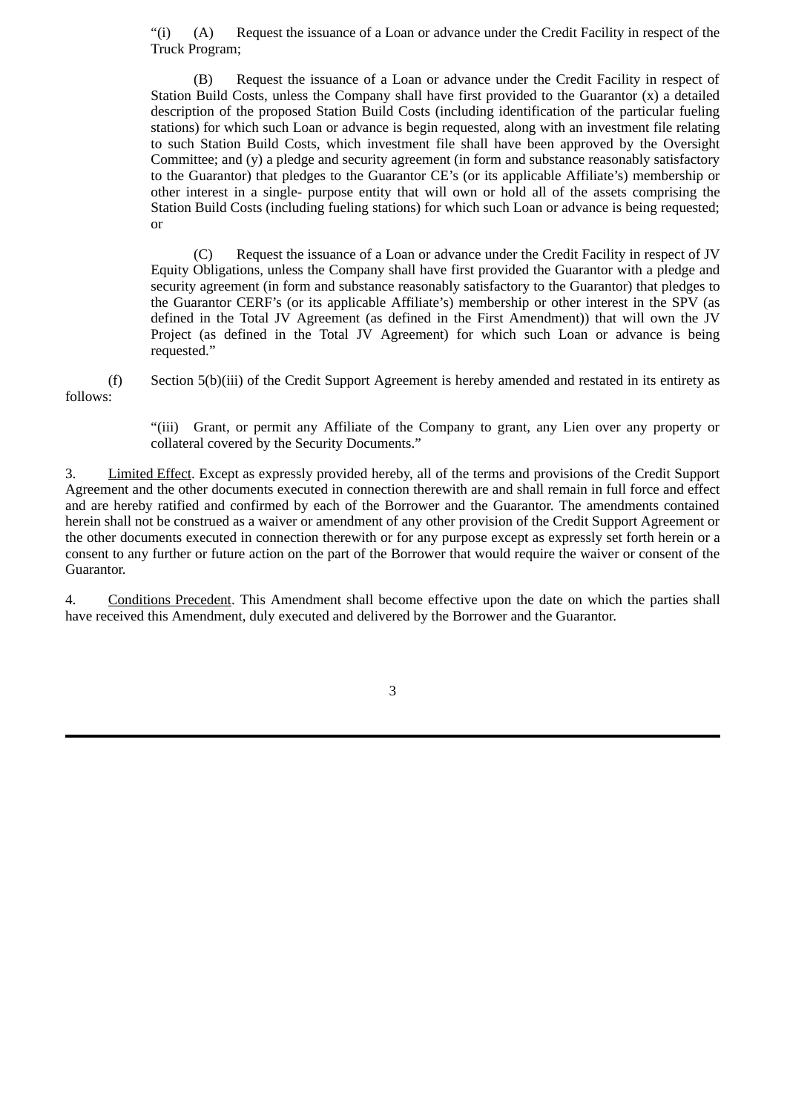"(i) (A) Request the issuance of a Loan or advance under the Credit Facility in respect of the Truck Program;

(B) Request the issuance of a Loan or advance under the Credit Facility in respect of Station Build Costs, unless the Company shall have first provided to the Guarantor (x) a detailed description of the proposed Station Build Costs (including identification of the particular fueling stations) for which such Loan or advance is begin requested, along with an investment file relating to such Station Build Costs, which investment file shall have been approved by the Oversight Committee; and (y) a pledge and security agreement (in form and substance reasonably satisfactory to the Guarantor) that pledges to the Guarantor CE's (or its applicable Affiliate's) membership or other interest in a single- purpose entity that will own or hold all of the assets comprising the Station Build Costs (including fueling stations) for which such Loan or advance is being requested; or

(C) Request the issuance of a Loan or advance under the Credit Facility in respect of JV Equity Obligations, unless the Company shall have first provided the Guarantor with a pledge and security agreement (in form and substance reasonably satisfactory to the Guarantor) that pledges to the Guarantor CERF's (or its applicable Affiliate's) membership or other interest in the SPV (as defined in the Total JV Agreement (as defined in the First Amendment)) that will own the JV Project (as defined in the Total JV Agreement) for which such Loan or advance is being requested."

(f) Section 5(b)(iii) of the Credit Support Agreement is hereby amended and restated in its entirety as follows:

> "(iii) Grant, or permit any Affiliate of the Company to grant, any Lien over any property or collateral covered by the Security Documents."

3. Limited Effect. Except as expressly provided hereby, all of the terms and provisions of the Credit Support Agreement and the other documents executed in connection therewith are and shall remain in full force and effect and are hereby ratified and confirmed by each of the Borrower and the Guarantor. The amendments contained herein shall not be construed as a waiver or amendment of any other provision of the Credit Support Agreement or the other documents executed in connection therewith or for any purpose except as expressly set forth herein or a consent to any further or future action on the part of the Borrower that would require the waiver or consent of the Guarantor.

4. Conditions Precedent. This Amendment shall become effective upon the date on which the parties shall have received this Amendment, duly executed and delivered by the Borrower and the Guarantor.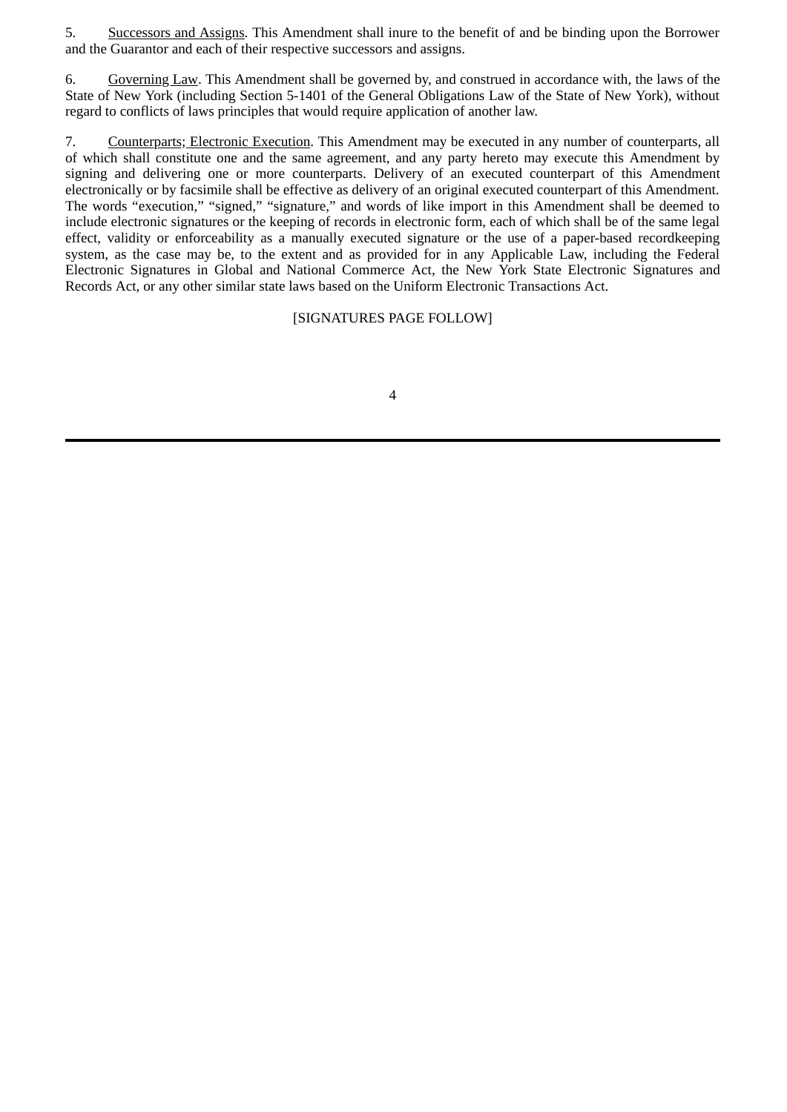5. Successors and Assigns. This Amendment shall inure to the benefit of and be binding upon the Borrower and the Guarantor and each of their respective successors and assigns.

6. Governing Law. This Amendment shall be governed by, and construed in accordance with, the laws of the State of New York (including Section 5-1401 of the General Obligations Law of the State of New York), without regard to conflicts of laws principles that would require application of another law.

7. Counterparts; Electronic Execution. This Amendment may be executed in any number of counterparts, all of which shall constitute one and the same agreement, and any party hereto may execute this Amendment by signing and delivering one or more counterparts. Delivery of an executed counterpart of this Amendment electronically or by facsimile shall be effective as delivery of an original executed counterpart of this Amendment. The words "execution," "signed," "signature," and words of like import in this Amendment shall be deemed to include electronic signatures or the keeping of records in electronic form, each of which shall be of the same legal effect, validity or enforceability as a manually executed signature or the use of a paper-based recordkeeping system, as the case may be, to the extent and as provided for in any Applicable Law, including the Federal Electronic Signatures in Global and National Commerce Act, the New York State Electronic Signatures and Records Act, or any other similar state laws based on the Uniform Electronic Transactions Act.

# [SIGNATURES PAGE FOLLOW]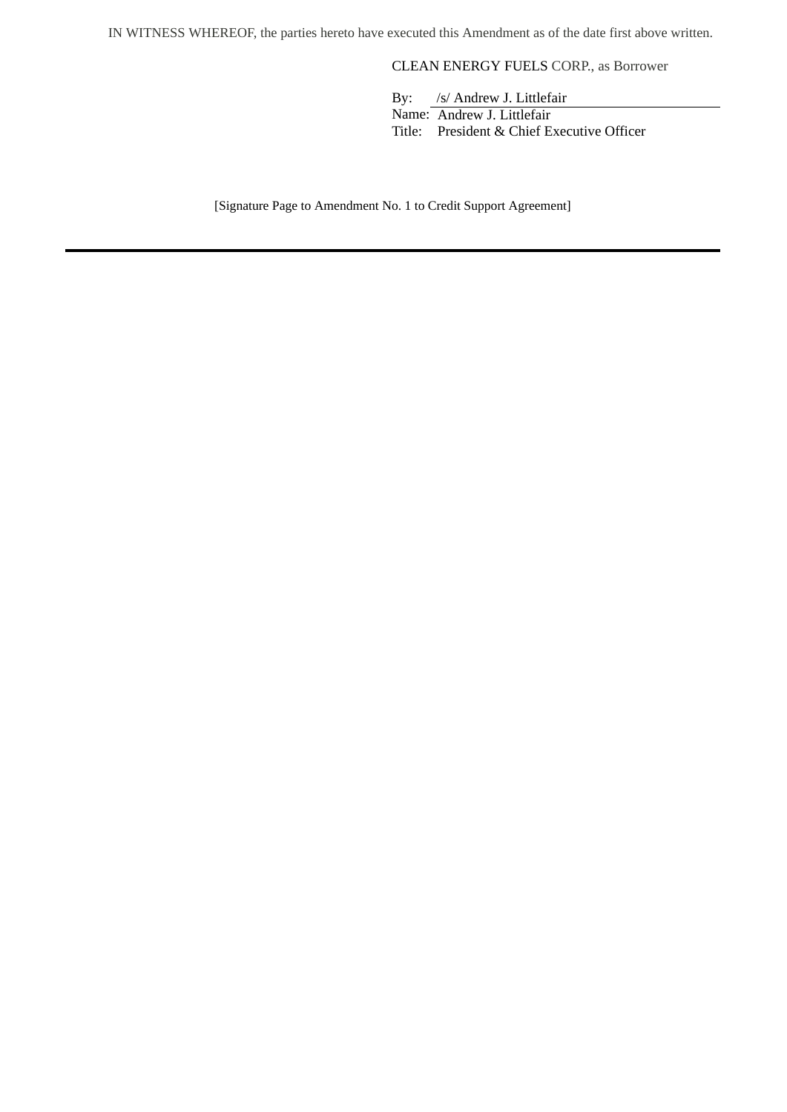IN WITNESS WHEREOF, the parties hereto have executed this Amendment as of the date first above written.

CLEAN ENERGY FUELS CORP., as Borrower

By: /s/ Andrew J. Littlefair Name: Andrew J. Littlefair Title: President & Chief Executive Officer

[Signature Page to Amendment No. 1 to Credit Support Agreement]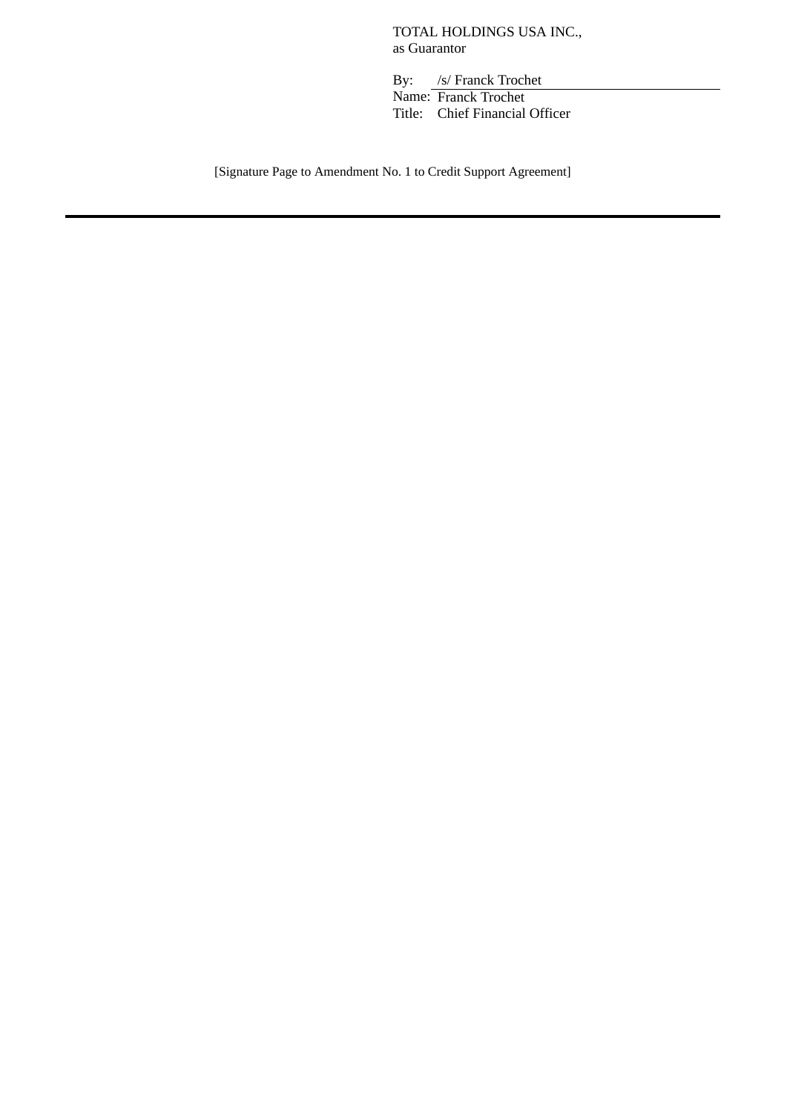TOTAL HOLDINGS USA INC., as Guarantor

By: /s/ Franck Trochet Name: Franck Trochet Title: Chief Financial Officer

[Signature Page to Amendment No. 1 to Credit Support Agreement]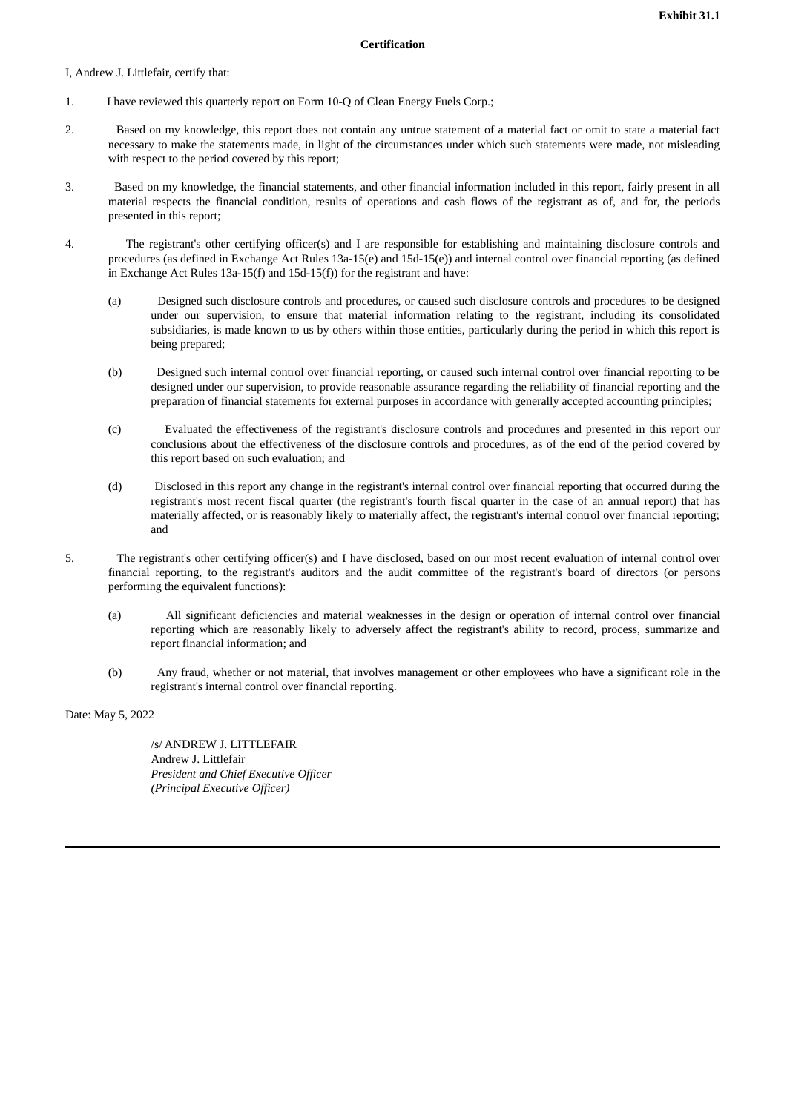### <span id="page-68-0"></span>I, Andrew J. Littlefair, certify that:

- 1. I have reviewed this quarterly report on Form 10-Q of Clean Energy Fuels Corp.;
- 2. Based on my knowledge, this report does not contain any untrue statement of a material fact or omit to state a material fact necessary to make the statements made, in light of the circumstances under which such statements were made, not misleading with respect to the period covered by this report;
- 3. Based on my knowledge, the financial statements, and other financial information included in this report, fairly present in all material respects the financial condition, results of operations and cash flows of the registrant as of, and for, the periods presented in this report;
- 4. The registrant's other certifying officer(s) and I are responsible for establishing and maintaining disclosure controls and procedures (as defined in Exchange Act Rules 13a-15(e) and 15d-15(e)) and internal control over financial reporting (as defined in Exchange Act Rules 13a-15(f) and 15d-15(f)) for the registrant and have:
	- (a) Designed such disclosure controls and procedures, or caused such disclosure controls and procedures to be designed under our supervision, to ensure that material information relating to the registrant, including its consolidated subsidiaries, is made known to us by others within those entities, particularly during the period in which this report is being prepared;
	- (b) Designed such internal control over financial reporting, or caused such internal control over financial reporting to be designed under our supervision, to provide reasonable assurance regarding the reliability of financial reporting and the preparation of financial statements for external purposes in accordance with generally accepted accounting principles;
	- (c) Evaluated the effectiveness of the registrant's disclosure controls and procedures and presented in this report our conclusions about the effectiveness of the disclosure controls and procedures, as of the end of the period covered by this report based on such evaluation; and
	- (d) Disclosed in this report any change in the registrant's internal control over financial reporting that occurred during the registrant's most recent fiscal quarter (the registrant's fourth fiscal quarter in the case of an annual report) that has materially affected, or is reasonably likely to materially affect, the registrant's internal control over financial reporting; and
- 5. The registrant's other certifying officer(s) and I have disclosed, based on our most recent evaluation of internal control over financial reporting, to the registrant's auditors and the audit committee of the registrant's board of directors (or persons performing the equivalent functions):
	- (a) All significant deficiencies and material weaknesses in the design or operation of internal control over financial reporting which are reasonably likely to adversely affect the registrant's ability to record, process, summarize and report financial information; and
	- (b) Any fraud, whether or not material, that involves management or other employees who have a significant role in the registrant's internal control over financial reporting.

Date: May 5, 2022

/s/ ANDREW J. LITTLEFAIR Andrew J. Littlefair *President and Chief Executive Officer (Principal Executive Officer)*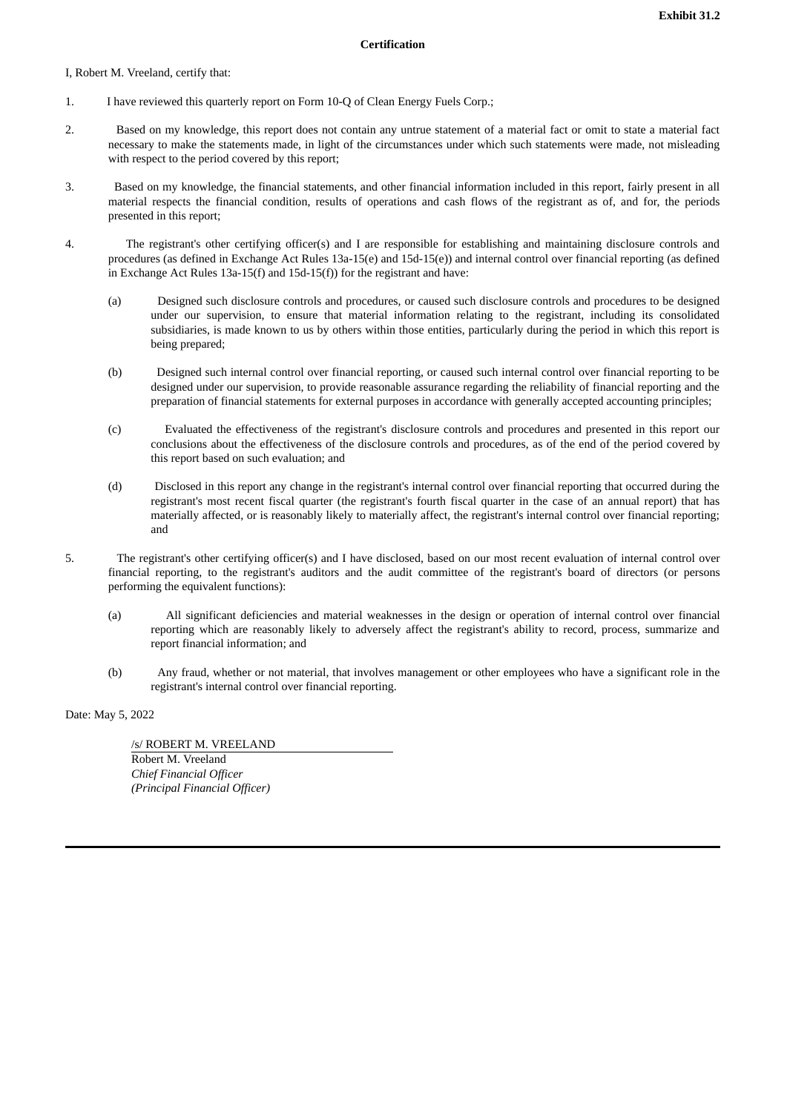### <span id="page-69-0"></span>I, Robert M. Vreeland, certify that:

- 1. I have reviewed this quarterly report on Form 10-Q of Clean Energy Fuels Corp.;
- 2. Based on my knowledge, this report does not contain any untrue statement of a material fact or omit to state a material fact necessary to make the statements made, in light of the circumstances under which such statements were made, not misleading with respect to the period covered by this report;
- 3. Based on my knowledge, the financial statements, and other financial information included in this report, fairly present in all material respects the financial condition, results of operations and cash flows of the registrant as of, and for, the periods presented in this report;
- 4. The registrant's other certifying officer(s) and I are responsible for establishing and maintaining disclosure controls and procedures (as defined in Exchange Act Rules 13a-15(e) and 15d-15(e)) and internal control over financial reporting (as defined in Exchange Act Rules 13a-15(f) and 15d-15(f)) for the registrant and have:
	- (a) Designed such disclosure controls and procedures, or caused such disclosure controls and procedures to be designed under our supervision, to ensure that material information relating to the registrant, including its consolidated subsidiaries, is made known to us by others within those entities, particularly during the period in which this report is being prepared;
	- (b) Designed such internal control over financial reporting, or caused such internal control over financial reporting to be designed under our supervision, to provide reasonable assurance regarding the reliability of financial reporting and the preparation of financial statements for external purposes in accordance with generally accepted accounting principles;
	- (c) Evaluated the effectiveness of the registrant's disclosure controls and procedures and presented in this report our conclusions about the effectiveness of the disclosure controls and procedures, as of the end of the period covered by this report based on such evaluation; and
	- (d) Disclosed in this report any change in the registrant's internal control over financial reporting that occurred during the registrant's most recent fiscal quarter (the registrant's fourth fiscal quarter in the case of an annual report) that has materially affected, or is reasonably likely to materially affect, the registrant's internal control over financial reporting; and
- 5. The registrant's other certifying officer(s) and I have disclosed, based on our most recent evaluation of internal control over financial reporting, to the registrant's auditors and the audit committee of the registrant's board of directors (or persons performing the equivalent functions):
	- (a) All significant deficiencies and material weaknesses in the design or operation of internal control over financial reporting which are reasonably likely to adversely affect the registrant's ability to record, process, summarize and report financial information; and
	- (b) Any fraud, whether or not material, that involves management or other employees who have a significant role in the registrant's internal control over financial reporting.

Date: May 5, 2022

/s/ ROBERT M. VREELAND Robert M. Vreeland *Chief Financial Officer (Principal Financial Officer)*